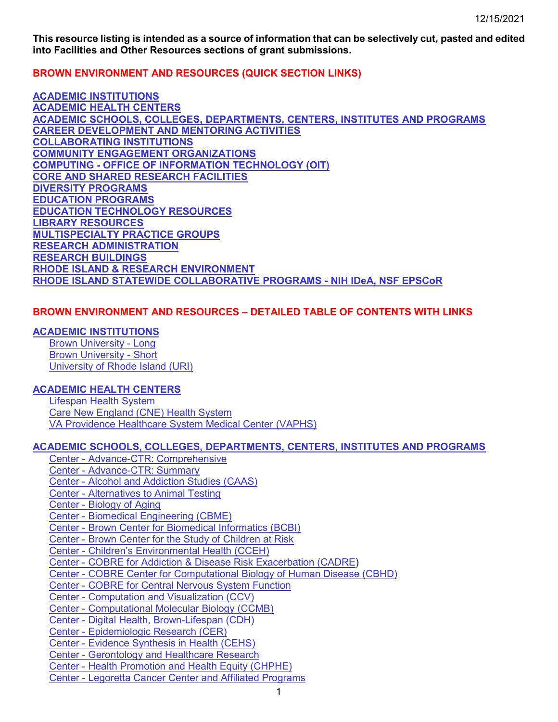**This resource listing is intended as a source of information that can be selectively cut, pasted and edited into Facilities and Other Resources sections of grant submissions.** 

**BROWN ENVIRONMENT AND RESOURCES (QUICK SECTION LINKS)**

**[ACADEMIC INSTITUTIONS](#page-4-0) [ACADEMIC HEALTH CENTERS](#page-5-0) [ACADEMIC SCHOOLS, COLLEGES, DEPARTMENTS, CENTERS, INSTITUTES AND PROGRAMS](#page-8-0) [CAREER DEVELOPMENT AND MENTORING ACTIVITIES](#page-39-0) [COLLABORATING INSTITUTIONS](#page-45-0) [COMMUNITY ENGAGEMENT ORGANIZATIONS](#page-48-0) COMPUTING - [OFFICE OF INFORMATION TECHNOLOGY \(OIT\)](#page-49-0) [CORE AND SHARED RESEARCH FACILITIES](#page-55-0) [DIVERSITY PROGRAMS](#page-65-0) [EDUCATION PROGRAMS](#page-68-0) [EDUCATION TECHNOLOGY RESOURCES](#page-71-0) [LIBRARY RESOURCES](#page-72-0) [MULTISPECIALTY PRACTICE GROUPS](#page-74-0) [RESEARCH ADMINISTRATION](#page-74-1) [RESEARCH BUILDINGS](#page-78-0) [RHODE ISLAND & RESEARCH ENVIRONMENT](#page-80-0) [RHODE ISLAND STATEWIDE COLLABORATIVE PROGRAMS](#page-81-0) - NIH IDeA, NSF EPSCoR**

## **BROWN ENVIRONMENT AND RESOURCES – DETAILED TABLE OF CONTENTS WITH LINKS**

### **[ACADEMIC INSTITUTIONS](#page-4-0)**

[Brown University -](#page-4-1) Long [Brown University -](#page-5-1) Short [University of Rhode Island \(URI\)](#page-5-2)

## **[ACADEMIC HEALTH CENTERS](#page-5-0)**

[Lifespan Health System](#page-6-0) [Care New England \(CNE\) Health System](#page-7-0) [VA Providence Healthcare System Medical Center \(VAPHS\)](#page-8-1)

## **ACADEMIC SCHOOLS, COLLEGES, [DEPARTMENTS, CENTERS, INSTITUTES AND PROGRAMS](#page-8-0)**

Center - [Advance-CTR: Comprehensive](#page-8-2) Center - [Advance-CTR: Summary](#page-11-0) Center - [Alcohol and Addiction Studies \(CAAS\)](#page-11-1) Center - [Alternatives to Animal Testing](#page-12-0) Center - [Biology of Aging](#page-12-1) Center - [Biomedical Engineering \(CBME\)](#page-12-2) Center - [Brown Center for Biomedical Informatics \(BCBI\)](#page-13-0) Center - [Brown Center for the Study of Children at Risk](#page-13-1) Center - [Children's Environmental Health](#page-14-0) (CCEH) Center - [COBRE for Addiction & Disease Risk Exacerbation \(CADRE\)](#page-14-1) Center - [COBRE Center for Computational Biology of Human Disease \(CBHD\)](#page-15-0) Center - [COBRE for Central Nervous System Function](#page-15-1) Center - [Computation and Visualization \(CCV\)](#page-52-0) Center - [Computational Molecular Biology \(CCMB\)](#page-17-0) Center - [Digital Health, Brown-Lifespan \(CDH\)](#page-17-1) Center - [Epidemiologic Research \(CER\)](#page-18-0) Center - [Evidence Synthesis in Health \(CEHS\)](#page-18-1) Center - [Gerontology and Healthcare Research](#page-18-2) Center - [Health Promotion and Health Equity \(CHPHE\)](#page-18-3) Center - [Legoretta Cancer Center](#page-19-0) and Affiliated Programs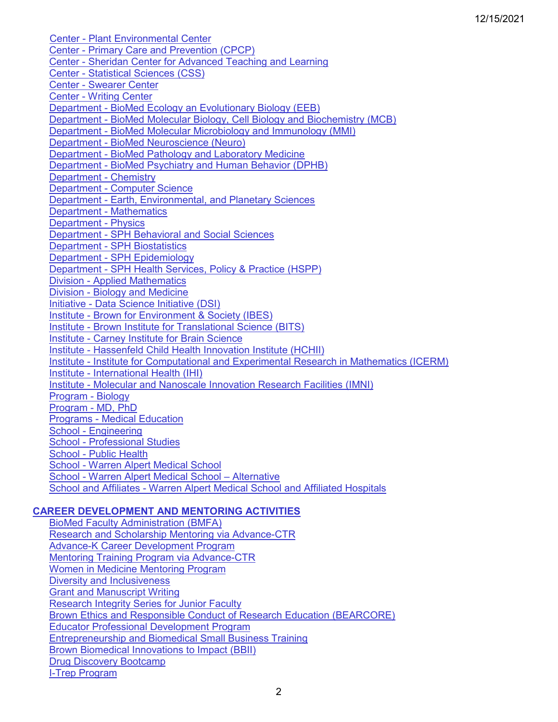Center - [Plant Environmental Center](#page-21-0) Center - [Primary Care and Prevention \(CPCP\)](#page-21-1) Center - [Sheridan Center for Advanced Teaching and Learning](#page-23-0) Center - [Statistical Sciences \(CSS\)](#page-23-1) Center - [Swearer Center](#page-24-0) Center - [Writing Center](#page-25-0) Department - [BioMed Ecology an Evolutionary Biology \(EEB\)](#page-25-1) Department - [BioMed Molecular Biology, Cell Biology and Biochemistry \(MCB\)](#page-25-2) Department - [BioMed Molecular Microbiology and Immunology \(MMI\)](#page-26-0) Department - [BioMed Neuroscience \(Neuro\)](#page-26-1) Department - [BioMed Pathology and Laboratory Medicine](#page-26-2) Department - [BioMed Psychiatry and Human Behavior \(DPHB\)](#page-26-3) [Department -](#page-27-0) Chemistry Department - [Computer Science](#page-28-0) Department - [Earth, Environmental, and Planetary Sciences](#page-28-1) [Department -](#page-29-0) Mathematics [Department -](#page-29-1) Physics Department - [SPH Behavioral and Social Sciences](#page-29-2) Department - [SPH Biostatistics](#page-30-0) Department - [SPH Epidemiology](#page-30-1) Department - [SPH Health Services, Policy & Practice \(HSPP\)](#page-30-2) Division - [Applied Mathematics](#page-31-0) Division - [Biology and Medicine](#page-31-1) Initiative - [Data Science Initiative \(DSI\)](#page-32-0) Institute - [Brown for Environment & Society \(IBES\)](#page-32-1) Institute - [Brown Institute for Translational Science \(BITS\)](#page-32-2) Institute - [Carney Institute for Brain Science](#page-32-3) Institute - [Hassenfeld Child Health Innovation Institute \(HCHII\)](#page-34-0) Institute - [Institute for Computational and Experimental Research in Mathematics \(ICERM\)](#page-34-1) Institute - [International Health \(IHI\)](#page-35-0) Institute - [Molecular and Nanoscale Innovation Research Facilities \(IMNI\)](#page-35-1) [Program -](#page-35-2) Biology [Program -](#page-35-3) MD, PhD Programs - [Medical Education](#page-36-0) School - [Engineering](#page-37-0) School - [Professional Studies](#page-37-1) School - [Public Health](#page-37-2) School - [Warren Alpert Medical School](#page-38-0) School - [Warren Alpert Medical School –](#page-38-1) Alternative School and Affiliates - [Warren Alpert Medical School and Affiliated Hospitals](#page-39-1)

## **[CAREER DEVELOPMENT AND MENTORING ACTIVITIES](#page-39-0)**

[BioMed Faculty Administration \(BMFA\)](#page-39-2) [Research and Scholarship Mentoring via Advance-CTR](#page-39-3) [Advance-K Career Development Program](#page-40-0) [Mentoring Training Program](#page-40-1) via Advance-CTR [Women in Medicine Mentoring Program](#page-40-2) [Diversity and Inclusiveness](#page-41-0) [Grant and Manuscript Writing](#page-41-1) [Research Integrity Series for Junior Faculty](#page-41-2) [Brown Ethics and Responsible Conduct of Research Education \(BEARCORE\)](#page-42-0) Educator Professional [Development Program](#page-43-0) [Entrepreneurship and Biomedical Small Business Training](#page-43-1) [Brown Biomedical Innovations to Impact](#page-43-2) (BBII) [Drug Discovery Bootcamp](#page-44-0) [I-Trep Program](#page-44-1)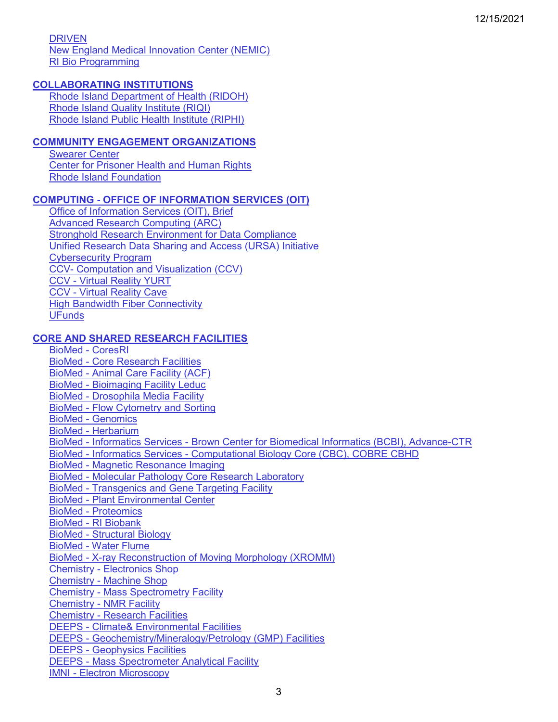[DRIVEN](#page-44-2)

[New England Medical Innovation Center \(NEMIC\)](#page-44-3) [RI Bio Programming](#page-45-1)

## **[COLLABORATING INSTITUTIONS](#page-45-0)**

[Rhode Island Department of Health \(RIDOH\)](#page-45-2) [Rhode Island Quality Institute \(RIQI\)](#page-46-0) [Rhode Island Public Health Institute \(RIPHI\)](#page-47-0)

## **[COMMUNITY ENGAGEMENT ORGANIZATIONS](#page-48-0)**

[Swearer Center](#page-48-1) [Center for Prisoner Health and Human Rights](#page-48-2) [Rhode Island Foundation](#page-49-1)

## **COMPUTING - [OFFICE OF INFORMATION SERVICES \(OIT\)](#page-49-0)**

[Office of Information Services \(OIT\), Brief](#page-49-2) [Advanced Research Computing \(ARC\)](#page-49-3) [Stronghold Research Environment for Data Compliance](#page-49-4) [Unified Research Data Sharing and Access \(URSA\) Initiative](#page-50-0) [Cybersecurity Program](#page-50-1) CCV- [Computation and Visualization \(CCV\)](#page-52-0) CCV - [Virtual Reality YURT](#page-54-0) CCV - [Virtual Reality Cave](#page-54-1) [High Bandwidth Fiber Connectivity](#page-54-2) [UFunds](#page-54-3)

## **[CORE AND SHARED RESEARCH FACILITIES](#page-55-0)**

[BioMed -](#page-55-1) CoresRI BioMed - [Core Research Facilities](#page-55-2) BioMed - [Animal Care Facility \(ACF\)](#page-55-3) BioMed - [Bioimaging Facility Leduc](#page-56-0) BioMed - [Drosophila Media Facility](#page-56-1) BioMed - [Flow Cytometry and Sorting](#page-57-0) BioMed - [Genomics](#page-57-1) BioMed - [Herbarium](#page-57-2) BioMed - Informatics Services - [Brown Center for Biomedical Informatics \(BCBI\), Advance-CTR](#page-57-3) BioMed - Informatics Services - [Computational Biology Core \(CBC\), COBRE CBHD](#page-58-0) BioMed - [Magnetic Resonance Imaging](#page-59-0) BioMed - [Molecular Pathology Core Research Laboratory](#page-59-1) BioMed - [Transgenics and Gene Targeting](#page-59-2) Facility BioMed - [Plant Environmental Center](#page-59-3) BioMed - [Proteomics](#page-60-0) BioMed - [RI Biobank](#page-60-1) BioMed - [Structural Biology](#page-60-2) BioMed - [Water Flume](#page-60-3) BioMed - [X-ray Reconstruction of Moving Morphology](#page-60-4) (XROMM) Chemistry - [Electronics Shop](#page-61-0) Chemistry - [Machine Shop](#page-61-1) Chemistry - [Mass Spectrometry Facility](#page-61-2) Chemistry - [NMR Facility](#page-61-3) Chemistry - [Research Facilities](#page-61-4) DEEPS - [Climate& Environmental Facilities](#page-28-1) DEEPS - [Geochemistry/Mineralogy/Petrology \(GMP\) Facilities](#page-62-0) DEEPS - [Geophysics Facilities](#page-62-1) DEEPS - [Mass Spectrometer Analytical Facility](#page-63-0) IMNI - [Electron Microscopy](#page-63-1)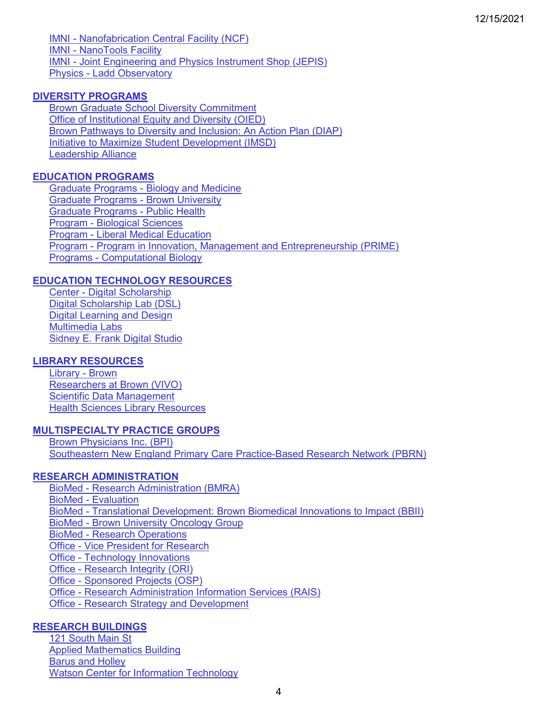IMNI - [Nanofabrication Central Facility \(NCF\)](#page-64-0) IMNI - [NanoTools Facility](#page-64-1) IMNI - [Joint Engineering and Physics Instrument Shop \(JEPIS\)](#page-64-2) Physics - [Ladd Observatory](#page-65-1)

## **[DIVERSITY PROGRAMS](#page-65-0)**

[Brown Graduate School Diversity Commitment](#page-65-2) [Office of Institutional Equity and Diversity \(OIED\)](#page-66-0) [Brown Pathways to Diversity and Inclusion: An Action Plan \(DIAP\)](#page-66-1) [Initiative to Maximize Student Development \(IMSD\)](#page-67-0) [Leadership Alliance](#page-67-1)

## **[EDUCATION PROGRAMS](#page-68-0)**

Graduate Programs - [Biology and Medicine](#page-68-1) [Graduate Programs -](#page-68-2) Brown University [Graduate Programs -](#page-69-0) Public Health Program - [Biological Sciences](#page-69-1) Program - [Liberal Medical Education](#page-70-0) Program - [Program in Innovation, Management and Entrepreneurship \(PRIME\)](#page-70-1) Programs - [Computational Biology](#page-71-1)

## **[EDUCATION TECHNOLOGY RESOURCES](#page-71-0)**

Center - [Digital Scholarship](#page-71-2) [Digital Scholarship Lab \(DSL\)](#page-72-1) [Digital Learning and Design](#page-72-1) [Multimedia Labs](#page-72-2) [Sidney E. Frank Digital Studio](#page-72-3)

### **[LIBRARY RESOURCES](#page-72-0)**

[Library -](#page-72-4) Brown [Researchers at Brown \(VIVO\)](#page-73-0) [Scientific Data Management](#page-73-1) [Health Sciences Library Resources](#page-74-2)

### **[MULTISPECIALTY PRACTICE GROUPS](#page-74-0)**

[Brown Physicians Inc. \(BPI\)](#page-74-3) [Southeastern New England Primary Care Practice-Based Research Network \(PBRN\)](#page-74-4)

### **[RESEARCH ADMINISTRATION](#page-74-1)**

BioMed - [Research Administration \(BMRA\)](#page-74-5) BioMed - [Evaluation](#page-75-0) BioMed - [Translational Development: Brown Biomedical Innovations to Impact \(BBII\)](#page-75-1) BioMed - [Brown University Oncology Group](#page-75-2) BioMed - [Research Operations](#page-76-0) Office - [Vice President for Research](#page-76-1) Office - [Technology Innovations](#page-76-2) Office - [Research Integrity \(ORI\)](#page-76-3) Office - [Sponsored Projects \(OSP\)](#page-78-1) Office - [Research Administration Information Services \(RAIS\)](#page-78-2) Office - [Research Strategy and Development](#page-78-3)

## **[RESEARCH BUILDINGS](#page-78-0)**

[121 South Main St](#page-78-4) [Applied Mathematics Building](#page-79-0) [Barus and Holley](#page-79-1) [Watson Center for Information Technology](#page-79-2)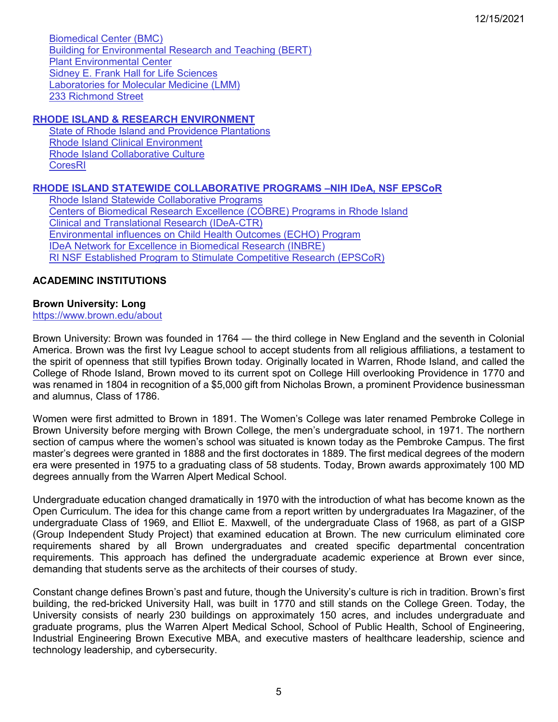[Biomedical Center \(BMC\)](#page-79-3) [Building for Environmental Research and Teaching \(BERT\)](#page-79-4) [Plant Environmental Center](#page-79-5) [Sidney E. Frank Hall for Life Sciences](#page-79-6) [Laboratories for Molecular Medicine \(LMM\)](#page-79-7) [233 Richmond Street](#page-80-1)

# **[RHODE ISLAND & RESEARCH ENVIRONMENT](#page-80-0)**

[State of Rhode Island and Providence Plantations](#page-80-2) [Rhode Island Clinical Environment](#page-80-3) [Rhode Island Collaborative Culture](#page-80-4) [CoresRI](#page-55-1) 

## **[RHODE ISLAND STATEWIDE COLLABORATIVE PROGRAMS](#page-81-0) –NIH IDeA, NSF EPSCoR**

[Rhode Island Statewide Collaborative Programs](#page-81-1) [Centers of Biomedical Research Excellence \(COBRE\) Programs in Rhode Island](#page-81-2) [Clinical and Translational Research \(IDeA-CTR\)](#page-81-3) [Environmental influences on Child Health Outcomes \(ECHO\) Program](#page-82-0) [IDeA Network for Excellence in Biomedical Research \(INBRE\)](#page-82-1) RI NSF Established Program to Stimulate Competitive Research (EPSCoR)

# <span id="page-4-0"></span>**ACADEMINC INSTITUTIONS**

# <span id="page-4-1"></span>**Brown University: Long**

<https://www.brown.edu/about>

Brown University: Brown was founded in 1764 — the third college in New England and the seventh in Colonial America. Brown was the first Ivy League school to accept students from all religious affiliations, a testament to the spirit of openness that still typifies Brown today. Originally located in Warren, Rhode Island, and called the College of Rhode Island, Brown moved to its current spot on College Hill overlooking Providence in 1770 and was renamed in 1804 in recognition of a \$5,000 gift from Nicholas Brown, a prominent Providence businessman and alumnus, Class of 1786.

Women were first admitted to Brown in 1891. The Women's College was later renamed Pembroke College in Brown University before merging with Brown College, the men's undergraduate school, in 1971. The northern section of campus where the women's school was situated is known today as the Pembroke Campus. The first master's degrees were granted in 1888 and the first doctorates in 1889. The first medical degrees of the modern era were presented in 1975 to a graduating class of 58 students. Today, Brown awards approximately 100 MD degrees annually from the Warren Alpert Medical School.

Undergraduate education changed dramatically in 1970 with the introduction of what has become known as the Open Curriculum. The idea for this change came from a report written by undergraduates Ira Magaziner, of the undergraduate Class of 1969, and Elliot E. Maxwell, of the undergraduate Class of 1968, as part of a GISP (Group Independent Study Project) that examined education at Brown. The new curriculum eliminated core requirements shared by all Brown undergraduates and created specific departmental concentration requirements. This approach has defined the undergraduate academic experience at Brown ever since, demanding that students serve as the architects of their courses of study.

Constant change defines Brown's past and future, though the University's culture is rich in tradition. Brown's first building, the red-bricked University Hall, was built in 1770 and still stands on the College Green. Today, the University consists of nearly 230 buildings on approximately 150 acres, and includes undergraduate and graduate programs, plus the Warren Alpert Medical School, School of Public Health, School of Engineering, Industrial Engineering Brown Executive MBA, and executive masters of healthcare leadership, science and technology leadership, and cybersecurity.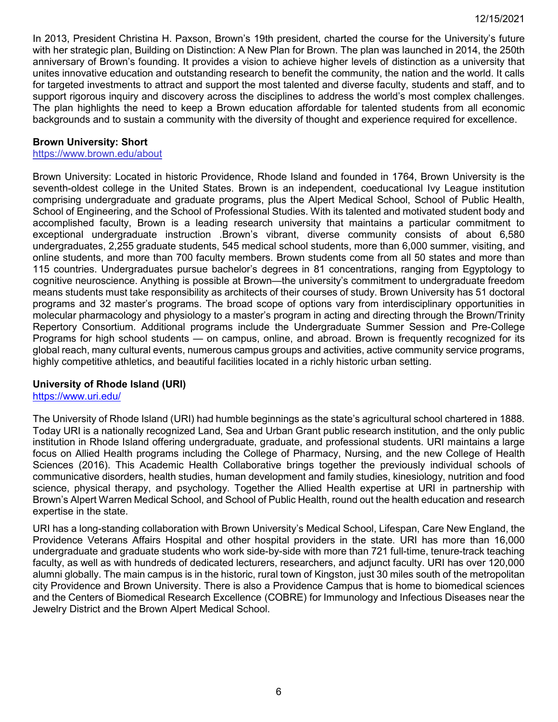In 2013, President Christina H. Paxson, Brown's 19th president, charted the course for the University's future with her strategic plan, Building on Distinction: A New Plan for Brown. The plan was launched in 2014, the 250th anniversary of Brown's founding. It provides a vision to achieve higher levels of distinction as a university that unites innovative education and outstanding research to benefit the community, the nation and the world. It calls for targeted investments to attract and support the most talented and diverse faculty, students and staff, and to support rigorous inquiry and discovery across the disciplines to address the world's most complex challenges. The plan highlights the need to keep a Brown education affordable for talented students from all economic backgrounds and to sustain a community with the diversity of thought and experience required for excellence.

## <span id="page-5-1"></span>**Brown University: Short**

<https://www.brown.edu/about>

Brown University: Located in historic Providence, Rhode Island and founded in 1764, Brown University is the seventh-oldest college in the United States. Brown is an independent, coeducational Ivy League institution comprising undergraduate and graduate programs, plus the Alpert Medical School, School of Public Health, School of Engineering, and the School of Professional Studies. With its talented and motivated student body and accomplished faculty, Brown is a leading research university that maintains a particular commitment to exceptional undergraduate instruction .Brown's vibrant, diverse community consists of about 6,580 undergraduates, 2,255 graduate students, 545 medical school students, more than 6,000 summer, visiting, and online students, and more than 700 faculty members. Brown students come from all 50 states and more than 115 countries. Undergraduates pursue bachelor's degrees in 81 concentrations, ranging from Egyptology to cognitive neuroscience. Anything is possible at Brown—the university's commitment to undergraduate freedom means students must take responsibility as architects of their courses of study. Brown University has 51 doctoral programs and 32 master's programs. The broad scope of options vary from interdisciplinary opportunities in molecular pharmacology and physiology to a master's program in acting and directing through the Brown/Trinity Repertory Consortium. Additional programs include the Undergraduate Summer Session and Pre-College Programs for high school students — on campus, online, and abroad. Brown is frequently recognized for its global reach, many cultural events, numerous campus groups and activities, active community service programs, highly competitive athletics, and beautiful facilities located in a richly historic urban setting.

### <span id="page-5-2"></span>**University of Rhode Island (URI)**

<https://www.uri.edu/>

The University of Rhode Island (URI) had humble beginnings as the state's agricultural school chartered in 1888. Today URI is a nationally recognized Land, Sea and Urban Grant public research institution, and the only public institution in Rhode Island offering undergraduate, graduate, and professional students. URI maintains a large focus on Allied Health programs including the College of Pharmacy, Nursing, and the new College of Health Sciences (2016). This Academic Health Collaborative brings together the previously individual schools of communicative disorders, health studies, human development and family studies, kinesiology, nutrition and food science, physical therapy, and psychology. Together the Allied Health expertise at URI in partnership with Brown's Alpert Warren Medical School, and School of Public Health, round out the health education and research expertise in the state.

<span id="page-5-0"></span>URI has a long-standing collaboration with Brown University's Medical School, Lifespan, Care New England, the Providence Veterans Affairs Hospital and other hospital providers in the state. URI has more than 16,000 undergraduate and graduate students who work side-by-side with more than 721 full-time, tenure-track teaching faculty, as well as with hundreds of dedicated lecturers, researchers, and adjunct faculty. URI has over 120,000 alumni globally. The main campus is in the historic, rural town of Kingston, just 30 miles south of the metropolitan city Providence and Brown University. There is also a Providence Campus that is home to biomedical sciences and the Centers of Biomedical Research Excellence (COBRE) for Immunology and Infectious Diseases near the Jewelry District and the Brown Alpert Medical School.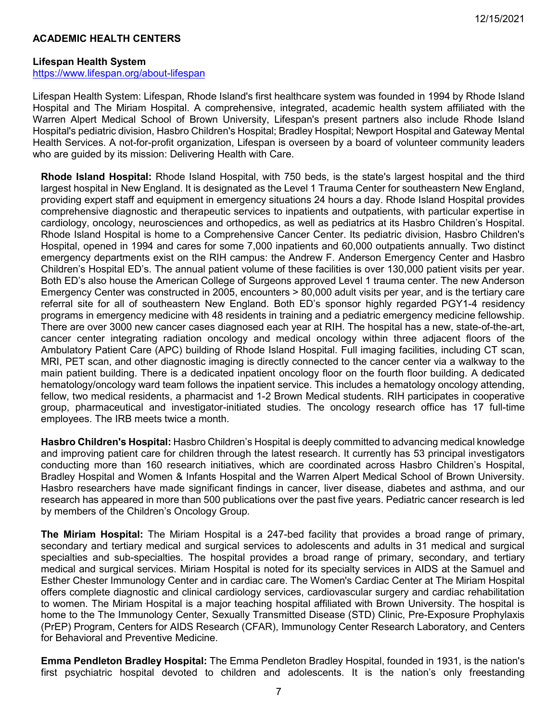## **ACADEMIC HEALTH CENTERS**

#### <span id="page-6-0"></span>**Lifespan Health System**

<https://www.lifespan.org/about-lifespan>

Lifespan Health System: Lifespan, Rhode Island's first healthcare system was founded in 1994 by Rhode Island Hospital and The Miriam Hospital. A comprehensive, integrated, academic health system affiliated with the Warren Alpert Medical School of Brown University, Lifespan's present partners also include Rhode Island Hospital's pediatric division, Hasbro Children's Hospital; Bradley Hospital; Newport Hospital and Gateway Mental Health Services. A not-for-profit organization, Lifespan is overseen by a board of volunteer community leaders who are guided by its mission: Delivering Health with Care.

**Rhode Island Hospital:** Rhode Island Hospital, with 750 beds, is the state's largest hospital and the third largest hospital in New England. It is designated as the Level 1 Trauma Center for southeastern New England, providing expert staff and equipment in emergency situations 24 hours a day. Rhode Island Hospital provides comprehensive diagnostic and therapeutic services to inpatients and outpatients, with particular expertise in cardiology, oncology, neurosciences and orthopedics, as well as pediatrics at its Hasbro Children's Hospital. Rhode Island Hospital is home to a Comprehensive Cancer Center. Its pediatric division, Hasbro Children's Hospital, opened in 1994 and cares for some 7,000 inpatients and 60,000 outpatients annually. Two distinct emergency departments exist on the RIH campus: the Andrew F. Anderson Emergency Center and Hasbro Children's Hospital ED's. The annual patient volume of these facilities is over 130,000 patient visits per year. Both ED's also house the American College of Surgeons approved Level 1 trauma center. The new Anderson Emergency Center was constructed in 2005, encounters > 80,000 adult visits per year, and is the tertiary care referral site for all of southeastern New England. Both ED's sponsor highly regarded PGY1-4 residency programs in emergency medicine with 48 residents in training and a pediatric emergency medicine fellowship. There are over 3000 new cancer cases diagnosed each year at RIH. The hospital has a new, state-of-the-art, cancer center integrating radiation oncology and medical oncology within three adjacent floors of the Ambulatory Patient Care (APC) building of Rhode Island Hospital. Full imaging facilities, including CT scan, MRI, PET scan, and other diagnostic imaging is directly connected to the cancer center via a walkway to the main patient building. There is a dedicated inpatient oncology floor on the fourth floor building. A dedicated hematology/oncology ward team follows the inpatient service. This includes a hematology oncology attending, fellow, two medical residents, a pharmacist and 1-2 Brown Medical students. RIH participates in cooperative group, pharmaceutical and investigator-initiated studies. The oncology research office has 17 full-time employees. The IRB meets twice a month.

**Hasbro Children's Hospital:** Hasbro Children's Hospital is deeply committed to advancing medical knowledge and improving patient care for children through the latest research. It currently has 53 principal investigators conducting more than 160 research initiatives, which are coordinated across Hasbro Children's Hospital, Bradley Hospital and Women & Infants Hospital and the Warren Alpert Medical School of Brown University. Hasbro researchers have made significant findings in cancer, liver disease, diabetes and asthma, and our research has appeared in more than 500 publications over the past five years. Pediatric cancer research is led by members of the Children's Oncology Group.

**The Miriam Hospital:** The Miriam Hospital is a 247-bed facility that provides a broad range of primary, secondary and tertiary medical and surgical services to adolescents and adults in 31 medical and surgical specialties and sub-specialties. The hospital provides a broad range of primary, secondary, and tertiary medical and surgical services. Miriam Hospital is noted for its specialty services in AIDS at the Samuel and Esther Chester Immunology Center and in cardiac care. The Women's Cardiac Center at The Miriam Hospital offers complete diagnostic and clinical cardiology services, cardiovascular surgery and cardiac rehabilitation to women. The Miriam Hospital is a major teaching hospital affiliated with Brown University. The hospital is home to the The Immunology Center, Sexually Transmitted Disease (STD) Clinic, Pre-Exposure Prophylaxis (PrEP) Program, Centers for AIDS Research (CFAR), Immunology Center Research Laboratory, and Centers for Behavioral and Preventive Medicine.

**Emma Pendleton Bradley Hospital:** The Emma Pendleton Bradley Hospital, founded in 1931, is the nation's first psychiatric hospital devoted to children and adolescents. It is the nation's only freestanding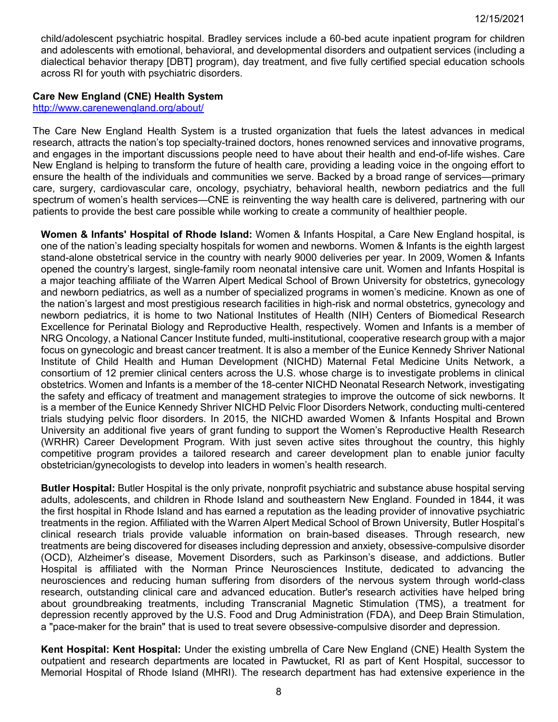child/adolescent psychiatric hospital. Bradley services include a 60-bed acute inpatient program for children and adolescents with emotional, behavioral, and developmental disorders and outpatient services (including a dialectical behavior therapy [DBT] program), day treatment, and five fully certified special education schools across RI for youth with psychiatric disorders.

## <span id="page-7-0"></span>**Care New England (CNE) Health System**

<http://www.carenewengland.org/about/>

The Care New England Health System is a trusted organization that fuels the latest advances in medical research, attracts the nation's top specialty-trained doctors, hones renowned services and innovative programs, and engages in the important discussions people need to have about their health and end-of-life wishes. Care New England is helping to transform the future of health care, providing a leading voice in the ongoing effort to ensure the health of the individuals and communities we serve. Backed by a broad range of services—primary care, surgery, cardiovascular care, oncology, psychiatry, behavioral health, newborn pediatrics and the full spectrum of women's health services—CNE is reinventing the way health care is delivered, partnering with our patients to provide the best care possible while working to create a community of healthier people.

**Women & Infants' Hospital of Rhode Island:** Women & Infants Hospital, a Care New England hospital, is one of the nation's leading specialty hospitals for women and newborns. Women & Infants is the eighth largest stand-alone obstetrical service in the country with nearly 9000 deliveries per year. In 2009, Women & Infants opened the country's largest, single-family room neonatal intensive care unit. Women and Infants Hospital is a major teaching affiliate of the Warren Alpert Medical School of Brown University for obstetrics, gynecology and newborn pediatrics, as well as a number of specialized programs in women's medicine. Known as one of the nation's largest and most prestigious research facilities in high-risk and normal obstetrics, gynecology and newborn pediatrics, it is home to two National Institutes of Health (NIH) Centers of Biomedical Research Excellence for Perinatal Biology and Reproductive Health, respectively. Women and Infants is a member of NRG Oncology, a National Cancer Institute funded, multi-institutional, cooperative research group with a major focus on gynecologic and breast cancer treatment. It is also a member of the Eunice Kennedy Shriver National Institute of Child Health and Human Development (NICHD) Maternal Fetal Medicine Units Network, a consortium of 12 premier clinical centers across the U.S. whose charge is to investigate problems in clinical obstetrics. Women and Infants is a member of the 18-center NICHD Neonatal Research Network, investigating the safety and efficacy of treatment and management strategies to improve the outcome of sick newborns. It is a member of the Eunice Kennedy Shriver NICHD Pelvic Floor Disorders Network, conducting multi-centered trials studying pelvic floor disorders. In 2015, the NICHD awarded Women & Infants Hospital and Brown University an additional five years of grant funding to support the Women's Reproductive Health Research (WRHR) Career Development Program. With just seven active sites throughout the country, this highly competitive program provides a tailored research and career development plan to enable junior faculty obstetrician/gynecologists to develop into leaders in women's health research.

**Butler Hospital:** Butler Hospital is the only private, nonprofit psychiatric and substance abuse hospital serving adults, adolescents, and children in Rhode Island and southeastern New England. Founded in 1844, it was the first hospital in Rhode Island and has earned a reputation as the leading provider of innovative psychiatric treatments in the region. Affiliated with the Warren Alpert Medical School of Brown University, Butler Hospital's clinical research trials provide valuable information on brain-based diseases. Through research, new treatments are being discovered for diseases including depression and anxiety, obsessive-compulsive disorder (OCD), Alzheimer's disease, Movement Disorders, such as Parkinson's disease, and addictions. Butler Hospital is affiliated with the Norman Prince Neurosciences Institute, dedicated to advancing the neurosciences and reducing human suffering from disorders of the nervous system through world-class research, outstanding clinical care and advanced education. Butler's research activities have helped bring about groundbreaking treatments, including Transcranial Magnetic Stimulation (TMS), a treatment for depression recently approved by the U.S. Food and Drug Administration (FDA), and Deep Brain Stimulation, a "pace-maker for the brain" that is used to treat severe obsessive-compulsive disorder and depression.

**Kent Hospital: Kent Hospital:** Under the existing umbrella of Care New England (CNE) Health System the outpatient and research departments are located in Pawtucket, RI as part of Kent Hospital, successor to Memorial Hospital of Rhode Island (MHRI). The research department has had extensive experience in the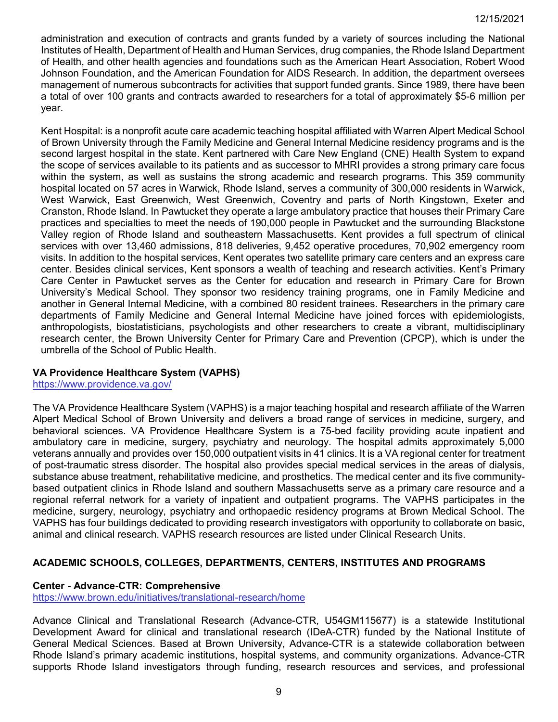administration and execution of contracts and grants funded by a variety of sources including the National Institutes of Health, Department of Health and Human Services, drug companies, the Rhode Island Department of Health, and other health agencies and foundations such as the American Heart Association, Robert Wood Johnson Foundation, and the American Foundation for AIDS Research. In addition, the department oversees management of numerous subcontracts for activities that support funded grants. Since 1989, there have been a total of over 100 grants and contracts awarded to researchers for a total of approximately \$5-6 million per year.

Kent Hospital: is a nonprofit acute care academic teaching hospital affiliated with Warren Alpert Medical School of Brown University through the Family Medicine and General Internal Medicine residency programs and is the second largest hospital in the state. Kent partnered with Care New England (CNE) Health System to expand the scope of services available to its patients and as successor to MHRI provides a strong primary care focus within the system, as well as sustains the strong academic and research programs. This 359 community hospital located on 57 acres in Warwick, Rhode Island, serves a community of 300,000 residents in Warwick, West Warwick, East Greenwich, West Greenwich, Coventry and parts of North Kingstown, Exeter and Cranston, Rhode Island. In Pawtucket they operate a large ambulatory practice that houses their Primary Care practices and specialties to meet the needs of 190,000 people in Pawtucket and the surrounding Blackstone Valley region of Rhode Island and southeastern Massachusetts. Kent provides a full spectrum of clinical services with over 13,460 admissions, 818 deliveries, 9,452 operative procedures, 70,902 emergency room visits. In addition to the hospital services, Kent operates two satellite primary care centers and an express care center. Besides clinical services, Kent sponsors a wealth of teaching and research activities. Kent's Primary Care Center in Pawtucket serves as the Center for education and research in Primary Care for Brown University's Medical School. They sponsor two residency training programs, one in Family Medicine and another in General Internal Medicine, with a combined 80 resident trainees. Researchers in the primary care departments of Family Medicine and General Internal Medicine have joined forces with epidemiologists, anthropologists, biostatisticians, psychologists and other researchers to create a vibrant, multidisciplinary research center, the Brown University Center for Primary Care and Prevention (CPCP), which is under the umbrella of the School of Public Health.

# <span id="page-8-1"></span>**VA Providence Healthcare System (VAPHS)**

<https://www.providence.va.gov/>

The VA Providence Healthcare System (VAPHS) is a major teaching hospital and research affiliate of the Warren Alpert Medical School of Brown University and delivers a broad range of services in medicine, surgery, and behavioral sciences. VA Providence Healthcare System is a 75-bed facility providing acute inpatient and ambulatory care in medicine, surgery, psychiatry and neurology. The hospital admits approximately 5,000 veterans annually and provides over 150,000 outpatient visits in 41 clinics. It is a VA regional center for treatment of post-traumatic stress disorder. The hospital also provides special medical services in the areas of dialysis, substance abuse treatment, rehabilitative medicine, and prosthetics. The medical center and its five communitybased outpatient clinics in Rhode Island and southern Massachusetts serve as a primary care resource and a regional referral network for a variety of inpatient and outpatient programs. The VAPHS participates in the medicine, surgery, neurology, psychiatry and orthopaedic residency programs at Brown Medical School. The VAPHS has four buildings dedicated to providing research investigators with opportunity to collaborate on basic, animal and clinical research. VAPHS research resources are listed under Clinical Research Units.

# <span id="page-8-0"></span>**ACADEMIC SCHOOLS, COLLEGES, DEPARTMENTS, CENTERS, INSTITUTES AND PROGRAMS**

## <span id="page-8-2"></span>**Center - Advance-CTR: Comprehensive**

<https://www.brown.edu/initiatives/translational-research/home>

Advance Clinical and Translational Research (Advance-CTR, U54GM115677) is a statewide Institutional Development Award for clinical and translational research (IDeA-CTR) funded by the National Institute of General Medical Sciences. Based at Brown University, Advance-CTR is a statewide collaboration between Rhode Island's primary academic institutions, hospital systems, and community organizations. Advance-CTR supports Rhode Island investigators through funding, research resources and services, and professional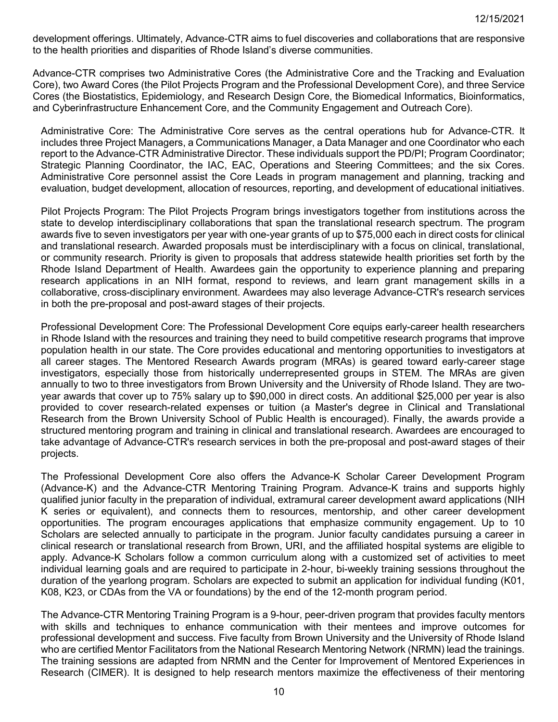development offerings. Ultimately, Advance-CTR aims to fuel discoveries and collaborations that are responsive to the health priorities and disparities of Rhode Island's diverse communities.

Advance-CTR comprises two Administrative Cores (the Administrative Core and the Tracking and Evaluation Core), two Award Cores (the Pilot Projects Program and the Professional Development Core), and three Service Cores (the Biostatistics, Epidemiology, and Research Design Core, the Biomedical Informatics, Bioinformatics, and Cyberinfrastructure Enhancement Core, and the Community Engagement and Outreach Core).

Administrative Core: The Administrative Core serves as the central operations hub for Advance-CTR. It includes three Project Managers, a Communications Manager, a Data Manager and one Coordinator who each report to the Advance-CTR Administrative Director. These individuals support the PD/PI; Program Coordinator; Strategic Planning Coordinator, the IAC, EAC, Operations and Steering Committees; and the six Cores. Administrative Core personnel assist the Core Leads in program management and planning, tracking and evaluation, budget development, allocation of resources, reporting, and development of educational initiatives.

Pilot Projects Program: The Pilot Projects Program brings investigators together from institutions across the state to develop interdisciplinary collaborations that span the translational research spectrum. The program awards five to seven investigators per year with one-year grants of up to \$75,000 each in direct costs for clinical and translational research. Awarded proposals must be interdisciplinary with a focus on clinical, translational, or community research. Priority is given to proposals that address statewide health priorities set forth by the Rhode Island Department of Health. Awardees gain the opportunity to experience planning and preparing research applications in an NIH format, respond to reviews, and learn grant management skills in a collaborative, cross-disciplinary environment. Awardees may also leverage Advance-CTR's research services in both the pre-proposal and post-award stages of their projects.

Professional Development Core: The Professional Development Core equips early-career health researchers in Rhode Island with the resources and training they need to build competitive research programs that improve population health in our state. The Core provides educational and mentoring opportunities to investigators at all career stages. The Mentored Research Awards program (MRAs) is geared toward early-career stage investigators, especially those from historically underrepresented groups in STEM. The MRAs are given annually to two to three investigators from Brown University and the University of Rhode Island. They are twoyear awards that cover up to 75% salary up to \$90,000 in direct costs. An additional \$25,000 per year is also provided to cover research-related expenses or tuition (a Master's degree in Clinical and Translational Research from the Brown University School of Public Health is encouraged). Finally, the awards provide a structured mentoring program and training in clinical and translational research. Awardees are encouraged to take advantage of Advance-CTR's research services in both the pre-proposal and post-award stages of their projects.

The Professional Development Core also offers the Advance-K Scholar Career Development Program (Advance-K) and the Advance-CTR Mentoring Training Program. Advance-K trains and supports highly qualified junior faculty in the preparation of individual, extramural career development award applications (NIH K series or equivalent), and connects them to resources, mentorship, and other career development opportunities. The program encourages applications that emphasize community engagement. Up to 10 Scholars are selected annually to participate in the program. Junior faculty candidates pursuing a career in clinical research or translational research from Brown, URI, and the affiliated hospital systems are eligible to apply. Advance-K Scholars follow a common curriculum along with a customized set of activities to meet individual learning goals and are required to participate in 2-hour, bi-weekly training sessions throughout the duration of the yearlong program. Scholars are expected to submit an application for individual funding (K01, K08, K23, or CDAs from the VA or foundations) by the end of the 12-month program period.

The Advance-CTR Mentoring Training Program is a 9-hour, peer-driven program that provides faculty mentors with skills and techniques to enhance communication with their mentees and improve outcomes for professional development and success. Five faculty from Brown University and the University of Rhode Island who are certified Mentor Facilitators from the National Research Mentoring Network (NRMN) lead the trainings. The training sessions are adapted from NRMN and the Center for Improvement of Mentored Experiences in Research (CIMER). It is designed to help research mentors maximize the effectiveness of their mentoring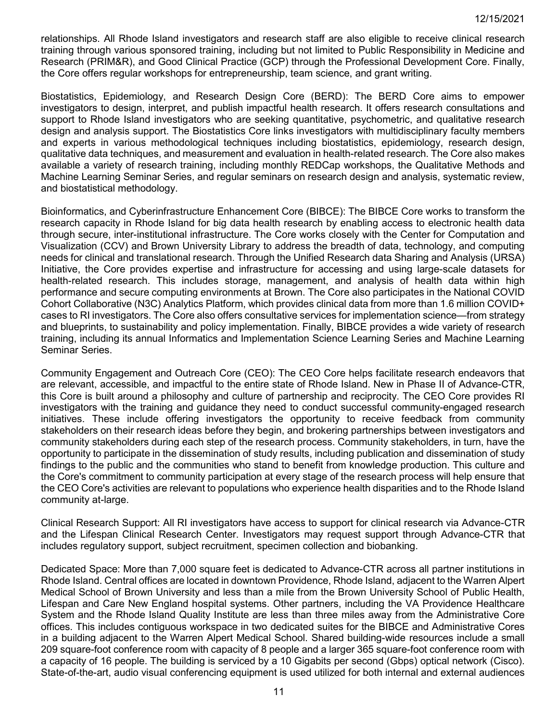relationships. All Rhode Island investigators and research staff are also eligible to receive clinical research training through various sponsored training, including but not limited to Public Responsibility in Medicine and Research (PRIM&R), and Good Clinical Practice (GCP) through the Professional Development Core. Finally, the Core offers regular workshops for entrepreneurship, team science, and grant writing.

Biostatistics, Epidemiology, and Research Design Core (BERD): The BERD Core aims to empower investigators to design, interpret, and publish impactful health research. It offers research consultations and support to Rhode Island investigators who are seeking quantitative, psychometric, and qualitative research design and analysis support. The Biostatistics Core links investigators with multidisciplinary faculty members and experts in various methodological techniques including biostatistics, epidemiology, research design, qualitative data techniques, and measurement and evaluation in health-related research. The Core also makes available a variety of research training, including monthly REDCap workshops, the Qualitative Methods and Machine Learning Seminar Series, and regular seminars on research design and analysis, systematic review, and biostatistical methodology.

Bioinformatics, and Cyberinfrastructure Enhancement Core (BIBCE): The BIBCE Core works to transform the research capacity in Rhode Island for big data health research by enabling access to electronic health data through secure, inter-institutional infrastructure. The Core works closely with the Center for Computation and Visualization (CCV) and Brown University Library to address the breadth of data, technology, and computing needs for clinical and translational research. Through the Unified Research data Sharing and Analysis (URSA) Initiative, the Core provides expertise and infrastructure for accessing and using large-scale datasets for health-related research. This includes storage, management, and analysis of health data within high performance and secure computing environments at Brown. The Core also participates in the National COVID Cohort Collaborative (N3C) Analytics Platform, which provides clinical data from more than 1.6 million COVID+ cases to RI investigators. The Core also offers consultative services for implementation science—from strategy and blueprints, to sustainability and policy implementation. Finally, BIBCE provides a wide variety of research training, including its annual Informatics and Implementation Science Learning Series and Machine Learning Seminar Series.

Community Engagement and Outreach Core (CEO): The CEO Core helps facilitate research endeavors that are relevant, accessible, and impactful to the entire state of Rhode Island. New in Phase II of Advance-CTR, this Core is built around a philosophy and culture of partnership and reciprocity. The CEO Core provides RI investigators with the training and guidance they need to conduct successful community-engaged research initiatives. These include offering investigators the opportunity to receive feedback from community stakeholders on their research ideas before they begin, and brokering partnerships between investigators and community stakeholders during each step of the research process. Community stakeholders, in turn, have the opportunity to participate in the dissemination of study results, including publication and dissemination of study findings to the public and the communities who stand to benefit from knowledge production. This culture and the Core's commitment to community participation at every stage of the research process will help ensure that the CEO Core's activities are relevant to populations who experience health disparities and to the Rhode Island community at-large.

Clinical Research Support: All RI investigators have access to support for clinical research via Advance-CTR and the Lifespan Clinical Research Center. Investigators may request support through Advance-CTR that includes regulatory support, subject recruitment, specimen collection and biobanking.

Dedicated Space: More than 7,000 square feet is dedicated to Advance-CTR across all partner institutions in Rhode Island. Central offices are located in downtown Providence, Rhode Island, adjacent to the Warren Alpert Medical School of Brown University and less than a mile from the Brown University School of Public Health, Lifespan and Care New England hospital systems. Other partners, including the VA Providence Healthcare System and the Rhode Island Quality Institute are less than three miles away from the Administrative Core offices. This includes contiguous workspace in two dedicated suites for the BIBCE and Administrative Cores in a building adjacent to the Warren Alpert Medical School. Shared building-wide resources include a small 209 square-foot conference room with capacity of 8 people and a larger 365 square-foot conference room with a capacity of 16 people. The building is serviced by a 10 Gigabits per second (Gbps) optical network (Cisco). State-of-the-art, audio visual conferencing equipment is used utilized for both internal and external audiences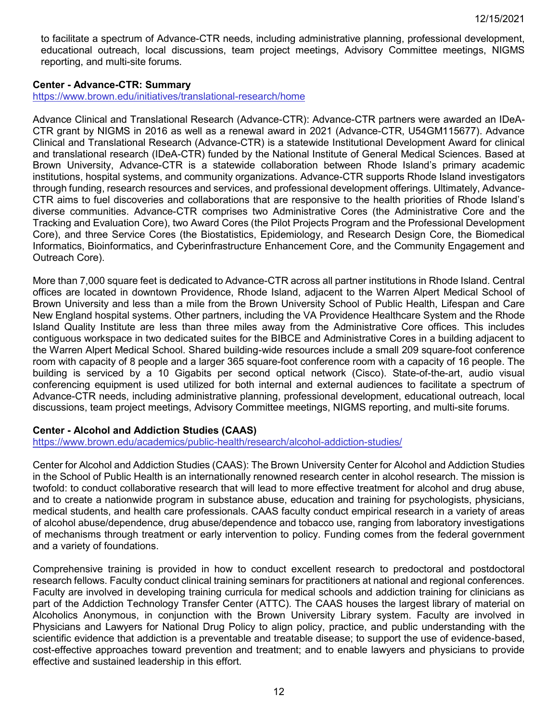to facilitate a spectrum of Advance-CTR needs, including administrative planning, professional development, educational outreach, local discussions, team project meetings, Advisory Committee meetings, NIGMS reporting, and multi-site forums.

## <span id="page-11-0"></span>**Center - Advance-CTR: Summary**

<https://www.brown.edu/initiatives/translational-research/home>

Advance Clinical and Translational Research (Advance-CTR): Advance-CTR partners were awarded an IDeA-CTR grant by NIGMS in 2016 as well as a renewal award in 2021 (Advance-CTR, U54GM115677). Advance Clinical and Translational Research (Advance-CTR) is a statewide Institutional Development Award for clinical and translational research (IDeA-CTR) funded by the National Institute of General Medical Sciences. Based at Brown University, Advance-CTR is a statewide collaboration between Rhode Island's primary academic institutions, hospital systems, and community organizations. Advance-CTR supports Rhode Island investigators through funding, research resources and services, and professional development offerings. Ultimately, Advance-CTR aims to fuel discoveries and collaborations that are responsive to the health priorities of Rhode Island's diverse communities. Advance-CTR comprises two Administrative Cores (the Administrative Core and the Tracking and Evaluation Core), two Award Cores (the Pilot Projects Program and the Professional Development Core), and three Service Cores (the Biostatistics, Epidemiology, and Research Design Core, the Biomedical Informatics, Bioinformatics, and Cyberinfrastructure Enhancement Core, and the Community Engagement and Outreach Core).

More than 7,000 square feet is dedicated to Advance-CTR across all partner institutions in Rhode Island. Central offices are located in downtown Providence, Rhode Island, adjacent to the Warren Alpert Medical School of Brown University and less than a mile from the Brown University School of Public Health, Lifespan and Care New England hospital systems. Other partners, including the VA Providence Healthcare System and the Rhode Island Quality Institute are less than three miles away from the Administrative Core offices. This includes contiguous workspace in two dedicated suites for the BIBCE and Administrative Cores in a building adjacent to the Warren Alpert Medical School. Shared building-wide resources include a small 209 square-foot conference room with capacity of 8 people and a larger 365 square-foot conference room with a capacity of 16 people. The building is serviced by a 10 Gigabits per second optical network (Cisco). State-of-the-art, audio visual conferencing equipment is used utilized for both internal and external audiences to facilitate a spectrum of Advance-CTR needs, including administrative planning, professional development, educational outreach, local discussions, team project meetings, Advisory Committee meetings, NIGMS reporting, and multi-site forums.

## <span id="page-11-1"></span>**Center - Alcohol and Addiction Studies (CAAS)**

<https://www.brown.edu/academics/public-health/research/alcohol-addiction-studies/>

Center for Alcohol and Addiction Studies (CAAS): The Brown University Center for Alcohol and Addiction Studies in the School of Public Health is an internationally renowned research center in alcohol research. The mission is twofold: to conduct collaborative research that will lead to more effective treatment for alcohol and drug abuse, and to create a nationwide program in substance abuse, education and training for psychologists, physicians, medical students, and health care professionals. CAAS faculty conduct empirical research in a variety of areas of alcohol abuse/dependence, drug abuse/dependence and tobacco use, ranging from laboratory investigations of mechanisms through treatment or early intervention to policy. Funding comes from the federal government and a variety of foundations.

Comprehensive training is provided in how to conduct excellent research to predoctoral and postdoctoral research fellows. Faculty conduct clinical training seminars for practitioners at national and regional conferences. Faculty are involved in developing training curricula for medical schools and addiction training for clinicians as part of the Addiction Technology Transfer Center (ATTC). The CAAS houses the largest library of material on Alcoholics Anonymous, in conjunction with the Brown University Library system. Faculty are involved in Physicians and Lawyers for National Drug Policy to align policy, practice, and public understanding with the scientific evidence that addiction is a preventable and treatable disease; to support the use of evidence-based, cost-effective approaches toward prevention and treatment; and to enable lawyers and physicians to provide effective and sustained leadership in this effort.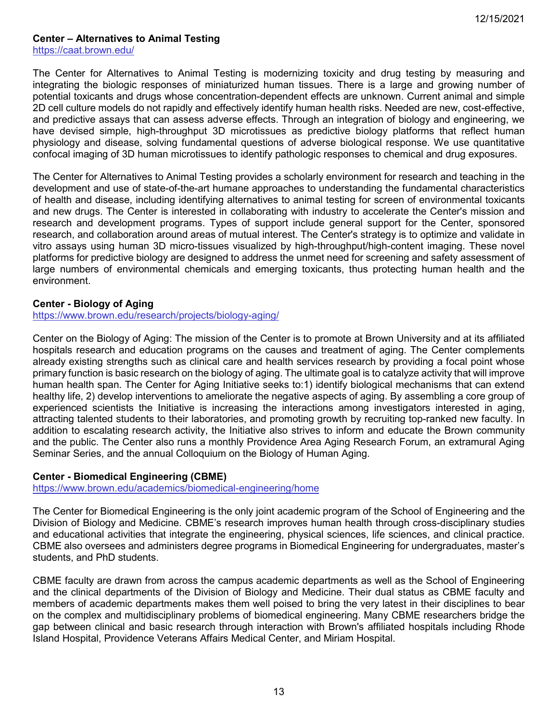## <span id="page-12-0"></span>**Center – Alternatives to Animal Testing**

<https://caat.brown.edu/>

The Center for Alternatives to Animal Testing is modernizing toxicity and drug testing by measuring and integrating the biologic responses of miniaturized human tissues. There is a large and growing number of potential toxicants and drugs whose concentration-dependent effects are unknown. Current animal and simple 2D cell culture models do not rapidly and effectively identify human health risks. Needed are new, cost-effective, and predictive assays that can assess adverse effects. Through an integration of biology and engineering, we have devised simple, high-throughput 3D microtissues as predictive biology platforms that reflect human physiology and disease, solving fundamental questions of adverse biological response. We use quantitative confocal imaging of 3D human microtissues to identify pathologic responses to chemical and drug exposures.

The Center for Alternatives to Animal Testing provides a scholarly environment for research and teaching in the development and use of state-of-the-art humane approaches to understanding the fundamental characteristics of health and disease, including identifying alternatives to animal testing for screen of environmental toxicants and new drugs. The Center is interested in collaborating with industry to accelerate the Center's mission and research and development programs. Types of support include general support for the Center, sponsored research, and collaboration around areas of mutual interest. The Center's strategy is to optimize and validate in vitro assays using human 3D micro-tissues visualized by high-throughput/high-content imaging. These novel platforms for predictive biology are designed to address the unmet need for screening and safety assessment of large numbers of environmental chemicals and emerging toxicants, thus protecting human health and the environment.

### <span id="page-12-1"></span>**Center - Biology of Aging**

<https://www.brown.edu/research/projects/biology-aging/>

Center on the Biology of Aging: The mission of the Center is to promote at Brown University and at its affiliated hospitals research and education programs on the causes and treatment of aging. The Center complements already existing strengths such as clinical care and health services research by providing a focal point whose primary function is basic research on the biology of aging. The ultimate goal is to catalyze activity that will improve human health span. The Center for Aging Initiative seeks to:1) identify biological mechanisms that can extend healthy life, 2) develop interventions to ameliorate the negative aspects of aging. By assembling a core group of experienced scientists the Initiative is increasing the interactions among investigators interested in aging, attracting talented students to their laboratories, and promoting growth by recruiting top-ranked new faculty. In addition to escalating research activity, the Initiative also strives to inform and educate the Brown community and the public. The Center also runs a monthly Providence Area Aging Research Forum, an extramural Aging Seminar Series, and the annual Colloquium on the Biology of Human Aging.

### <span id="page-12-2"></span>**Center - Biomedical Engineering (CBME)**

<https://www.brown.edu/academics/biomedical-engineering/home>

The Center for Biomedical Engineering is the only joint academic program of the School of Engineering and the Division of Biology and Medicine. CBME's research improves human health through cross-disciplinary studies and educational activities that integrate the engineering, physical sciences, life sciences, and clinical practice. CBME also oversees and administers degree programs in Biomedical Engineering for undergraduates, master's students, and PhD students.

CBME faculty are drawn from across the campus academic departments as well as the School of Engineering and the clinical departments of the Division of Biology and Medicine. Their dual status as CBME faculty and members of academic departments makes them well poised to bring the very latest in their disciplines to bear on the complex and multidisciplinary problems of biomedical engineering. Many CBME researchers bridge the gap between clinical and basic research through interaction with Brown's affiliated hospitals including Rhode Island Hospital, Providence Veterans Affairs Medical Center, and Miriam Hospital.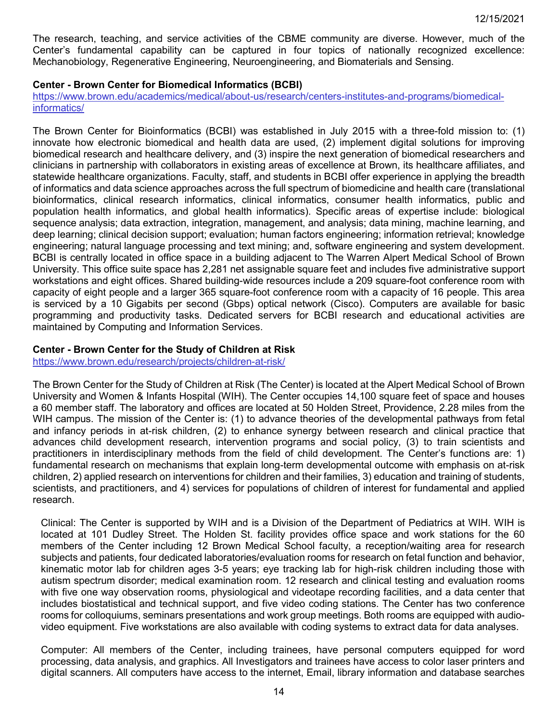The research, teaching, and service activities of the CBME community are diverse. However, much of the Center's fundamental capability can be captured in four topics of nationally recognized excellence: Mechanobiology, Regenerative Engineering, Neuroengineering, and Biomaterials and Sensing.

## <span id="page-13-0"></span>**Center - Brown Center for Biomedical Informatics (BCBI)**

[https://www.brown.edu/academics/medical/about-us/research/centers-institutes-and-programs/biomedical](https://www.brown.edu/academics/medical/about-us/research/centers-institutes-and-programs/biomedical-informatics/)[informatics/](https://www.brown.edu/academics/medical/about-us/research/centers-institutes-and-programs/biomedical-informatics/)

The Brown Center for Bioinformatics (BCBI) was established in July 2015 with a three-fold mission to: (1) innovate how electronic biomedical and health data are used, (2) implement digital solutions for improving biomedical research and healthcare delivery, and (3) inspire the next generation of biomedical researchers and clinicians in partnership with collaborators in existing areas of excellence at Brown, its healthcare affiliates, and statewide healthcare organizations. Faculty, staff, and students in BCBI offer experience in applying the breadth of informatics and data science approaches across the full spectrum of biomedicine and health care (translational bioinformatics, clinical research informatics, clinical informatics, consumer health informatics, public and population health informatics, and global health informatics). Specific areas of expertise include: biological sequence analysis; data extraction, integration, management, and analysis; data mining, machine learning, and deep learning; clinical decision support; evaluation; human factors engineering; information retrieval; knowledge engineering; natural language processing and text mining; and, software engineering and system development. BCBI is centrally located in office space in a building adjacent to The Warren Alpert Medical School of Brown University. This office suite space has 2,281 net assignable square feet and includes five administrative support workstations and eight offices. Shared building-wide resources include a 209 square-foot conference room with capacity of eight people and a larger 365 square-foot conference room with a capacity of 16 people. This area is serviced by a 10 Gigabits per second (Gbps) optical network (Cisco). Computers are available for basic programming and productivity tasks. Dedicated servers for BCBI research and educational activities are maintained by Computing and Information Services.

### <span id="page-13-1"></span>**Center - Brown Center for the Study of Children at Risk**

<https://www.brown.edu/research/projects/children-at-risk/>

The Brown Center for the Study of Children at Risk (The Center) is located at the Alpert Medical School of Brown University and Women & Infants Hospital (WIH). The Center occupies 14,100 square feet of space and houses a 60 member staff. The laboratory and offices are located at 50 Holden Street, Providence, 2.28 miles from the WIH campus. The mission of the Center is: (1) to advance theories of the developmental pathways from fetal and infancy periods in at-risk children, (2) to enhance synergy between research and clinical practice that advances child development research, intervention programs and social policy, (3) to train scientists and practitioners in interdisciplinary methods from the field of child development. The Center's functions are: 1) fundamental research on mechanisms that explain long-term developmental outcome with emphasis on at-risk children, 2) applied research on interventions for children and their families, 3) education and training of students, scientists, and practitioners, and 4) services for populations of children of interest for fundamental and applied research.

Clinical: The Center is supported by WIH and is a Division of the Department of Pediatrics at WIH. WIH is located at 101 Dudley Street. The Holden St. facility provides office space and work stations for the 60 members of the Center including 12 Brown Medical School faculty, a reception/waiting area for research subjects and patients, four dedicated laboratories/evaluation rooms for research on fetal function and behavior, kinematic motor lab for children ages 3-5 years; eye tracking lab for high-risk children including those with autism spectrum disorder; medical examination room. 12 research and clinical testing and evaluation rooms with five one way observation rooms, physiological and videotape recording facilities, and a data center that includes biostatistical and technical support, and five video coding stations. The Center has two conference rooms for colloquiums, seminars presentations and work group meetings. Both rooms are equipped with audiovideo equipment. Five workstations are also available with coding systems to extract data for data analyses.

Computer: All members of the Center, including trainees, have personal computers equipped for word processing, data analysis, and graphics. All Investigators and trainees have access to color laser printers and digital scanners. All computers have access to the internet, Email, library information and database searches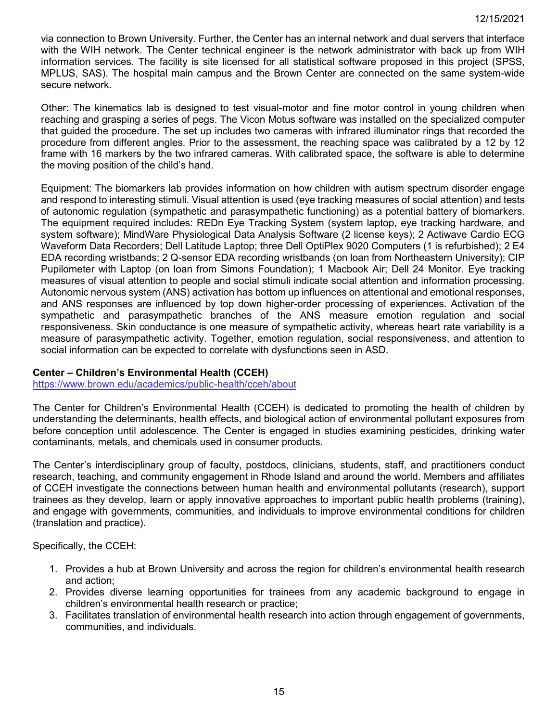via connection to Brown University. Further, the Center has an internal network and dual servers that interface with the WIH network. The Center technical engineer is the network administrator with back up from WIH information services. The facility is site licensed for all statistical software proposed in this project (SPSS, MPLUS, SAS). The hospital main campus and the Brown Center are connected on the same system-wide secure network.

Other: The kinematics lab is designed to test visual-motor and fine motor control in young children when reaching and grasping a series of pegs. The Vicon Motus software was installed on the specialized computer that guided the procedure. The set up includes two cameras with infrared illuminator rings that recorded the procedure from different angles. Prior to the assessment, the reaching space was calibrated by a 12 by 12 frame with 16 markers by the two infrared cameras. With calibrated space, the software is able to determine the moving position of the child's hand.

Equipment: The biomarkers lab provides information on how children with autism spectrum disorder engage and respond to interesting stimuli. Visual attention is used (eye tracking measures of social attention) and tests of autonomic regulation (sympathetic and parasympathetic functioning) as a potential battery of biomarkers. The equipment required includes: REDn Eye Tracking System (system laptop, eye tracking hardware, and system software); MindWare Physiological Data Analysis Software (2 license keys); 2 Actiwave Cardio ECG Waveform Data Recorders; Dell Latitude Laptop; three Dell OptiPlex 9020 Computers (1 is refurbished); 2 E4 EDA recording wristbands; 2 Q-sensor EDA recording wristbands (on loan from Northeastern University); CIP Pupilometer with Laptop (on loan from Simons Foundation); 1 Macbook Air; Dell 24 Monitor. Eye tracking measures of visual attention to people and social stimuli indicate social attention and information processing. Autonomic nervous system (ANS) activation has bottom up influences on attentional and emotional responses, and ANS responses are influenced by top down higher-order processing of experiences. Activation of the sympathetic and parasympathetic branches of the ANS measure emotion regulation and social responsiveness. Skin conductance is one measure of sympathetic activity, whereas heart rate variability is a measure of parasympathetic activity. Together, emotion regulation, social responsiveness, and attention to social information can be expected to correlate with dysfunctions seen in ASD.

# <span id="page-14-0"></span>**Center – Children's Environmental Health (CCEH)**

<https://www.brown.edu/academics/public-health/cceh/about>

The Center for Children's Environmental Health (CCEH) is dedicated to promoting the health of children by understanding the determinants, health effects, and biological action of environmental pollutant exposures from before conception until adolescence. The Center is engaged in studies examining pesticides, drinking water contaminants, metals, and chemicals used in consumer products.

The Center's interdisciplinary group of faculty, postdocs, clinicians, students, staff, and practitioners conduct research, teaching, and community engagement in Rhode Island and around the world. Members and affiliates of CCEH investigate the connections between human health and environmental pollutants (research), support trainees as they develop, learn or apply innovative approaches to important public health problems (training), and engage with governments, communities, and individuals to improve environmental conditions for children (translation and practice).

Specifically, the CCEH:

- 1. Provides a hub at Brown University and across the region for children's environmental health research and action;
- 2. Provides diverse learning opportunities for trainees from any academic background to engage in children's environmental health research or practice;
- <span id="page-14-1"></span>3. Facilitates translation of environmental health research into action through engagement of governments, communities, and individuals.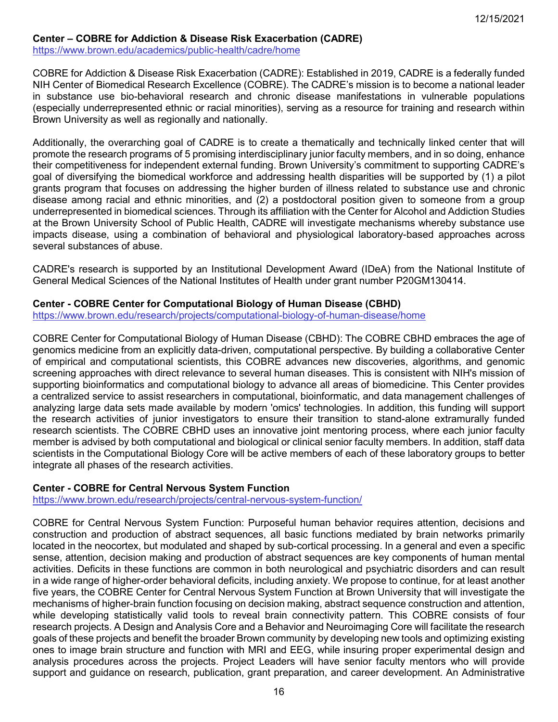## **Center – COBRE for Addiction & Disease Risk Exacerbation (CADRE)**

<https://www.brown.edu/academics/public-health/cadre/home>

COBRE for Addiction & Disease Risk Exacerbation (CADRE): Established in 2019, CADRE is a federally funded NIH Center of Biomedical Research Excellence (COBRE). The CADRE's mission is to become a national leader in substance use bio-behavioral research and chronic disease manifestations in vulnerable populations (especially underrepresented ethnic or racial minorities), serving as a resource for training and research within Brown University as well as regionally and nationally.

Additionally, the overarching goal of CADRE is to create a thematically and technically linked center that will promote the research programs of 5 promising interdisciplinary junior faculty members, and in so doing, enhance their competitiveness for independent external funding. Brown University's commitment to supporting CADRE's goal of diversifying the biomedical workforce and addressing health disparities will be supported by (1) a pilot grants program that focuses on addressing the higher burden of illness related to substance use and chronic disease among racial and ethnic minorities, and (2) a postdoctoral position given to someone from a group underrepresented in biomedical sciences. Through its affiliation with the Center for Alcohol and Addiction Studies at the Brown University School of Public Health, CADRE will investigate mechanisms whereby substance use impacts disease, using a combination of behavioral and physiological laboratory-based approaches across several substances of abuse.

CADRE's research is supported by an Institutional Development Award (IDeA) from the National Institute of General Medical Sciences of the National Institutes of Health under grant number P20GM130414.

### <span id="page-15-0"></span>**Center - COBRE Center for Computational Biology of Human Disease (CBHD)**

<https://www.brown.edu/research/projects/computational-biology-of-human-disease/home>

COBRE Center for Computational Biology of Human Disease (CBHD): The COBRE CBHD embraces the age of genomics medicine from an explicitly data-driven, computational perspective. By building a collaborative Center of empirical and computational scientists, this COBRE advances new discoveries, algorithms, and genomic screening approaches with direct relevance to several human diseases. This is consistent with NIH's mission of supporting bioinformatics and computational biology to advance all areas of biomedicine. This Center provides a centralized service to assist researchers in computational, bioinformatic, and data management challenges of analyzing large data sets made available by modern 'omics' technologies. In addition, this funding will support the research activities of junior investigators to ensure their transition to stand-alone extramurally funded research scientists. The COBRE CBHD uses an innovative joint mentoring process, where each junior faculty member is advised by both computational and biological or clinical senior faculty members. In addition, staff data scientists in the Computational Biology Core will be active members of each of these laboratory groups to better integrate all phases of the research activities.

## <span id="page-15-1"></span>**Center - COBRE for Central Nervous System Function**

<https://www.brown.edu/research/projects/central-nervous-system-function/>

COBRE for Central Nervous System Function: Purposeful human behavior requires attention, decisions and construction and production of abstract sequences, all basic functions mediated by brain networks primarily located in the neocortex, but modulated and shaped by sub-cortical processing. In a general and even a specific sense, attention, decision making and production of abstract sequences are key components of human mental activities. Deficits in these functions are common in both neurological and psychiatric disorders and can result in a wide range of higher-order behavioral deficits, including anxiety. We propose to continue, for at least another five years, the COBRE Center for Central Nervous System Function at Brown University that will investigate the mechanisms of higher-brain function focusing on decision making, abstract sequence construction and attention, while developing statistically valid tools to reveal brain connectivity pattern. This COBRE consists of four research projects. A Design and Analysis Core and a Behavior and Neuroimaging Core will facilitate the research goals of these projects and benefit the broader Brown community by developing new tools and optimizing existing ones to image brain structure and function with MRI and EEG, while insuring proper experimental design and analysis procedures across the projects. Project Leaders will have senior faculty mentors who will provide support and guidance on research, publication, grant preparation, and career development. An Administrative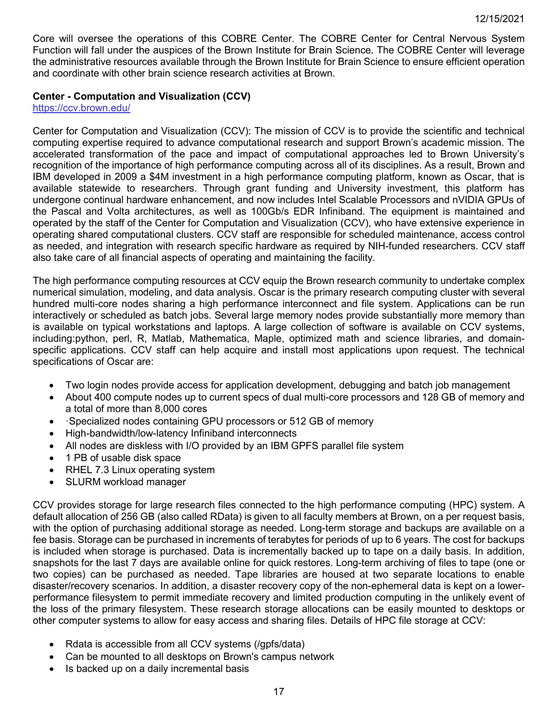Core will oversee the operations of this COBRE Center. The COBRE Center for Central Nervous System Function will fall under the auspices of the Brown Institute for Brain Science. The COBRE Center will leverage the administrative resources available through the Brown Institute for Brain Science to ensure efficient operation and coordinate with other brain science research activities at Brown.

## **Center - Computation and Visualization (CCV)**

<https://ccv.brown.edu/>

Center for Computation and Visualization (CCV): The mission of CCV is to provide the scientific and technical computing expertise required to advance computational research and support Brown's academic mission. The accelerated transformation of the pace and impact of computational approaches led to Brown University's recognition of the importance of high performance computing across all of its disciplines. As a result, Brown and IBM developed in 2009 a \$4M investment in a high performance computing platform, known as Oscar, that is available statewide to researchers. Through grant funding and University investment, this platform has undergone continual hardware enhancement, and now includes Intel Scalable Processors and nVIDIA GPUs of the Pascal and Volta architectures, as well as 100Gb/s EDR Infiniband. The equipment is maintained and operated by the staff of the Center for Computation and Visualization (CCV), who have extensive experience in operating shared computational clusters. CCV staff are responsible for scheduled maintenance, access control as needed, and integration with research specific hardware as required by NIH-funded researchers. CCV staff also take care of all financial aspects of operating and maintaining the facility.

The high performance computing resources at CCV equip the Brown research community to undertake complex numerical simulation, modeling, and data analysis. Oscar is the primary research computing cluster with several hundred multi-core nodes sharing a high performance interconnect and file system. Applications can be run interactively or scheduled as batch jobs. Several large memory nodes provide substantially more memory than is available on typical workstations and laptops. A large collection of software is available on CCV systems, including:python, perl, R, Matlab, Mathematica, Maple, optimized math and science libraries, and domainspecific applications. CCV staff can help acquire and install most applications upon request. The technical specifications of Oscar are:

- Two login nodes provide access for application development, debugging and batch job management
- About 400 compute nodes up to current specs of dual multi-core processors and 128 GB of memory and a total of more than 8,000 cores
- ·Specialized nodes containing GPU processors or 512 GB of memory
- High-bandwidth/low-latency Infiniband interconnects
- All nodes are diskless with I/O provided by an IBM GPFS parallel file system
- 1 PB of usable disk space
- RHEL 7.3 Linux operating system
- SLURM workload manager

CCV provides storage for large research files connected to the high performance computing (HPC) system. A default allocation of 256 GB (also called RData) is given to all faculty members at Brown, on a per request basis, with the option of purchasing additional storage as needed. Long-term storage and backups are available on a fee basis. Storage can be purchased in increments of terabytes for periods of up to 6 years. The cost for backups is included when storage is purchased. Data is incrementally backed up to tape on a daily basis. In addition, snapshots for the last 7 days are available online for quick restores. Long-term archiving of files to tape (one or two copies) can be purchased as needed. Tape libraries are housed at two separate locations to enable disaster/recovery scenarios. In addition, a disaster recovery copy of the non-ephemeral data is kept on a lowerperformance filesystem to permit immediate recovery and limited production computing in the unlikely event of the loss of the primary filesystem. These research storage allocations can be easily mounted to desktops or other computer systems to allow for easy access and sharing files. Details of HPC file storage at CCV:

- Rdata is accessible from all CCV systems (/gpfs/data)
- Can be mounted to all desktops on Brown's campus network
- Is backed up on a daily incremental basis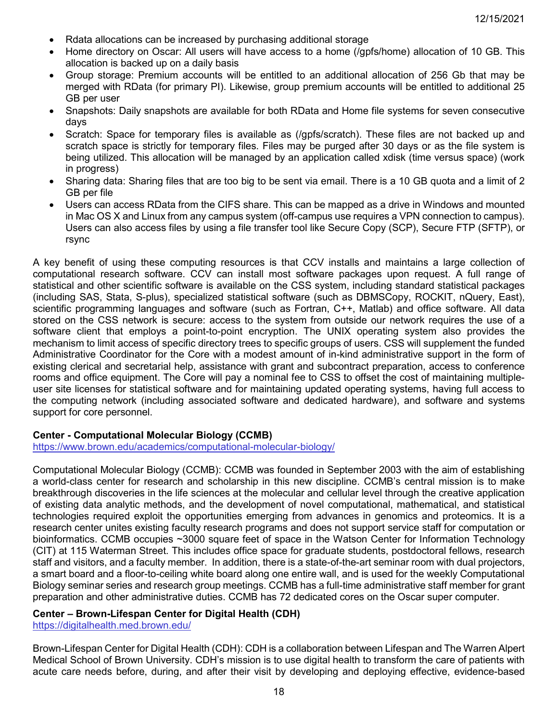- Rdata allocations can be increased by purchasing additional storage
- Home directory on Oscar: All users will have access to a home (/gpfs/home) allocation of 10 GB. This allocation is backed up on a daily basis
- Group storage: Premium accounts will be entitled to an additional allocation of 256 Gb that may be merged with RData (for primary PI). Likewise, group premium accounts will be entitled to additional 25 GB per user
- Snapshots: Daily snapshots are available for both RData and Home file systems for seven consecutive days
- Scratch: Space for temporary files is available as (/gpfs/scratch). These files are not backed up and scratch space is strictly for temporary files. Files may be purged after 30 days or as the file system is being utilized. This allocation will be managed by an application called xdisk (time versus space) (work in progress)
- Sharing data: Sharing files that are too big to be sent via email. There is a 10 GB quota and a limit of 2 GB per file
- Users can access RData from the CIFS share. This can be mapped as a drive in Windows and mounted in Mac OS X and Linux from any campus system (off-campus use requires a VPN connection to campus). Users can also access files by using a file transfer tool like Secure Copy (SCP), Secure FTP (SFTP), or rsync

A key benefit of using these computing resources is that CCV installs and maintains a large collection of computational research software. CCV can install most software packages upon request. A full range of statistical and other scientific software is available on the CSS system, including standard statistical packages (including SAS, Stata, S-plus), specialized statistical software (such as DBMSCopy, ROCKIT, nQuery, East), scientific programming languages and software (such as Fortran, C++, Matlab) and office software. All data stored on the CSS network is secure: access to the system from outside our network requires the use of a software client that employs a point-to-point encryption. The UNIX operating system also provides the mechanism to limit access of specific directory trees to specific groups of users. CSS will supplement the funded Administrative Coordinator for the Core with a modest amount of in-kind administrative support in the form of existing clerical and secretarial help, assistance with grant and subcontract preparation, access to conference rooms and office equipment. The Core will pay a nominal fee to CSS to offset the cost of maintaining multipleuser site licenses for statistical software and for maintaining updated operating systems, having full access to the computing network (including associated software and dedicated hardware), and software and systems support for core personnel.

## <span id="page-17-0"></span>**Center - Computational Molecular Biology (CCMB)**

<https://www.brown.edu/academics/computational-molecular-biology/>

Computational Molecular Biology (CCMB): CCMB was founded in September 2003 with the aim of establishing a world-class center for research and scholarship in this new discipline. CCMB's central mission is to make breakthrough discoveries in the life sciences at the molecular and cellular level through the creative application of existing data analytic methods, and the development of novel computational, mathematical, and statistical technologies required exploit the opportunities emerging from advances in genomics and proteomics. It is a research center unites existing faculty research programs and does not support service staff for computation or bioinformatics. CCMB occupies ~3000 square feet of space in the Watson Center for Information Technology (CIT) at 115 Waterman Street. This includes office space for graduate students, postdoctoral fellows, research staff and visitors, and a faculty member. In addition, there is a state-of-the-art seminar room with dual projectors, a smart board and a floor-to-ceiling white board along one entire wall, and is used for the weekly Computational Biology seminar series and research group meetings. CCMB has a full-time administrative staff member for grant preparation and other administrative duties. CCMB has 72 dedicated cores on the Oscar super computer.

## <span id="page-17-1"></span>**Center – Brown-Lifespan Center for Digital Health (CDH)**

<https://digitalhealth.med.brown.edu/>

Brown-Lifespan Center for Digital Health (CDH): CDH is a collaboration between Lifespan and The Warren Alpert Medical School of Brown University. CDH's mission is to use digital health to transform the care of patients with acute care needs before, during, and after their visit by developing and deploying effective, evidence-based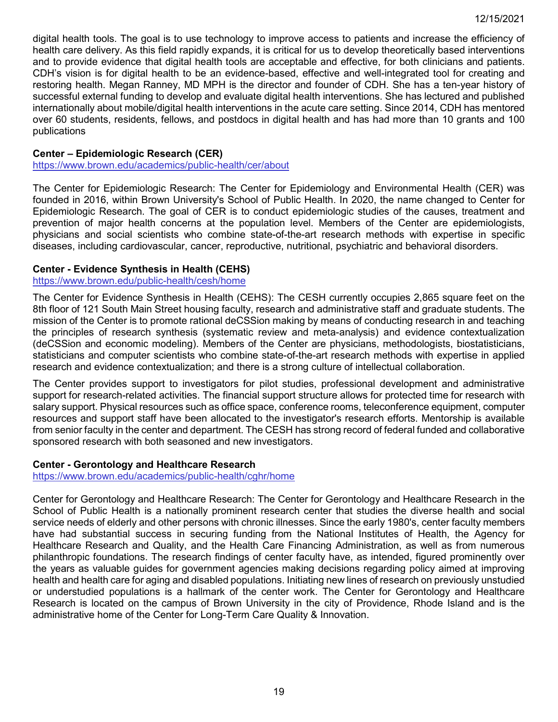digital health tools. The goal is to use technology to improve access to patients and increase the efficiency of health care delivery. As this field rapidly expands, it is critical for us to develop theoretically based interventions and to provide evidence that digital health tools are acceptable and effective, for both clinicians and patients. CDH's vision is for digital health to be an evidence-based, effective and well-integrated tool for creating and restoring health. Megan Ranney, MD MPH is the director and founder of CDH. She has a ten-year history of successful external funding to develop and evaluate digital health interventions. She has lectured and published internationally about mobile/digital health interventions in the acute care setting. Since 2014, CDH has mentored over 60 students, residents, fellows, and postdocs in digital health and has had more than 10 grants and 100 publications

## <span id="page-18-0"></span>**Center – Epidemiologic Research (CER)**

<https://www.brown.edu/academics/public-health/cer/about>

The Center for Epidemiologic Research: The Center for Epidemiology and Environmental Health (CER) was founded in 2016, within Brown University's School of Public Health. In 2020, the name changed to Center for Epidemiologic Research. The goal of CER is to conduct epidemiologic studies of the causes, treatment and prevention of major health concerns at the population level. Members of the Center are epidemiologists, physicians and social scientists who combine state-of-the-art research methods with expertise in specific diseases, including cardiovascular, cancer, reproductive, nutritional, psychiatric and behavioral disorders.

### <span id="page-18-1"></span>**Center - Evidence Synthesis in Health (CEHS)**

## <https://www.brown.edu/public-health/cesh/home>

The Center for Evidence Synthesis in Health (CEHS): The CESH currently occupies 2,865 square feet on the 8th floor of 121 South Main Street housing faculty, research and administrative staff and graduate students. The mission of the Center is to promote rational deCSSion making by means of conducting research in and teaching the principles of research synthesis (systematic review and meta-analysis) and evidence contextualization (deCSSion and economic modeling). Members of the Center are physicians, methodologists, biostatisticians, statisticians and computer scientists who combine state-of-the-art research methods with expertise in applied research and evidence contextualization; and there is a strong culture of intellectual collaboration.

The Center provides support to investigators for pilot studies, professional development and administrative support for research-related activities. The financial support structure allows for protected time for research with salary support. Physical resources such as office space, conference rooms, teleconference equipment, computer resources and support staff have been allocated to the investigator's research efforts. Mentorship is available from senior faculty in the center and department. The CESH has strong record of federal funded and collaborative sponsored research with both seasoned and new investigators.

## <span id="page-18-2"></span>**Center - Gerontology and Healthcare Research**

<https://www.brown.edu/academics/public-health/cghr/home>

<span id="page-18-3"></span>Center for Gerontology and Healthcare Research: The Center for Gerontology and Healthcare Research in the School of Public Health is a nationally prominent research center that studies the diverse health and social service needs of elderly and other persons with chronic illnesses. Since the early 1980's, center faculty members have had substantial success in securing funding from the National Institutes of Health, the Agency for Healthcare Research and Quality, and the Health Care Financing Administration, as well as from numerous philanthropic foundations. The research findings of center faculty have, as intended, figured prominently over the years as valuable guides for government agencies making decisions regarding policy aimed at improving health and health care for aging and disabled populations. Initiating new lines of research on previously unstudied or understudied populations is a hallmark of the center work. The Center for Gerontology and Healthcare Research is located on the campus of Brown University in the city of Providence, Rhode Island and is the administrative home of the Center for Long-Term Care Quality & Innovation.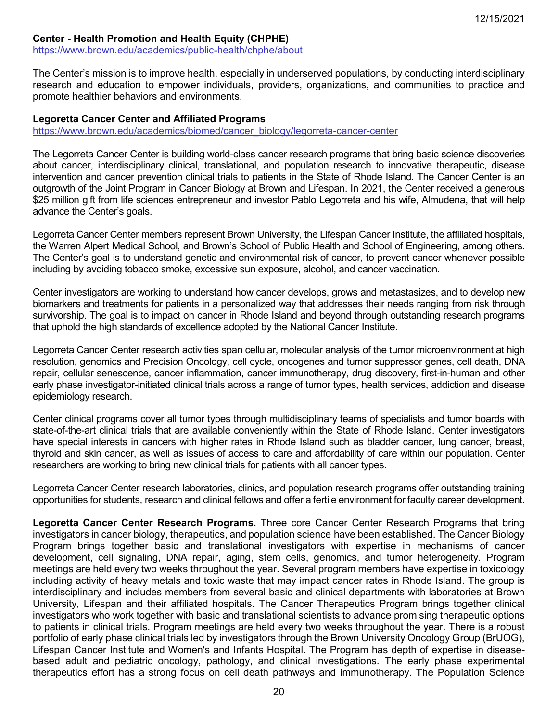## **Center - Health Promotion and Health Equity (CHPHE)**

<https://www.brown.edu/academics/public-health/chphe/about>

The Center's mission is to improve health, especially in underserved populations, by conducting interdisciplinary research and education to empower individuals, providers, organizations, and communities to practice and promote healthier behaviors and environments.

### <span id="page-19-0"></span>**Legoretta Cancer Center and Affiliated Programs**

[https://www.brown.edu/academics/biomed/cancer\\_biology/legorreta-cancer-center](https://www.brown.edu/academics/biomed/cancer_biology/legorreta-cancer-center)

The Legorreta Cancer Center is building world-class cancer research programs that bring basic science discoveries about cancer, interdisciplinary clinical, translational, and population research to innovative therapeutic, disease intervention and cancer prevention clinical trials to patients in the State of Rhode Island. The Cancer Center is an outgrowth of the Joint Program in Cancer Biology at Brown and Lifespan. In 2021, the Center received a generous \$25 million gift from life sciences entrepreneur and investor Pablo Legorreta and his wife, Almudena, that will help advance the Center's goals.

Legorreta Cancer Center members represent Brown University, the Lifespan Cancer Institute, the affiliated hospitals, the Warren Alpert Medical School, and Brown's School of Public Health and School of Engineering, among others. The Center's goal is to understand genetic and environmental risk of cancer, to prevent cancer whenever possible including by avoiding tobacco smoke, excessive sun exposure, alcohol, and cancer vaccination.

Center investigators are working to understand how cancer develops, grows and metastasizes, and to develop new biomarkers and treatments for patients in a personalized way that addresses their needs ranging from risk through survivorship. The goal is to impact on cancer in Rhode Island and beyond through outstanding research programs that uphold the high standards of excellence adopted by the National Cancer Institute.

Legorreta Cancer Center research activities span cellular, molecular analysis of the tumor microenvironment at high resolution, genomics and Precision Oncology, cell cycle, oncogenes and tumor suppressor genes, cell death, DNA repair, cellular senescence, cancer inflammation, cancer immunotherapy, drug discovery, first-in-human and other early phase investigator-initiated clinical trials across a range of tumor types, health services, addiction and disease epidemiology research.

Center clinical programs cover all tumor types through multidisciplinary teams of specialists and tumor boards with state-of-the-art clinical trials that are available conveniently within the State of Rhode Island. Center investigators have special interests in cancers with higher rates in Rhode Island such as bladder cancer, lung cancer, breast, thyroid and skin cancer, as well as issues of access to care and affordability of care within our population. Center researchers are working to bring new clinical trials for patients with all cancer types.

Legorreta Cancer Center research laboratories, clinics, and population research programs offer outstanding training opportunities for students, research and clinical fellows and offer a fertile environment for faculty career development.

**Legoretta Cancer Center Research Programs.** Three core Cancer Center Research Programs that bring investigators in cancer biology, therapeutics, and population science have been established. The Cancer Biology Program brings together basic and translational investigators with expertise in mechanisms of cancer development, cell signaling, DNA repair, aging, stem cells, genomics, and tumor heterogeneity. Program meetings are held every two weeks throughout the year. Several program members have expertise in toxicology including activity of heavy metals and toxic waste that may impact cancer rates in Rhode Island. The group is interdisciplinary and includes members from several basic and clinical departments with laboratories at Brown University, Lifespan and their affiliated hospitals. The Cancer Therapeutics Program brings together clinical investigators who work together with basic and translational scientists to advance promising therapeutic options to patients in clinical trials. Program meetings are held every two weeks throughout the year. There is a robust portfolio of early phase clinical trials led by investigators through the Brown University Oncology Group (BrUOG), Lifespan Cancer Institute and Women's and Infants Hospital. The Program has depth of expertise in diseasebased adult and pediatric oncology, pathology, and clinical investigations. The early phase experimental therapeutics effort has a strong focus on cell death pathways and immunotherapy. The Population Science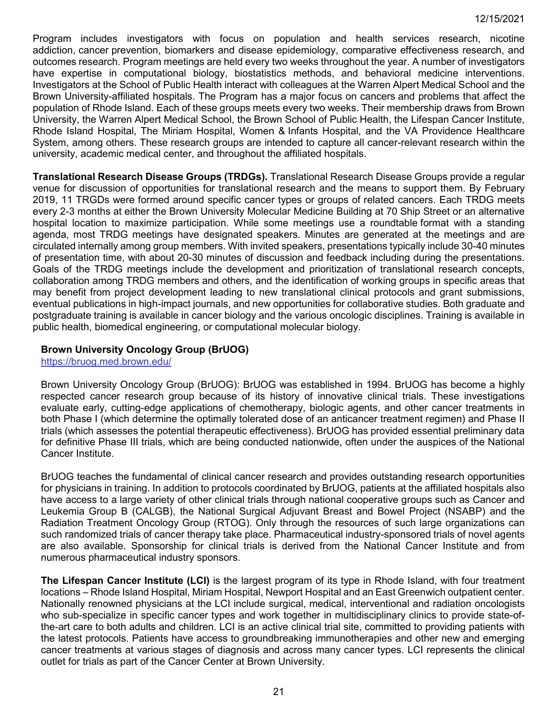Program includes investigators with focus on population and health services research, nicotine addiction, cancer prevention, biomarkers and disease epidemiology, comparative effectiveness research, and outcomes research. Program meetings are held every two weeks throughout the year. A number of investigators have expertise in computational biology, biostatistics methods, and behavioral medicine interventions. Investigators at the School of Public Health interact with colleagues at the Warren Alpert Medical School and the Brown University-affiliated hospitals. The Program has a major focus on cancers and problems that affect the population of Rhode Island. Each of these groups meets every two weeks. Their membership draws from Brown University, the Warren Alpert Medical School, the Brown School of Public Health, the Lifespan Cancer Institute, Rhode Island Hospital, The Miriam Hospital, Women & Infants Hospital, and the VA Providence Healthcare System, among others. These research groups are intended to capture all cancer-relevant research within the university, academic medical center, and throughout the affiliated hospitals.

**Translational Research Disease Groups (TRDGs).** Translational Research Disease Groups provide a regular venue for discussion of opportunities for translational research and the means to support them. By February 2019, 11 TRGDs were formed around specific cancer types or groups of related cancers. Each TRDG meets every 2-3 months at either the Brown University Molecular Medicine Building at 70 Ship Street or an alternative hospital location to maximize participation. While some meetings use a roundtable format with a standing agenda, most TRDG meetings have designated speakers. Minutes are generated at the meetings and are circulated internally among group members. With invited speakers, presentations typically include 30-40 minutes of presentation time, with about 20-30 minutes of discussion and feedback including during the presentations. Goals of the TRDG meetings include the development and prioritization of translational research concepts, collaboration among TRDG members and others, and the identification of working groups in specific areas that may benefit from project development leading to new translational clinical protocols and grant submissions, eventual publications in high-impact journals, and new opportunities for collaborative studies. Both graduate and postgraduate training is available in cancer biology and the various oncologic disciplines. Training is available in public health, biomedical engineering, or computational molecular biology.

## **Brown University Oncology Group (BrUOG)**

<https://bruog.med.brown.edu/>

Brown University Oncology Group (BrUOG): BrUOG was established in 1994. BrUOG has become a highly respected cancer research group because of its history of innovative clinical trials. These investigations evaluate early, cutting-edge applications of chemotherapy, biologic agents, and other cancer treatments in both Phase I (which determine the optimally tolerated dose of an anticancer treatment regimen) and Phase II trials (which assesses the potential therapeutic effectiveness). BrUOG has provided essential preliminary data for definitive Phase III trials, which are being conducted nationwide, often under the auspices of the National Cancer Institute.

BrUOG teaches the fundamental of clinical cancer research and provides outstanding research opportunities for physicians in training. In addition to protocols coordinated by BrUOG, patients at the affiliated hospitals also have access to a large variety of other clinical trials through national cooperative groups such as Cancer and Leukemia Group B (CALGB), the National Surgical Adjuvant Breast and Bowel Project (NSABP) and the Radiation Treatment Oncology Group (RTOG). Only through the resources of such large organizations can such randomized trials of cancer therapy take place. Pharmaceutical industry-sponsored trials of novel agents are also available. Sponsorship for clinical trials is derived from the National Cancer Institute and from numerous pharmaceutical industry sponsors.

**The Lifespan Cancer Institute (LCI)** is the largest program of its type in Rhode Island, with four treatment locations – Rhode Island Hospital, Miriam Hospital, Newport Hospital and an East Greenwich outpatient center. Nationally renowned physicians at the LCI include surgical, medical, interventional and radiation oncologists who sub-specialize in specific cancer types and work together in multidisciplinary clinics to provide state-ofthe-art care to both adults and children. LCI is an active clinical trial site, committed to providing patients with the latest protocols. Patients have access to groundbreaking immunotherapies and other new and emerging cancer treatments at various stages of diagnosis and across many cancer types. LCI represents the clinical outlet for trials as part of the Cancer Center at Brown University.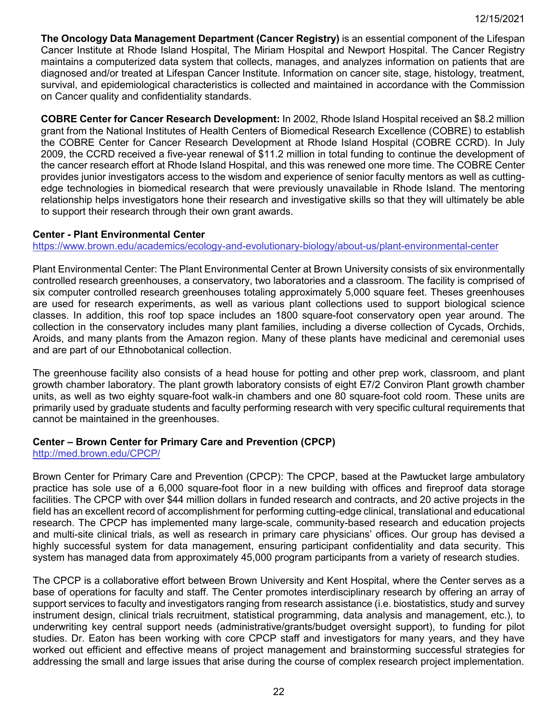**The Oncology Data Management Department (Cancer Registry)** is an essential component of the Lifespan Cancer Institute at Rhode Island Hospital, The Miriam Hospital and Newport Hospital. The Cancer Registry maintains a computerized data system that collects, manages, and analyzes information on patients that are diagnosed and/or treated at Lifespan Cancer Institute. Information on cancer site, stage, histology, treatment, survival, and epidemiological characteristics is collected and maintained in accordance with the Commission on Cancer quality and confidentiality standards.

**COBRE Center for Cancer Research Development:** In 2002, Rhode Island Hospital received an \$8.2 million grant from the National Institutes of Health Centers of Biomedical Research Excellence (COBRE) to establish the COBRE Center for Cancer Research Development at Rhode Island Hospital (COBRE CCRD). In July 2009, the CCRD received a five-year renewal of \$11.2 million in total funding to continue the development of the cancer research effort at Rhode Island Hospital, and this was renewed one more time. The COBRE Center provides junior investigators access to the wisdom and experience of senior faculty mentors as well as cuttingedge technologies in biomedical research that were previously unavailable in Rhode Island. The mentoring relationship helps investigators hone their research and investigative skills so that they will ultimately be able to support their research through their own grant awards.

### <span id="page-21-0"></span>**Center - Plant Environmental Center**

<https://www.brown.edu/academics/ecology-and-evolutionary-biology/about-us/plant-environmental-center>

Plant Environmental Center: The Plant Environmental Center at Brown University consists of six environmentally controlled research greenhouses, a conservatory, two laboratories and a classroom. The facility is comprised of six computer controlled research greenhouses totaling approximately 5,000 square feet. Theses greenhouses are used for research experiments, as well as various plant collections used to support biological science classes. In addition, this roof top space includes an 1800 square-foot conservatory open year around. The collection in the conservatory includes many plant families, including a diverse collection of Cycads, Orchids, Aroids, and many plants from the Amazon region. Many of these plants have medicinal and ceremonial uses and are part of our Ethnobotanical collection.

The greenhouse facility also consists of a head house for potting and other prep work, classroom, and plant growth chamber laboratory. The plant growth laboratory consists of eight E7/2 Conviron Plant growth chamber units, as well as two eighty square-foot walk-in chambers and one 80 square-foot cold room. These units are primarily used by graduate students and faculty performing research with very specific cultural requirements that cannot be maintained in the greenhouses.

## <span id="page-21-1"></span>**Center – Brown Center for Primary Care and Prevention (CPCP)**

<http://med.brown.edu/CPCP/>

Brown Center for Primary Care and Prevention (CPCP): The CPCP, based at the Pawtucket large ambulatory practice has sole use of a 6,000 square-foot floor in a new building with offices and fireproof data storage facilities. The CPCP with over \$44 million dollars in funded research and contracts, and 20 active projects in the field has an excellent record of accomplishment for performing cutting-edge clinical, translational and educational research. The CPCP has implemented many large-scale, community-based research and education projects and multi-site clinical trials, as well as research in primary care physicians' offices. Our group has devised a highly successful system for data management, ensuring participant confidentiality and data security. This system has managed data from approximately 45,000 program participants from a variety of research studies.

The CPCP is a collaborative effort between Brown University and Kent Hospital, where the Center serves as a base of operations for faculty and staff. The Center promotes interdisciplinary research by offering an array of support services to faculty and investigators ranging from research assistance (i.e. biostatistics, study and survey instrument design, clinical trials recruitment, statistical programming, data analysis and management, etc.), to underwriting key central support needs (administrative/grants/budget oversight support), to funding for pilot studies. Dr. Eaton has been working with core CPCP staff and investigators for many years, and they have worked out efficient and effective means of project management and brainstorming successful strategies for addressing the small and large issues that arise during the course of complex research project implementation.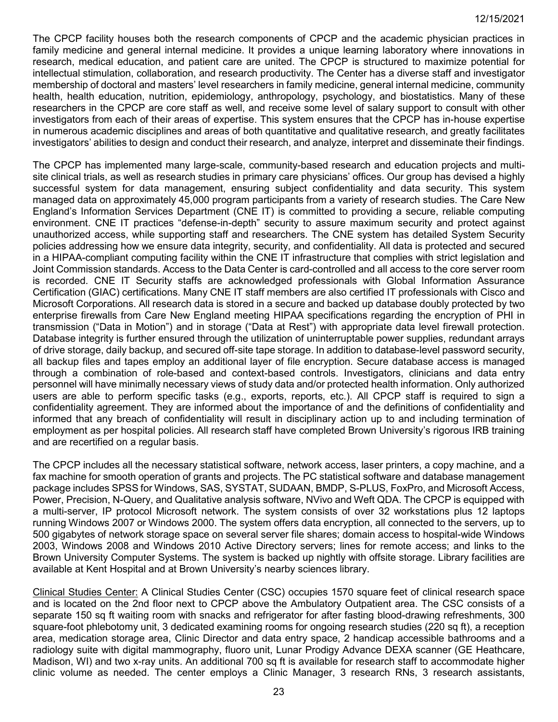The CPCP facility houses both the research components of CPCP and the academic physician practices in family medicine and general internal medicine. It provides a unique learning laboratory where innovations in research, medical education, and patient care are united. The CPCP is structured to maximize potential for intellectual stimulation, collaboration, and research productivity. The Center has a diverse staff and investigator membership of doctoral and masters' level researchers in family medicine, general internal medicine, community health, health education, nutrition, epidemiology, anthropology, psychology, and biostatistics. Many of these researchers in the CPCP are core staff as well, and receive some level of salary support to consult with other investigators from each of their areas of expertise. This system ensures that the CPCP has in-house expertise in numerous academic disciplines and areas of both quantitative and qualitative research, and greatly facilitates investigators' abilities to design and conduct their research, and analyze, interpret and disseminate their findings.

The CPCP has implemented many large-scale, community-based research and education projects and multisite clinical trials, as well as research studies in primary care physicians' offices. Our group has devised a highly successful system for data management, ensuring subject confidentiality and data security. This system managed data on approximately 45,000 program participants from a variety of research studies. The Care New England's Information Services Department (CNE IT) is committed to providing a secure, reliable computing environment. CNE IT practices "defense-in-depth" security to assure maximum security and protect against unauthorized access, while supporting staff and researchers. The CNE system has detailed System Security policies addressing how we ensure data integrity, security, and confidentiality. All data is protected and secured in a HIPAA-compliant computing facility within the CNE IT infrastructure that complies with strict legislation and Joint Commission standards. Access to the Data Center is card-controlled and all access to the core server room is recorded. CNE IT Security staffs are acknowledged professionals with Global Information Assurance Certification (GIAC) certifications. Many CNE IT staff members are also certified IT professionals with Cisco and Microsoft Corporations. All research data is stored in a secure and backed up database doubly protected by two enterprise firewalls from Care New England meeting HIPAA specifications regarding the encryption of PHI in transmission ("Data in Motion") and in storage ("Data at Rest") with appropriate data level firewall protection. Database integrity is further ensured through the utilization of uninterruptable power supplies, redundant arrays of drive storage, daily backup, and secured off-site tape storage. In addition to database-level password security, all backup files and tapes employ an additional layer of file encryption. Secure database access is managed through a combination of role-based and context-based controls. Investigators, clinicians and data entry personnel will have minimally necessary views of study data and/or protected health information. Only authorized users are able to perform specific tasks (e.g., exports, reports, etc.). All CPCP staff is required to sign a confidentiality agreement. They are informed about the importance of and the definitions of confidentiality and informed that any breach of confidentiality will result in disciplinary action up to and including termination of employment as per hospital policies. All research staff have completed Brown University's rigorous IRB training and are recertified on a regular basis.

The CPCP includes all the necessary statistical software, network access, laser printers, a copy machine, and a fax machine for smooth operation of grants and projects. The PC statistical software and database management package includes SPSS for Windows, SAS, SYSTAT, SUDAAN, BMDP, S-PLUS, FoxPro, and Microsoft Access, Power, Precision, N-Query, and Qualitative analysis software, NVivo and Weft QDA. The CPCP is equipped with a multi-server, IP protocol Microsoft network. The system consists of over 32 workstations plus 12 laptops running Windows 2007 or Windows 2000. The system offers data encryption, all connected to the servers, up to 500 gigabytes of network storage space on several server file shares; domain access to hospital-wide Windows 2003, Windows 2008 and Windows 2010 Active Directory servers; lines for remote access; and links to the Brown University Computer Systems. The system is backed up nightly with offsite storage. Library facilities are available at Kent Hospital and at Brown University's nearby sciences library.

Clinical Studies Center: A Clinical Studies Center (CSC) occupies 1570 square feet of clinical research space and is located on the 2nd floor next to CPCP above the Ambulatory Outpatient area. The CSC consists of a separate 150 sq ft waiting room with snacks and refrigerator for after fasting blood-drawing refreshments, 300 square-foot phlebotomy unit, 3 dedicated examining rooms for ongoing research studies (220 sq ft), a reception area, medication storage area, Clinic Director and data entry space, 2 handicap accessible bathrooms and a radiology suite with digital mammography, fluoro unit, Lunar Prodigy Advance DEXA scanner (GE Heathcare, Madison, WI) and two x-ray units. An additional 700 sq ft is available for research staff to accommodate higher clinic volume as needed. The center employs a Clinic Manager, 3 research RNs, 3 research assistants,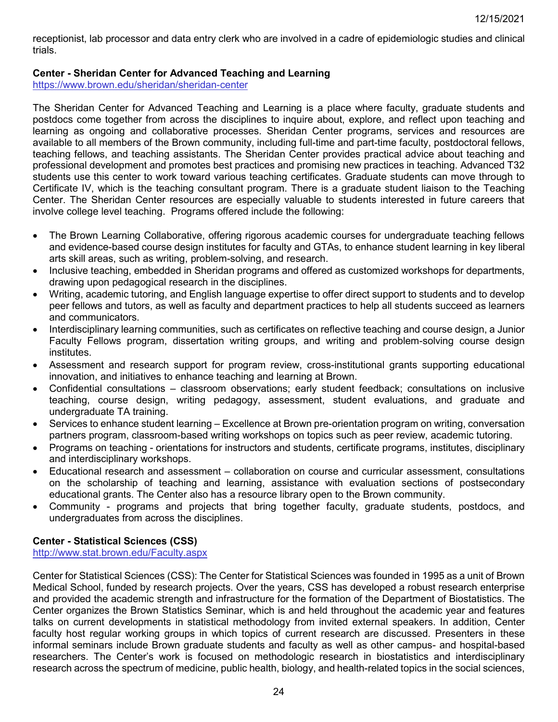receptionist, lab processor and data entry clerk who are involved in a cadre of epidemiologic studies and clinical trials.

## <span id="page-23-0"></span>**Center - Sheridan Center for Advanced Teaching and Learning**

<https://www.brown.edu/sheridan/sheridan-center>

The Sheridan Center for Advanced Teaching and Learning is a place where faculty, graduate students and postdocs come together from across the disciplines to inquire about, explore, and reflect upon teaching and learning as ongoing and collaborative processes. Sheridan Center programs, services and resources are available to all members of the Brown community, including full-time and part-time faculty, postdoctoral fellows, teaching fellows, and teaching assistants. The Sheridan Center provides practical advice about teaching and professional development and promotes best practices and promising new practices in teaching. Advanced T32 students use this center to work toward various teaching certificates. Graduate students can move through to Certificate IV, which is the teaching consultant program. There is a graduate student liaison to the Teaching Center. The Sheridan Center resources are especially valuable to students interested in future careers that involve college level teaching. Programs offered include the following:

- The Brown Learning Collaborative, offering rigorous academic courses for undergraduate teaching fellows and evidence-based course design institutes for faculty and GTAs, to enhance student learning in key liberal arts skill areas, such as writing, problem-solving, and research.
- Inclusive teaching, embedded in Sheridan programs and offered as customized workshops for departments, drawing upon pedagogical research in the disciplines.
- Writing, academic tutoring, and English language expertise to offer direct support to students and to develop peer fellows and tutors, as well as faculty and department practices to help all students succeed as learners and communicators.
- Interdisciplinary learning communities, such as certificates on reflective teaching and course design, a Junior Faculty Fellows program, dissertation writing groups, and writing and problem-solving course design institutes.
- Assessment and research support for program review, cross-institutional grants supporting educational innovation, and initiatives to enhance teaching and learning at Brown.
- Confidential consultations classroom observations; early student feedback; consultations on inclusive teaching, course design, writing pedagogy, assessment, student evaluations, and graduate and undergraduate TA training.
- Services to enhance student learning Excellence at Brown pre-orientation program on writing, conversation partners program, classroom-based writing workshops on topics such as peer review, academic tutoring.
- Programs on teaching orientations for instructors and students, certificate programs, institutes, disciplinary and interdisciplinary workshops.
- Educational research and assessment collaboration on course and curricular assessment, consultations on the scholarship of teaching and learning, assistance with evaluation sections of postsecondary educational grants. The Center also has a resource library open to the Brown community.
- Community programs and projects that bring together faculty, graduate students, postdocs, and undergraduates from across the disciplines.

## <span id="page-23-1"></span>**Center - Statistical Sciences (CSS)**

<http://www.stat.brown.edu/Faculty.aspx>

Center for Statistical Sciences (CSS): The Center for Statistical Sciences was founded in 1995 as a unit of Brown Medical School, funded by research projects. Over the years, CSS has developed a robust research enterprise and provided the academic strength and infrastructure for the formation of the Department of Biostatistics. The Center organizes the Brown Statistics Seminar, which is and held throughout the academic year and features talks on current developments in statistical methodology from invited external speakers. In addition, Center faculty host regular working groups in which topics of current research are discussed. Presenters in these informal seminars include Brown graduate students and faculty as well as other campus- and hospital-based researchers. The Center's work is focused on methodologic research in biostatistics and interdisciplinary research across the spectrum of medicine, public health, biology, and health-related topics in the social sciences,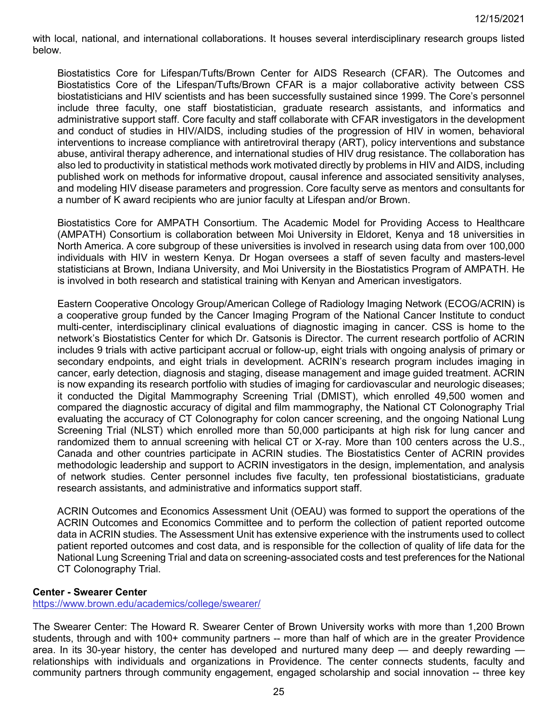with local, national, and international collaborations. It houses several interdisciplinary research groups listed below.

Biostatistics Core for Lifespan/Tufts/Brown Center for AIDS Research (CFAR). The Outcomes and Biostatistics Core of the Lifespan/Tufts/Brown CFAR is a major collaborative activity between CSS biostatisticians and HIV scientists and has been successfully sustained since 1999. The Core's personnel include three faculty, one staff biostatistician, graduate research assistants, and informatics and administrative support staff. Core faculty and staff collaborate with CFAR investigators in the development and conduct of studies in HIV/AIDS, including studies of the progression of HIV in women, behavioral interventions to increase compliance with antiretroviral therapy (ART), policy interventions and substance abuse, antiviral therapy adherence, and international studies of HIV drug resistance. The collaboration has also led to productivity in statistical methods work motivated directly by problems in HIV and AIDS, including published work on methods for informative dropout, causal inference and associated sensitivity analyses, and modeling HIV disease parameters and progression. Core faculty serve as mentors and consultants for a number of K award recipients who are junior faculty at Lifespan and/or Brown.

Biostatistics Core for AMPATH Consortium. The Academic Model for Providing Access to Healthcare (AMPATH) Consortium is collaboration between Moi University in Eldoret, Kenya and 18 universities in North America. A core subgroup of these universities is involved in research using data from over 100,000 individuals with HIV in western Kenya. Dr Hogan oversees a staff of seven faculty and masters-level statisticians at Brown, Indiana University, and Moi University in the Biostatistics Program of AMPATH. He is involved in both research and statistical training with Kenyan and American investigators.

Eastern Cooperative Oncology Group/American College of Radiology Imaging Network (ECOG/ACRIN) is a cooperative group funded by the Cancer Imaging Program of the National Cancer Institute to conduct multi-center, interdisciplinary clinical evaluations of diagnostic imaging in cancer. CSS is home to the network's Biostatistics Center for which Dr. Gatsonis is Director. The current research portfolio of ACRIN includes 9 trials with active participant accrual or follow-up, eight trials with ongoing analysis of primary or secondary endpoints, and eight trials in development. ACRIN's research program includes imaging in cancer, early detection, diagnosis and staging, disease management and image guided treatment. ACRIN is now expanding its research portfolio with studies of imaging for cardiovascular and neurologic diseases; it conducted the Digital Mammography Screening Trial (DMIST), which enrolled 49,500 women and compared the diagnostic accuracy of digital and film mammography, the National CT Colonography Trial evaluating the accuracy of CT Colonography for colon cancer screening, and the ongoing National Lung Screening Trial (NLST) which enrolled more than 50,000 participants at high risk for lung cancer and randomized them to annual screening with helical CT or X-ray. More than 100 centers across the U.S., Canada and other countries participate in ACRIN studies. The Biostatistics Center of ACRIN provides methodologic leadership and support to ACRIN investigators in the design, implementation, and analysis of network studies. Center personnel includes five faculty, ten professional biostatisticians, graduate research assistants, and administrative and informatics support staff.

ACRIN Outcomes and Economics Assessment Unit (OEAU) was formed to support the operations of the ACRIN Outcomes and Economics Committee and to perform the collection of patient reported outcome data in ACRIN studies. The Assessment Unit has extensive experience with the instruments used to collect patient reported outcomes and cost data, and is responsible for the collection of quality of life data for the National Lung Screening Trial and data on screening-associated costs and test preferences for the National CT Colonography Trial.

### <span id="page-24-0"></span>**Center - Swearer Center**

<https://www.brown.edu/academics/college/swearer/>

The Swearer Center: The Howard R. Swearer Center of Brown University works with more than 1,200 Brown students, through and with 100+ community partners -- more than half of which are in the greater Providence area. In its 30-year history, the center has developed and nurtured many deep — and deeply rewarding relationships with individuals and organizations in Providence. The center connects students, faculty and community partners through community engagement, engaged scholarship and social innovation -- three key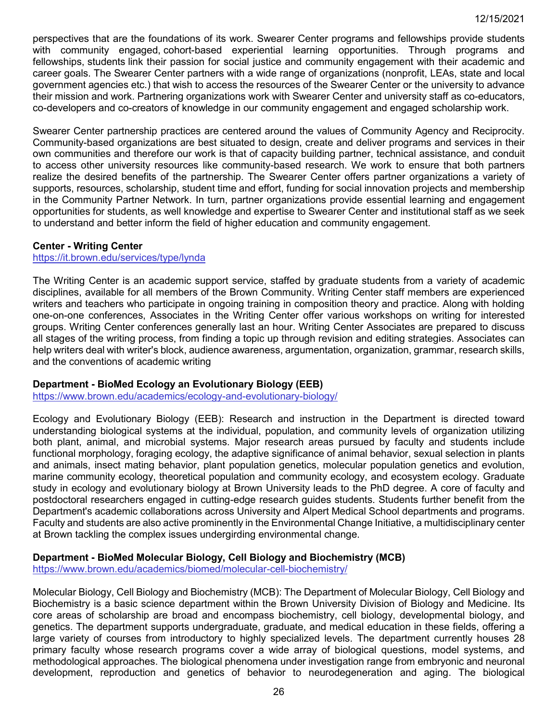perspectives that are the foundations of its work. Swearer Center programs and fellowships provide students with community engaged, cohort-based experiential learning opportunities. Through programs and fellowships, students link their passion for social justice and community engagement with their academic and career goals. The Swearer Center partners with a wide range of organizations (nonprofit, LEAs, state and local government agencies etc.) that wish to access the resources of the Swearer Center or the university to advance their mission and work. Partnering organizations work with Swearer Center and university staff as co-educators, co-developers and co-creators of knowledge in our community engagement and engaged scholarship work.

Swearer Center partnership practices are centered around the values of Community Agency and Reciprocity. Community-based organizations are best situated to design, create and deliver programs and services in their own communities and therefore our work is that of capacity building partner, technical assistance, and conduit to access other university resources like community-based research. We work to ensure that both partners realize the desired benefits of the partnership. The Swearer Center offers partner organizations a variety of supports, resources, scholarship, student time and effort, funding for social innovation projects and membership in the Community Partner Network. In turn, partner organizations provide essential learning and engagement opportunities for students, as well knowledge and expertise to Swearer Center and institutional staff as we seek to understand and better inform the field of higher education and community engagement.

### <span id="page-25-0"></span>**Center - Writing Center**

### <https://it.brown.edu/services/type/lynda>

The Writing Center is an academic support service, staffed by graduate students from a variety of academic disciplines, available for all members of the Brown Community. Writing Center staff members are experienced writers and teachers who participate in ongoing training in composition theory and practice. Along with holding one-on-one conferences, Associates in the Writing Center offer various workshops on writing for interested groups. Writing Center conferences generally last an hour. Writing Center Associates are prepared to discuss all stages of the writing process, from finding a topic up through revision and editing strategies. Associates can help writers deal with writer's block, audience awareness, argumentation, organization, grammar, research skills, and the conventions of academic writing

### <span id="page-25-1"></span>**Department - BioMed Ecology an Evolutionary Biology (EEB)**

<https://www.brown.edu/academics/ecology-and-evolutionary-biology/>

Ecology and Evolutionary Biology (EEB): Research and instruction in the Department is directed toward understanding biological systems at the individual, population, and community levels of organization utilizing both plant, animal, and microbial systems. Major research areas pursued by faculty and students include functional morphology, foraging ecology, the adaptive significance of animal behavior, sexual selection in plants and animals, insect mating behavior, plant population genetics, molecular population genetics and evolution, marine community ecology, theoretical population and community ecology, and ecosystem ecology. Graduate study in ecology and evolutionary biology at Brown University leads to the PhD degree. A core of faculty and postdoctoral researchers engaged in cutting-edge research guides students. Students further benefit from the Department's academic collaborations across University and Alpert Medical School departments and programs. Faculty and students are also active prominently in the Environmental Change Initiative, a multidisciplinary center at Brown tackling the complex issues undergirding environmental change.

## <span id="page-25-2"></span>**Department - BioMed Molecular Biology, Cell Biology and Biochemistry (MCB)**

<https://www.brown.edu/academics/biomed/molecular-cell-biochemistry/>

Molecular Biology, Cell Biology and Biochemistry (MCB): The Department of Molecular Biology, Cell Biology and Biochemistry is a basic science department within the Brown University Division of Biology and Medicine. Its core areas of scholarship are broad and encompass biochemistry, cell biology, developmental biology, and genetics. The department supports undergraduate, graduate, and medical education in these fields, offering a large variety of courses from introductory to highly specialized levels. The department currently houses 28 primary faculty whose research programs cover a wide array of biological questions, model systems, and methodological approaches. The biological phenomena under investigation range from embryonic and neuronal development, reproduction and genetics of behavior to neurodegeneration and aging. The biological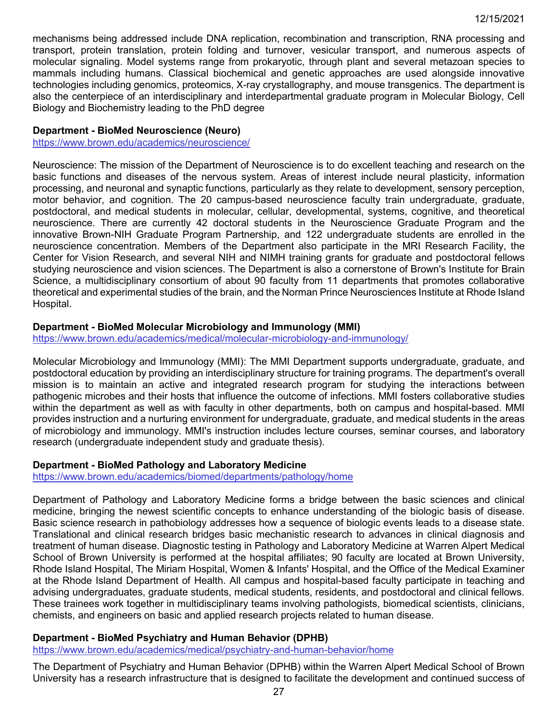mechanisms being addressed include DNA replication, recombination and transcription, RNA processing and transport, protein translation, protein folding and turnover, vesicular transport, and numerous aspects of molecular signaling. Model systems range from prokaryotic, through plant and several metazoan species to mammals including humans. Classical biochemical and genetic approaches are used alongside innovative technologies including genomics, proteomics, X-ray crystallography, and mouse transgenics. The department is also the centerpiece of an interdisciplinary and interdepartmental graduate program in Molecular Biology, Cell Biology and Biochemistry leading to the PhD degree

## <span id="page-26-1"></span>**Department - BioMed Neuroscience (Neuro)**

<https://www.brown.edu/academics/neuroscience/>

Neuroscience: The mission of the Department of Neuroscience is to do excellent teaching and research on the basic functions and diseases of the nervous system. Areas of interest include neural plasticity, information processing, and neuronal and synaptic functions, particularly as they relate to development, sensory perception, motor behavior, and cognition. The 20 campus-based neuroscience faculty train undergraduate, graduate, postdoctoral, and medical students in molecular, cellular, developmental, systems, cognitive, and theoretical neuroscience. There are currently 42 doctoral students in the Neuroscience Graduate Program and the innovative Brown-NIH Graduate Program Partnership, and 122 undergraduate students are enrolled in the neuroscience concentration. Members of the Department also participate in the MRI Research Facility, the Center for Vision Research, and several NIH and NIMH training grants for graduate and postdoctoral fellows studying neuroscience and vision sciences. The Department is also a cornerstone of Brown's Institute for Brain Science, a multidisciplinary consortium of about 90 faculty from 11 departments that promotes collaborative theoretical and experimental studies of the brain, and the Norman Prince Neurosciences Institute at Rhode Island Hospital.

## <span id="page-26-0"></span>**Department - BioMed Molecular Microbiology and Immunology (MMI)**

<https://www.brown.edu/academics/medical/molecular-microbiology-and-immunology/>

Molecular Microbiology and Immunology (MMI): The MMI Department supports undergraduate, graduate, and postdoctoral education by providing an interdisciplinary structure for training programs. The department's overall mission is to maintain an active and integrated research program for studying the interactions between pathogenic microbes and their hosts that influence the outcome of infections. MMI fosters collaborative studies within the department as well as with faculty in other departments, both on campus and hospital-based. MMI provides instruction and a nurturing environment for undergraduate, graduate, and medical students in the areas of microbiology and immunology. MMI's instruction includes lecture courses, seminar courses, and laboratory research (undergraduate independent study and graduate thesis).

## <span id="page-26-2"></span>**Department - BioMed Pathology and Laboratory Medicine**

<https://www.brown.edu/academics/biomed/departments/pathology/home>

Department of Pathology and Laboratory Medicine forms a bridge between the basic sciences and clinical medicine, bringing the newest scientific concepts to enhance understanding of the biologic basis of disease. Basic science research in pathobiology addresses how a sequence of biologic events leads to a disease state. Translational and clinical research bridges basic mechanistic research to advances in clinical diagnosis and treatment of human disease. Diagnostic testing in Pathology and Laboratory Medicine at Warren Alpert Medical School of Brown University is performed at the hospital affiliates; 90 faculty are located at Brown University, Rhode Island Hospital, The Miriam Hospital, Women & Infants' Hospital, and the Office of the Medical Examiner at the Rhode Island Department of Health. All campus and hospital-based faculty participate in teaching and advising undergraduates, graduate students, medical students, residents, and postdoctoral and clinical fellows. These trainees work together in multidisciplinary teams involving pathologists, biomedical scientists, clinicians, chemists, and engineers on basic and applied research projects related to human disease.

# <span id="page-26-3"></span>**Department - BioMed Psychiatry and Human Behavior (DPHB)**

<https://www.brown.edu/academics/medical/psychiatry-and-human-behavior/home>

The Department of Psychiatry and Human Behavior (DPHB) within the Warren Alpert Medical School of Brown University has a research infrastructure that is designed to facilitate the development and continued success of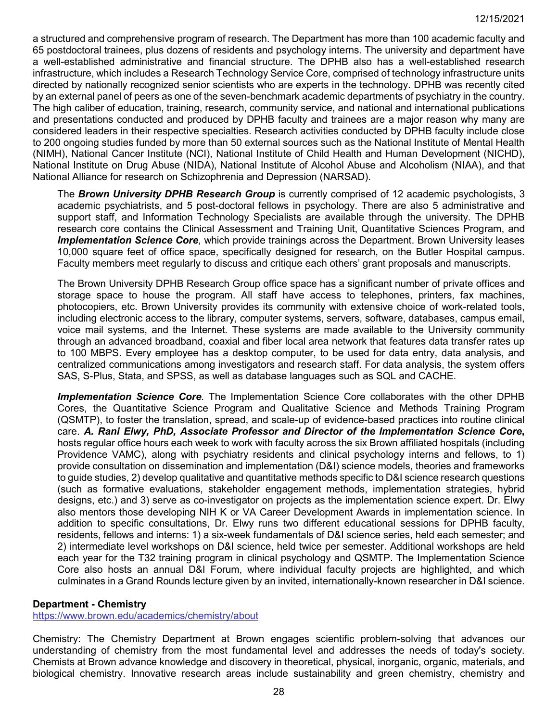a structured and comprehensive program of research. The Department has more than 100 academic faculty and 65 postdoctoral trainees, plus dozens of residents and psychology interns. The university and department have a well-established administrative and financial structure. The DPHB also has a well-established research infrastructure, which includes a Research Technology Service Core, comprised of technology infrastructure units directed by nationally recognized senior scientists who are experts in the technology. DPHB was recently cited by an external panel of peers as one of the seven-benchmark academic departments of psychiatry in the country. The high caliber of education, training, research, community service, and national and international publications and presentations conducted and produced by DPHB faculty and trainees are a major reason why many are considered leaders in their respective specialties. Research activities conducted by DPHB faculty include close to 200 ongoing studies funded by more than 50 external sources such as the National Institute of Mental Health (NIMH), National Cancer Institute (NCI), National Institute of Child Health and Human Development (NICHD), National Institute on Drug Abuse (NIDA), National Institute of Alcohol Abuse and Alcoholism (NIAA), and that National Alliance for research on Schizophrenia and Depression (NARSAD).

The *Brown University DPHB Research Group* is currently comprised of 12 academic psychologists, 3 academic psychiatrists, and 5 post-doctoral fellows in psychology. There are also 5 administrative and support staff, and Information Technology Specialists are available through the university. The DPHB research core contains the Clinical Assessment and Training Unit, Quantitative Sciences Program, and *Implementation Science Core*, which provide trainings across the Department. Brown University leases 10,000 square feet of office space, specifically designed for research, on the Butler Hospital campus. Faculty members meet regularly to discuss and critique each others' grant proposals and manuscripts.

The Brown University DPHB Research Group office space has a significant number of private offices and storage space to house the program. All staff have access to telephones, printers, fax machines, photocopiers, etc. Brown University provides its community with extensive choice of work-related tools, including electronic access to the library, computer systems, servers, software, databases, campus email, voice mail systems, and the Internet. These systems are made available to the University community through an advanced broadband, coaxial and fiber local area network that features data transfer rates up to 100 MBPS. Every employee has a desktop computer, to be used for data entry, data analysis, and centralized communications among investigators and research staff. For data analysis, the system offers SAS, S-Plus, Stata, and SPSS, as well as database languages such as SQL and CACHE.

*Implementation Science Core.* The Implementation Science Core collaborates with the other DPHB Cores, the Quantitative Science Program and Qualitative Science and Methods Training Program (QSMTP), to foster the translation, spread, and scale-up of evidence-based practices into routine clinical care. *A. Rani Elwy, PhD, Associate Professor and Director of the Implementation Science Core***,** hosts regular office hours each week to work with faculty across the six Brown affiliated hospitals (including Providence VAMC), along with psychiatry residents and clinical psychology interns and fellows, to 1) provide consultation on dissemination and implementation (D&I) science models, theories and frameworks to guide studies, 2) develop qualitative and quantitative methods specific to D&I science research questions (such as formative evaluations, stakeholder engagement methods, implementation strategies, hybrid designs, etc.) and 3) serve as co-investigator on projects as the implementation science expert. Dr. Elwy also mentors those developing NIH K or VA Career Development Awards in implementation science. In addition to specific consultations, Dr. Elwy runs two different educational sessions for DPHB faculty, residents, fellows and interns: 1) a six-week fundamentals of D&I science series, held each semester; and 2) intermediate level workshops on D&I science, held twice per semester. Additional workshops are held each year for the T32 training program in clinical psychology and QSMTP. The Implementation Science Core also hosts an annual D&I Forum, where individual faculty projects are highlighted, and which culminates in a Grand Rounds lecture given by an invited, internationally-known researcher in D&I science.

## <span id="page-27-0"></span>**Department - Chemistry**

<https://www.brown.edu/academics/chemistry/about>

Chemistry: The Chemistry Department at Brown engages scientific problem-solving that advances our understanding of chemistry from the most fundamental level and addresses the needs of today's society. Chemists at Brown advance knowledge and discovery in theoretical, physical, inorganic, organic, materials, and biological chemistry. Innovative research areas include sustainability and green chemistry, chemistry and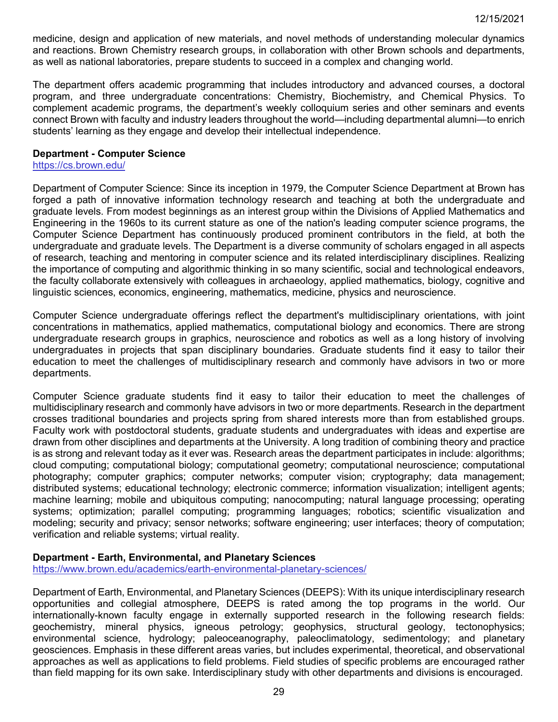medicine, design and application of new materials, and novel methods of understanding molecular dynamics and reactions. Brown Chemistry research groups, in collaboration with other Brown schools and departments, as well as national laboratories, prepare students to succeed in a complex and changing world.

The department offers academic programming that includes introductory and advanced courses, a doctoral program, and three undergraduate concentrations: Chemistry, Biochemistry, and Chemical Physics. To complement academic programs, the department's weekly colloquium series and other seminars and events connect Brown with faculty and industry leaders throughout the world—including departmental alumni—to enrich students' learning as they engage and develop their intellectual independence.

### <span id="page-28-0"></span>**Department - Computer Science**

<https://cs.brown.edu/>

Department of Computer Science: Since its inception in 1979, the Computer Science Department at Brown has forged a path of innovative information technology research and teaching at both the undergraduate and graduate levels. From modest beginnings as an interest group within the Divisions of Applied Mathematics and Engineering in the 1960s to its current stature as one of the nation's leading computer science programs, the Computer Science Department has continuously produced prominent contributors in the field, at both the undergraduate and graduate levels. The Department is a diverse community of scholars engaged in all aspects of research, teaching and mentoring in computer science and its related interdisciplinary disciplines. Realizing the importance of computing and algorithmic thinking in so many scientific, social and technological endeavors, the faculty collaborate extensively with colleagues in archaeology, applied mathematics, biology, cognitive and linguistic sciences, economics, engineering, mathematics, medicine, physics and neuroscience.

Computer Science undergraduate offerings reflect the department's multidisciplinary orientations, with joint concentrations in mathematics, applied mathematics, computational biology and economics. There are strong undergraduate research groups in graphics, neuroscience and robotics as well as a long history of involving undergraduates in projects that span disciplinary boundaries. Graduate students find it easy to tailor their education to meet the challenges of multidisciplinary research and commonly have advisors in two or more departments.

Computer Science graduate students find it easy to tailor their education to meet the challenges of multidisciplinary research and commonly have advisors in two or more departments. Research in the department crosses traditional boundaries and projects spring from shared interests more than from established groups. Faculty work with postdoctoral students, graduate students and undergraduates with ideas and expertise are drawn from other disciplines and departments at the University. A long tradition of combining theory and practice is as strong and relevant today as it ever was. Research areas the department participates in include: algorithms; cloud computing; computational biology; computational geometry; computational neuroscience; computational photography; computer graphics; computer networks; computer vision; cryptography; data management; distributed systems; educational technology; electronic commerce; information visualization; intelligent agents: machine learning; mobile and ubiquitous computing; nanocomputing; natural language processing; operating systems; optimization; parallel computing; programming languages; robotics; scientific visualization and modeling; security and privacy; sensor networks; software engineering; user interfaces; theory of computation; verification and reliable systems; virtual reality.

### <span id="page-28-1"></span>**Department - Earth, Environmental, and Planetary Sciences**

<https://www.brown.edu/academics/earth-environmental-planetary-sciences/>

Department of Earth, Environmental, and Planetary Sciences (DEEPS): With its unique interdisciplinary research opportunities and collegial atmosphere, DEEPS is rated among the top programs in the world. Our internationally-known faculty engage in externally supported research in the following research fields: geochemistry, mineral physics, igneous petrology; geophysics, structural geology, tectonophysics; environmental science, hydrology; paleoceanography, paleoclimatology, sedimentology; and planetary geosciences. Emphasis in these different areas varies, but includes experimental, theoretical, and observational approaches as well as applications to field problems. Field studies of specific problems are encouraged rather than field mapping for its own sake. Interdisciplinary study with other departments and divisions is encouraged.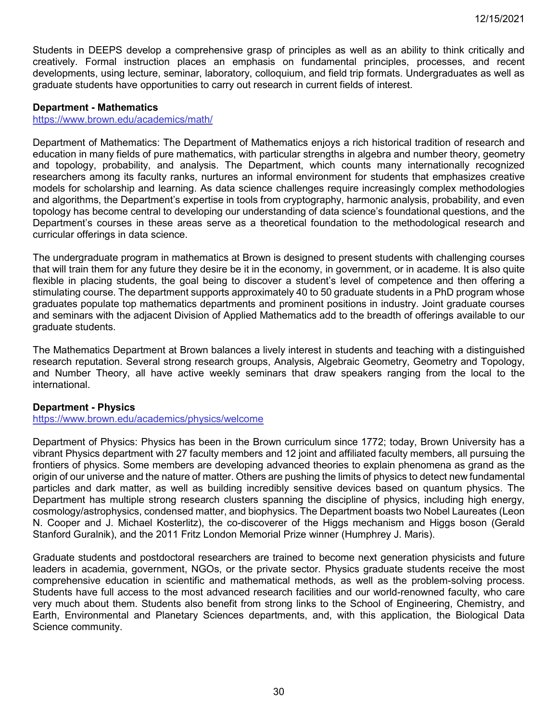Students in DEEPS develop a comprehensive grasp of principles as well as an ability to think critically and creatively. Formal instruction places an emphasis on fundamental principles, processes, and recent developments, using lecture, seminar, laboratory, colloquium, and field trip formats. Undergraduates as well as graduate students have opportunities to carry out research in current fields of interest.

### <span id="page-29-0"></span>**Department - Mathematics**

### <https://www.brown.edu/academics/math/>

Department of Mathematics: The Department of Mathematics enjoys a rich historical tradition of research and education in many fields of pure mathematics, with particular strengths in algebra and number theory, geometry and topology, probability, and analysis. The Department, which counts many internationally recognized researchers among its faculty ranks, nurtures an informal environment for students that emphasizes creative models for scholarship and learning. As data science challenges require increasingly complex methodologies and algorithms, the Department's expertise in tools from cryptography, harmonic analysis, probability, and even topology has become central to developing our understanding of data science's foundational questions, and the Department's courses in these areas serve as a theoretical foundation to the methodological research and curricular offerings in data science.

The undergraduate program in mathematics at Brown is designed to present students with challenging courses that will train them for any future they desire be it in the economy, in government, or in academe. It is also quite flexible in placing students, the goal being to discover a student's level of competence and then offering a stimulating course. The department supports approximately 40 to 50 graduate students in a PhD program whose graduates populate top mathematics departments and prominent positions in industry. Joint graduate courses and seminars with the adjacent Division of Applied Mathematics add to the breadth of offerings available to our graduate students.

The Mathematics Department at Brown balances a lively interest in students and teaching with a distinguished research reputation. Several strong research groups, Analysis, Algebraic Geometry, Geometry and Topology, and Number Theory, all have active weekly seminars that draw speakers ranging from the local to the international.

### <span id="page-29-1"></span>**Department - Physics**

<https://www.brown.edu/academics/physics/welcome>

Department of Physics: Physics has been in the Brown curriculum since 1772; today, Brown University has a vibrant Physics department with 27 faculty members and 12 joint and affiliated faculty members, all pursuing the frontiers of physics. Some members are developing advanced theories to explain phenomena as grand as the origin of our universe and the nature of matter. Others are pushing the limits of physics to detect new fundamental particles and dark matter, as well as building incredibly sensitive devices based on quantum physics. The Department has multiple strong research clusters spanning the discipline of physics, including high energy, cosmology/astrophysics, condensed matter, and biophysics. The Department boasts two Nobel Laureates (Leon N. Cooper and J. Michael Kosterlitz), the co-discoverer of the Higgs mechanism and Higgs boson (Gerald Stanford Guralnik), and the 2011 Fritz London Memorial Prize winner (Humphrey J. Maris).

<span id="page-29-2"></span>Graduate students and postdoctoral researchers are trained to become next generation physicists and future leaders in academia, government, NGOs, or the private sector. Physics graduate students receive the most comprehensive education in scientific and mathematical methods, as well as the problem-solving process. Students have full access to the most advanced research facilities and our world-renowned faculty, who care very much about them. Students also benefit from strong links to the School of Engineering, Chemistry, and Earth, Environmental and Planetary Sciences departments, and, with this application, the Biological Data Science community.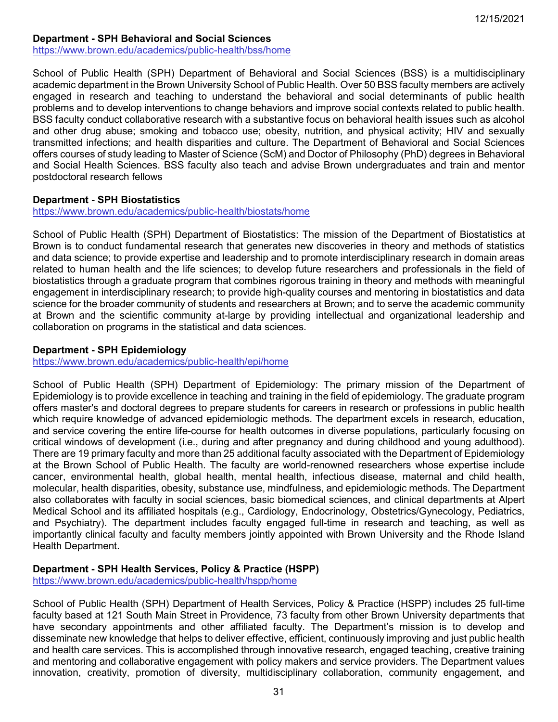## **Department - SPH Behavioral and Social Sciences**

<https://www.brown.edu/academics/public-health/bss/home>

School of Public Health (SPH) Department of Behavioral and Social Sciences (BSS) is a multidisciplinary academic department in the Brown University School of Public Health. Over 50 BSS faculty members are actively engaged in research and teaching to understand the behavioral and social determinants of public health problems and to develop interventions to change behaviors and improve social contexts related to public health. BSS faculty conduct collaborative research with a substantive focus on behavioral health issues such as alcohol and other drug abuse; smoking and tobacco use; obesity, nutrition, and physical activity; HIV and sexually transmitted infections; and health disparities and culture. The Department of Behavioral and Social Sciences offers courses of study leading to Master of Science (ScM) and Doctor of Philosophy (PhD) degrees in Behavioral and Social Health Sciences. BSS faculty also teach and advise Brown undergraduates and train and mentor postdoctoral research fellows

### <span id="page-30-0"></span>**Department - SPH Biostatistics**

### <https://www.brown.edu/academics/public-health/biostats/home>

School of Public Health (SPH) Department of Biostatistics: The mission of the Department of Biostatistics at Brown is to conduct fundamental research that generates new discoveries in theory and methods of statistics and data science; to provide expertise and leadership and to promote interdisciplinary research in domain areas related to human health and the life sciences; to develop future researchers and professionals in the field of biostatistics through a graduate program that combines rigorous training in theory and methods with meaningful engagement in interdisciplinary research; to provide high-quality courses and mentoring in biostatistics and data science for the broader community of students and researchers at Brown; and to serve the academic community at Brown and the scientific community at-large by providing intellectual and organizational leadership and collaboration on programs in the statistical and data sciences.

### <span id="page-30-1"></span>**Department - SPH Epidemiology**

<https://www.brown.edu/academics/public-health/epi/home>

School of Public Health (SPH) Department of Epidemiology: The primary mission of the Department of Epidemiology is to provide excellence in teaching and training in the field of epidemiology. The graduate program offers master's and doctoral degrees to prepare students for careers in research or professions in public health which require knowledge of advanced epidemiologic methods. The department excels in research, education, and service covering the entire life-course for health outcomes in diverse populations, particularly focusing on critical windows of development (i.e., during and after pregnancy and during childhood and young adulthood). There are 19 primary faculty and more than 25 additional faculty associated with the Department of Epidemiology at the Brown School of Public Health. The faculty are world-renowned researchers whose expertise include cancer, environmental health, global health, mental health, infectious disease, maternal and child health, molecular, health disparities, obesity, substance use, mindfulness, and epidemiologic methods. The Department also collaborates with faculty in social sciences, basic biomedical sciences, and clinical departments at Alpert Medical School and its affiliated hospitals (e.g., Cardiology, Endocrinology, Obstetrics/Gynecology, Pediatrics, and Psychiatry). The department includes faculty engaged full-time in research and teaching, as well as importantly clinical faculty and faculty members jointly appointed with Brown University and the Rhode Island Health Department.

## <span id="page-30-2"></span>**Department - SPH Health Services, Policy & Practice (HSPP)**

<https://www.brown.edu/academics/public-health/hspp/home>

School of Public Health (SPH) Department of Health Services, Policy & Practice (HSPP) includes 25 full-time faculty based at 121 South Main Street in Providence, 73 faculty from other Brown University departments that have secondary appointments and other affiliated faculty. The Department's mission is to develop and disseminate new knowledge that helps to deliver effective, efficient, continuously improving and just public health and health care services. This is accomplished through innovative research, engaged teaching, creative training and mentoring and collaborative engagement with policy makers and service providers. The Department values innovation, creativity, promotion of diversity, multidisciplinary collaboration, community engagement, and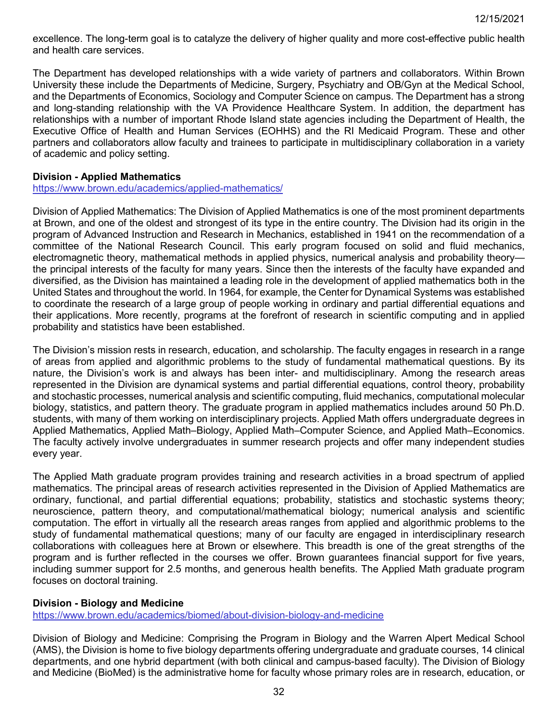excellence. The long-term goal is to catalyze the delivery of higher quality and more cost-effective public health and health care services.

The Department has developed relationships with a wide variety of partners and collaborators. Within Brown University these include the Departments of Medicine, Surgery, Psychiatry and OB/Gyn at the Medical School, and the Departments of Economics, Sociology and Computer Science on campus. The Department has a strong and long-standing relationship with the VA Providence Healthcare System. In addition, the department has relationships with a number of important Rhode Island state agencies including the Department of Health, the Executive Office of Health and Human Services (EOHHS) and the RI Medicaid Program. These and other partners and collaborators allow faculty and trainees to participate in multidisciplinary collaboration in a variety of academic and policy setting.

## <span id="page-31-0"></span>**Division - Applied Mathematics**

<https://www.brown.edu/academics/applied-mathematics/>

Division of Applied Mathematics: The Division of Applied Mathematics is one of the most prominent departments at Brown, and one of the oldest and strongest of its type in the entire country. The Division had its origin in the program of Advanced Instruction and Research in Mechanics, established in 1941 on the recommendation of a committee of the National Research Council. This early program focused on solid and fluid mechanics, electromagnetic theory, mathematical methods in applied physics, numerical analysis and probability theory the principal interests of the faculty for many years. Since then the interests of the faculty have expanded and diversified, as the Division has maintained a leading role in the development of applied mathematics both in the United States and throughout the world. In 1964, for example, the Center for Dynamical Systems was established to coordinate the research of a large group of people working in ordinary and partial differential equations and their applications. More recently, programs at the forefront of research in scientific computing and in applied probability and statistics have been established.

The Division's mission rests in research, education, and scholarship. The faculty engages in research in a range of areas from applied and algorithmic problems to the study of fundamental mathematical questions. By its nature, the Division's work is and always has been inter- and multidisciplinary. Among the research areas represented in the Division are dynamical systems and partial differential equations, control theory, probability and stochastic processes, numerical analysis and scientific computing, fluid mechanics, computational molecular biology, statistics, and pattern theory. The graduate program in applied mathematics includes around 50 Ph.D. students, with many of them working on interdisciplinary projects. Applied Math offers undergraduate degrees in Applied Mathematics, Applied Math–Biology, Applied Math–Computer Science, and Applied Math–Economics. The faculty actively involve undergraduates in summer research projects and offer many independent studies every year.

The Applied Math graduate program provides training and research activities in a broad spectrum of applied mathematics. The principal areas of research activities represented in the Division of Applied Mathematics are ordinary, functional, and partial differential equations; probability, statistics and stochastic systems theory; neuroscience, pattern theory, and computational/mathematical biology; numerical analysis and scientific computation. The effort in virtually all the research areas ranges from applied and algorithmic problems to the study of fundamental mathematical questions; many of our faculty are engaged in interdisciplinary research collaborations with colleagues here at Brown or elsewhere. This breadth is one of the great strengths of the program and is further reflected in the courses we offer. Brown guarantees financial support for five years, including summer support for 2.5 months, and generous health benefits. The Applied Math graduate program focuses on doctoral training.

### <span id="page-31-1"></span>**Division - Biology and Medicine**

<https://www.brown.edu/academics/biomed/about-division-biology-and-medicine>

Division of Biology and Medicine: Comprising the Program in Biology and the Warren Alpert Medical School (AMS), the Division is home to five biology departments offering undergraduate and graduate courses, 14 clinical departments, and one hybrid department (with both clinical and campus-based faculty). The Division of Biology and Medicine (BioMed) is the administrative home for faculty whose primary roles are in research, education, or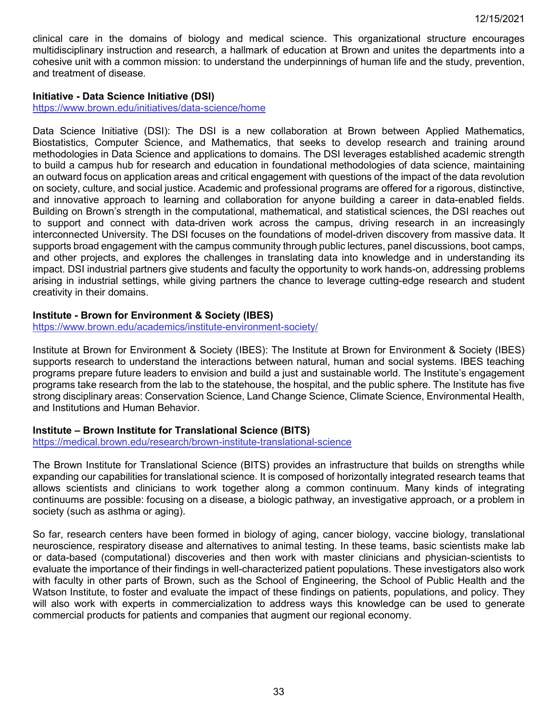clinical care in the domains of biology and medical science. This organizational structure encourages multidisciplinary instruction and research, a hallmark of education at Brown and unites the departments into a cohesive unit with a common mission: to understand the underpinnings of human life and the study, prevention, and treatment of disease.

### <span id="page-32-0"></span>**Initiative - Data Science Initiative (DSI)**

<https://www.brown.edu/initiatives/data-science/home>

Data Science Initiative (DSI): The DSI is a new collaboration at Brown between Applied Mathematics, Biostatistics, Computer Science, and Mathematics, that seeks to develop research and training around methodologies in Data Science and applications to domains. The DSI leverages established academic strength to build a campus hub for research and education in foundational methodologies of data science, maintaining an outward focus on application areas and critical engagement with questions of the impact of the data revolution on society, culture, and social justice. Academic and professional programs are offered for a rigorous, distinctive, and innovative approach to learning and collaboration for anyone building a career in data-enabled fields. Building on Brown's strength in the computational, mathematical, and statistical sciences, the DSI reaches out to support and connect with data-driven work across the campus, driving research in an increasingly interconnected University. The DSI focuses on the foundations of model-driven discovery from massive data. It supports broad engagement with the campus community through public lectures, panel discussions, boot camps, and other projects, and explores the challenges in translating data into knowledge and in understanding its impact. DSI industrial partners give students and faculty the opportunity to work hands-on, addressing problems arising in industrial settings, while giving partners the chance to leverage cutting-edge research and student creativity in their domains.

## <span id="page-32-1"></span>**Institute - Brown for Environment & Society (IBES)**

<https://www.brown.edu/academics/institute-environment-society/>

Institute at Brown for Environment & Society (IBES): The Institute at Brown for Environment & Society (IBES) supports research to understand the interactions between natural, human and social systems. IBES teaching programs prepare future leaders to envision and build a just and sustainable world. The Institute's engagement programs take research from the lab to the statehouse, the hospital, and the public sphere. The Institute has five strong disciplinary areas: Conservation Science, Land Change Science, Climate Science, Environmental Health, and Institutions and Human Behavior.

## <span id="page-32-2"></span>**Institute – Brown Institute for Translational Science (BITS)**

<https://medical.brown.edu/research/brown-institute-translational-science>

The Brown Institute for Translational Science (BITS) provides an infrastructure that builds on strengths while expanding our capabilities for translational science. It is composed of horizontally integrated research teams that allows scientists and clinicians to work together along a common continuum. Many kinds of integrating continuums are possible: focusing on a disease, a biologic pathway, an investigative approach, or a problem in society (such as asthma or aging).

<span id="page-32-3"></span>So far, research centers have been formed in biology of aging, cancer biology, vaccine biology, translational neuroscience, respiratory disease and alternatives to animal testing. In these teams, basic scientists make lab or data-based (computational) discoveries and then work with master clinicians and physician-scientists to evaluate the importance of their findings in well-characterized patient populations. These investigators also work with faculty in other parts of Brown, such as the School of Engineering, the School of Public Health and the Watson Institute, to foster and evaluate the impact of these findings on patients, populations, and policy. They will also work with experts in commercialization to address ways this knowledge can be used to generate commercial products for patients and companies that augment our regional economy.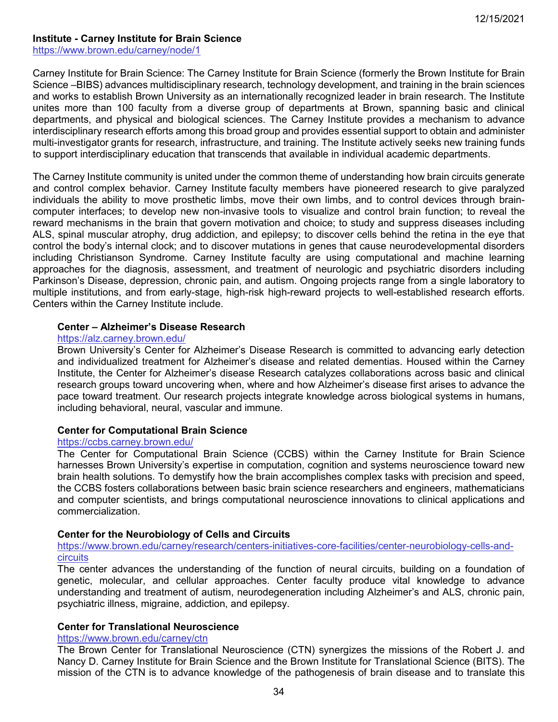### **Institute - Carney Institute for Brain Science**

<https://www.brown.edu/carney/node/1>

Carney Institute for Brain Science: The Carney Institute for Brain Science (formerly the Brown Institute for Brain Science –BIBS) advances multidisciplinary research, technology development, and training in the brain sciences and works to establish Brown University as an internationally recognized leader in brain research. The Institute unites more than 100 faculty from a diverse group of departments at Brown, spanning basic and clinical departments, and physical and biological sciences. The Carney Institute provides a mechanism to advance interdisciplinary research efforts among this broad group and provides essential support to obtain and administer multi-investigator grants for research, infrastructure, and training. The Institute actively seeks new training funds to support interdisciplinary education that transcends that available in individual academic departments.

The Carney Institute community is united under the common theme of understanding how brain circuits generate and control complex behavior. Carney Institute faculty members have pioneered research to give paralyzed individuals the ability to move prosthetic limbs, move their own limbs, and to control devices through braincomputer interfaces; to develop new non-invasive tools to visualize and control brain function; to reveal the reward mechanisms in the brain that govern motivation and choice; to study and suppress diseases including ALS, spinal muscular atrophy, drug addiction, and epilepsy; to discover cells behind the retina in the eye that control the body's internal clock; and to discover mutations in genes that cause neurodevelopmental disorders including Christianson Syndrome. Carney Institute faculty are using computational and machine learning approaches for the diagnosis, assessment, and treatment of neurologic and psychiatric disorders including Parkinson's Disease, depression, chronic pain, and autism. Ongoing projects range from a single laboratory to multiple institutions, and from early-stage, high-risk high-reward projects to well-established research efforts. Centers within the Carney Institute include.

#### **Center – Alzheimer's Disease Research**

#### <https://alz.carney.brown.edu/>

Brown University's Center for Alzheimer's Disease Research is committed to advancing early detection and individualized treatment for Alzheimer's disease and related dementias. Housed within the Carney Institute, the Center for Alzheimer's disease Research catalyzes collaborations across basic and clinical research groups toward uncovering when, where and how Alzheimer's disease first arises to advance the pace toward treatment. Our research projects integrate knowledge across biological systems in humans, including behavioral, neural, vascular and immune.

### **Center for Computational Brain Science**

#### <https://ccbs.carney.brown.edu/>

The Center for Computational Brain Science (CCBS) within the Carney Institute for Brain Science harnesses Brown University's expertise in computation, cognition and systems neuroscience toward new brain health solutions. To demystify how the brain accomplishes complex tasks with precision and speed, the CCBS fosters collaborations between basic brain science researchers and engineers, mathematicians and computer scientists, and brings computational neuroscience innovations to clinical applications and commercialization.

### **Center for the Neurobiology of Cells and Circuits**

[https://www.brown.edu/carney/research/centers-initiatives-core-facilities/center-neurobiology-cells-and](https://www.brown.edu/carney/research/centers-initiatives-core-facilities/center-neurobiology-cells-and-circuits)[circuits](https://www.brown.edu/carney/research/centers-initiatives-core-facilities/center-neurobiology-cells-and-circuits)

The center advances the understanding of the function of neural circuits, building on a foundation of genetic, molecular, and cellular approaches. Center faculty produce vital knowledge to advance understanding and treatment of autism, neurodegeneration including Alzheimer's and ALS, chronic pain, psychiatric illness, migraine, addiction, and epilepsy.

## **Center for Translational Neuroscience**

#### <https://www.brown.edu/carney/ctn>

The Brown Center for Translational Neuroscience (CTN) synergizes the missions of the Robert J. and Nancy D. Carney Institute for Brain Science and the Brown Institute for Translational Science (BITS). The mission of the CTN is to advance knowledge of the pathogenesis of brain disease and to translate this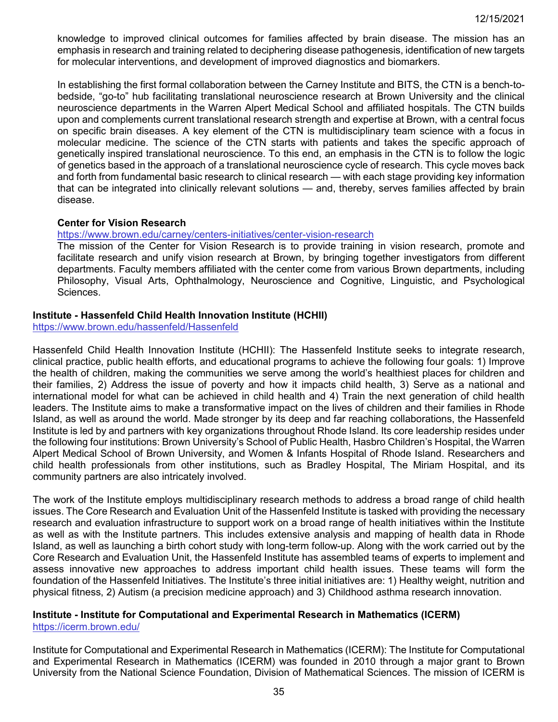knowledge to improved clinical outcomes for families affected by brain disease. The mission has an emphasis in research and training related to deciphering disease pathogenesis, identification of new targets for molecular interventions, and development of improved diagnostics and biomarkers.

In establishing the first formal collaboration between the Carney Institute and BITS, the CTN is a bench-tobedside, "go-to" hub facilitating translational neuroscience research at Brown University and the clinical neuroscience departments in the Warren Alpert Medical School and affiliated hospitals. The CTN builds upon and complements current translational research strength and expertise at Brown, with a central focus on specific brain diseases. A key element of the CTN is multidisciplinary team science with a focus in molecular medicine. The science of the CTN starts with patients and takes the specific approach of genetically inspired translational neuroscience. To this end, an emphasis in the CTN is to follow the logic of genetics based in the approach of a translational neuroscience cycle of research. This cycle moves back and forth from fundamental basic research to clinical research — with each stage providing key information that can be integrated into clinically relevant solutions — and, thereby, serves families affected by brain disease.

## **Center for Vision Research**

### <https://www.brown.edu/carney/centers-initiatives/center-vision-research>

The mission of the Center for Vision Research is to provide training in vision research, promote and facilitate research and unify vision research at Brown, by bringing together investigators from different departments. Faculty members affiliated with the center come from various Brown departments, including Philosophy, Visual Arts, Ophthalmology, Neuroscience and Cognitive, Linguistic, and Psychological Sciences.

### <span id="page-34-0"></span>**Institute - Hassenfeld Child Health Innovation Institute (HCHII)**

<https://www.brown.edu/hassenfeld/Hassenfeld>

Hassenfeld Child Health Innovation Institute (HCHII): The Hassenfeld Institute seeks to integrate research, clinical practice, public health efforts, and educational programs to achieve the following four goals: 1) Improve the health of children, making the communities we serve among the world's healthiest places for children and their families, 2) Address the issue of poverty and how it impacts child health, 3) Serve as a national and international model for what can be achieved in child health and 4) Train the next generation of child health leaders. The Institute aims to make a transformative impact on the lives of children and their families in Rhode Island, as well as around the world. Made stronger by its deep and far reaching collaborations, the Hassenfeld Institute is led by and partners with key organizations throughout Rhode Island. Its core leadership resides under the following four institutions: Brown University's School of Public Health, Hasbro Children's Hospital, the Warren Alpert Medical School of Brown University, and Women & Infants Hospital of Rhode Island. Researchers and child health professionals from other institutions, such as Bradley Hospital, The Miriam Hospital, and its community partners are also intricately involved.

The work of the Institute employs multidisciplinary research methods to address a broad range of child health issues. The Core Research and Evaluation Unit of the Hassenfeld Institute is tasked with providing the necessary research and evaluation infrastructure to support work on a broad range of health initiatives within the Institute as well as with the Institute partners. This includes extensive analysis and mapping of health data in Rhode Island, as well as launching a birth cohort study with long-term follow-up. Along with the work carried out by the Core Research and Evaluation Unit, the Hassenfeld Institute has assembled teams of experts to implement and assess innovative new approaches to address important child health issues. These teams will form the foundation of the Hassenfeld Initiatives. The Institute's three initial initiatives are: 1) Healthy weight, nutrition and physical fitness, 2) Autism (a precision medicine approach) and 3) Childhood asthma research innovation.

#### <span id="page-34-1"></span>**Institute - Institute for Computational and Experimental Research in Mathematics (ICERM)** <https://icerm.brown.edu/>

Institute for Computational and Experimental Research in Mathematics (ICERM): The Institute for Computational and Experimental Research in Mathematics (ICERM) was founded in 2010 through a major grant to Brown University from the National Science Foundation, Division of Mathematical Sciences. The mission of ICERM is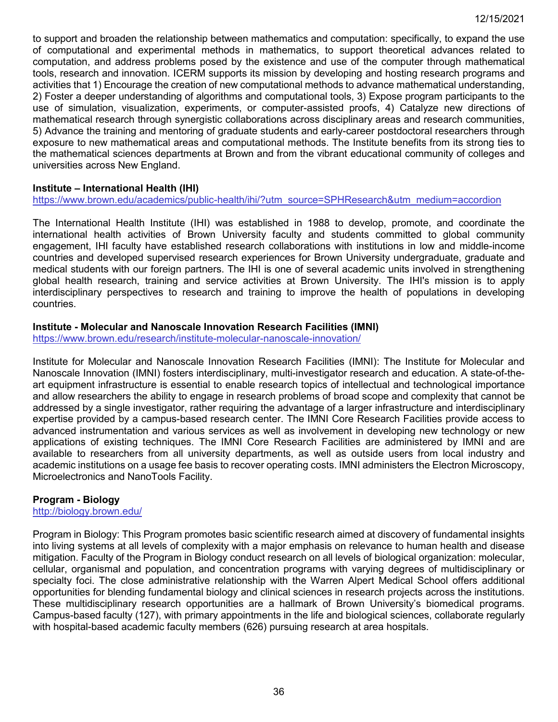to support and broaden the relationship between mathematics and computation: specifically, to expand the use of computational and experimental methods in mathematics, to support theoretical advances related to computation, and address problems posed by the existence and use of the computer through mathematical tools, research and innovation. ICERM supports its mission by developing and hosting research programs and activities that 1) Encourage the creation of new computational methods to advance mathematical understanding, 2) Foster a deeper understanding of algorithms and computational tools, 3) Expose program participants to the use of simulation, visualization, experiments, or computer-assisted proofs, 4) Catalyze new directions of mathematical research through synergistic collaborations across disciplinary areas and research communities, 5) Advance the training and mentoring of graduate students and early-career postdoctoral researchers through exposure to new mathematical areas and computational methods. The Institute benefits from its strong ties to the mathematical sciences departments at Brown and from the vibrant educational community of colleges and universities across New England.

## <span id="page-35-0"></span>**Institute – International Health (IHI)**

[https://www.brown.edu/academics/public-health/ihi/?utm\\_source=SPHResearch&utm\\_medium=accordion](https://www.brown.edu/academics/public-health/ihi/?utm_source=SPHResearch&utm_medium=accordion)

The International Health Institute (IHI) was established in 1988 to develop, promote, and coordinate the international health activities of Brown University faculty and students committed to global community engagement, IHI faculty have established research collaborations with institutions in low and middle-income countries and developed supervised research experiences for Brown University undergraduate, graduate and medical students with our foreign partners. The IHI is one of several academic units involved in strengthening global health research, training and service activities at Brown University. The IHI's mission is to apply interdisciplinary perspectives to research and training to improve the health of populations in developing countries.

#### <span id="page-35-1"></span>**Institute - Molecular and Nanoscale Innovation Research Facilities (IMNI)**

<https://www.brown.edu/research/institute-molecular-nanoscale-innovation/>

Institute for Molecular and Nanoscale Innovation Research Facilities (IMNI): The Institute for Molecular and Nanoscale Innovation (IMNI) fosters interdisciplinary, multi-investigator research and education. A state-of-theart equipment infrastructure is essential to enable research topics of intellectual and technological importance and allow researchers the ability to engage in research problems of broad scope and complexity that cannot be addressed by a single investigator, rather requiring the advantage of a larger infrastructure and interdisciplinary expertise provided by a campus-based research center. The IMNI Core Research Facilities provide access to advanced instrumentation and various services as well as involvement in developing new technology or new applications of existing techniques. The IMNI Core Research Facilities are administered by IMNI and are available to researchers from all university departments, as well as outside users from local industry and academic institutions on a usage fee basis to recover operating costs. IMNI administers the Electron Microscopy, Microelectronics and NanoTools Facility.

### <span id="page-35-2"></span>**Program - Biology**

<http://biology.brown.edu/>

<span id="page-35-3"></span>Program in Biology: This Program promotes basic scientific research aimed at discovery of fundamental insights into living systems at all levels of complexity with a major emphasis on relevance to human health and disease mitigation. Faculty of the Program in Biology conduct research on all levels of biological organization: molecular, cellular, organismal and population, and concentration programs with varying degrees of multidisciplinary or specialty foci. The close administrative relationship with the Warren Alpert Medical School offers additional opportunities for blending fundamental biology and clinical sciences in research projects across the institutions. These multidisciplinary research opportunities are a hallmark of Brown University's biomedical programs. Campus-based faculty (127), with primary appointments in the life and biological sciences, collaborate regularly with hospital-based academic faculty members (626) pursuing research at area hospitals.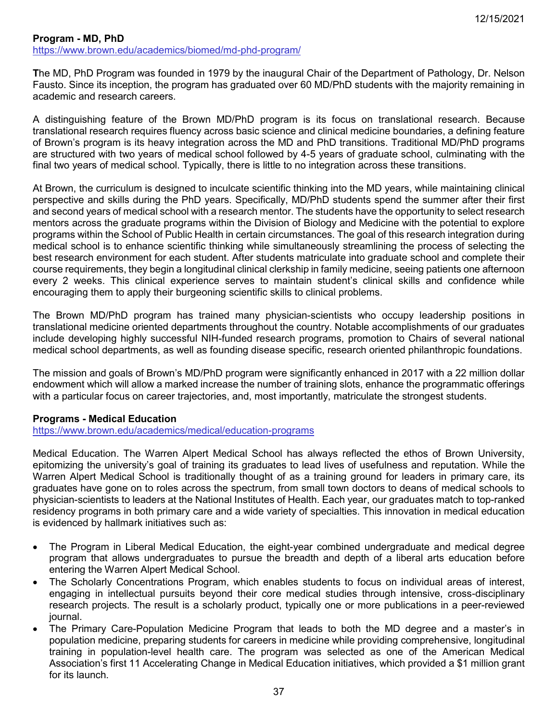### **Program - MD, PhD** <https://www.brown.edu/academics/biomed/md-phd-program/>

**T**he MD, PhD Program was founded in 1979 by the inaugural Chair of the Department of Pathology, Dr. Nelson Fausto. Since its inception, the program has graduated over 60 MD/PhD students with the majority remaining in academic and research careers.

A distinguishing feature of the Brown MD/PhD program is its focus on translational research. Because translational research requires fluency across basic science and clinical medicine boundaries, a defining feature of Brown's program is its heavy integration across the MD and PhD transitions. Traditional MD/PhD programs are structured with two years of medical school followed by 4-5 years of graduate school, culminating with the final two years of medical school. Typically, there is little to no integration across these transitions.

At Brown, the curriculum is designed to inculcate scientific thinking into the MD years, while maintaining clinical perspective and skills during the PhD years. Specifically, MD/PhD students spend the summer after their first and second years of medical school with a research mentor. The students have the opportunity to select research mentors across the graduate programs within the Division of Biology and Medicine with the potential to explore programs within the School of Public Health in certain circumstances. The goal of this research integration during medical school is to enhance scientific thinking while simultaneously streamlining the process of selecting the best research environment for each student. After students matriculate into graduate school and complete their course requirements, they begin a longitudinal clinical clerkship in family medicine, seeing patients one afternoon every 2 weeks. This clinical experience serves to maintain student's clinical skills and confidence while encouraging them to apply their burgeoning scientific skills to clinical problems.

The Brown MD/PhD program has trained many physician-scientists who occupy leadership positions in translational medicine oriented departments throughout the country. Notable accomplishments of our graduates include developing highly successful NIH-funded research programs, promotion to Chairs of several national medical school departments, as well as founding disease specific, research oriented philanthropic foundations.

The mission and goals of Brown's MD/PhD program were significantly enhanced in 2017 with a 22 million dollar endowment which will allow a marked increase the number of training slots, enhance the programmatic offerings with a particular focus on career trajectories, and, most importantly, matriculate the strongest students.

# **Programs - Medical Education**

<https://www.brown.edu/academics/medical/education-programs>

Medical Education. The Warren Alpert Medical School has always reflected the ethos of Brown University, epitomizing the university's goal of training its graduates to lead lives of usefulness and reputation. While the Warren Alpert Medical School is traditionally thought of as a training ground for leaders in primary care, its graduates have gone on to roles across the spectrum, from small town doctors to deans of medical schools to physician-scientists to leaders at the National Institutes of Health. Each year, our graduates match to top-ranked residency programs in both primary care and a wide variety of specialties. This innovation in medical education is evidenced by hallmark initiatives such as:

- The Program in Liberal Medical Education, the eight-year combined undergraduate and medical degree program that allows undergraduates to pursue the breadth and depth of a liberal arts education before entering the Warren Alpert Medical School.
- The Scholarly Concentrations Program, which enables students to focus on individual areas of interest, engaging in intellectual pursuits beyond their core medical studies through intensive, cross-disciplinary research projects. The result is a scholarly product, typically one or more publications in a peer-reviewed journal.
- The Primary Care-Population Medicine Program that leads to both the MD degree and a master's in population medicine, preparing students for careers in medicine while providing comprehensive, longitudinal training in population-level health care. The program was selected as one of the American Medical Association's first 11 Accelerating Change in Medical Education initiatives, which provided a \$1 million grant for its launch.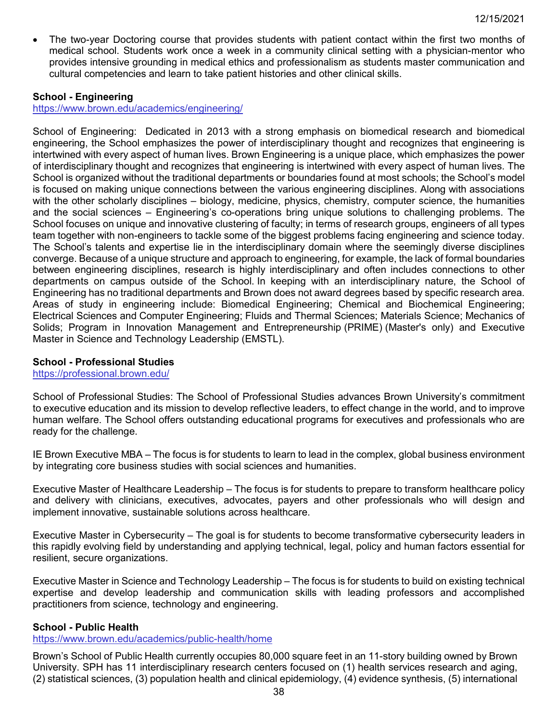The two-year Doctoring course that provides students with patient contact within the first two months of medical school. Students work once a week in a community clinical setting with a physician-mentor who provides intensive grounding in medical ethics and professionalism as students master communication and cultural competencies and learn to take patient histories and other clinical skills.

### **School - Engineering**

<https://www.brown.edu/academics/engineering/>

School of Engineering: Dedicated in 2013 with a strong emphasis on biomedical research and biomedical engineering, the School emphasizes the power of interdisciplinary thought and recognizes that engineering is intertwined with every aspect of human lives. Brown Engineering is a unique place, which emphasizes the power of interdisciplinary thought and recognizes that engineering is intertwined with every aspect of human lives. The School is organized without the traditional departments or boundaries found at most schools; the School's model is focused on making unique connections between the various engineering disciplines. Along with associations with the other scholarly disciplines – biology, medicine, physics, chemistry, computer science, the humanities and the social sciences – Engineering's co-operations bring unique solutions to challenging problems. The School focuses on unique and innovative clustering of faculty; in terms of research groups, engineers of all types team together with non-engineers to tackle some of the biggest problems facing engineering and science today. The School's talents and expertise lie in the interdisciplinary domain where the seemingly diverse disciplines converge. Because of a unique structure and approach to engineering, for example, the lack of formal boundaries between engineering disciplines, research is highly interdisciplinary and often includes connections to other departments on campus outside of the School. In keeping with an interdisciplinary nature, the School of Engineering has no traditional departments and Brown does not award degrees based by specific research area. Areas of study in engineering include: Biomedical Engineering; Chemical and Biochemical Engineering; Electrical Sciences and Computer Engineering; Fluids and Thermal Sciences; Materials Science; Mechanics of Solids; Program in Innovation Management and Entrepreneurship (PRIME) (Master's only) and Executive Master in Science and Technology Leadership (EMSTL).

### **School - Professional Studies**

<https://professional.brown.edu/>

School of Professional Studies: The School of Professional Studies advances Brown University's commitment to executive education and its mission to develop reflective leaders, to effect change in the world, and to improve human welfare. The School offers outstanding educational programs for executives and professionals who are ready for the challenge.

IE Brown Executive MBA – The focus is for students to learn to lead in the complex, global business environment by integrating core business studies with social sciences and humanities.

Executive Master of Healthcare Leadership – The focus is for students to prepare to transform healthcare policy and delivery with clinicians, executives, advocates, payers and other professionals who will design and implement innovative, sustainable solutions across healthcare.

Executive Master in Cybersecurity – The goal is for students to become transformative cybersecurity leaders in this rapidly evolving field by understanding and applying technical, legal, policy and human factors essential for resilient, secure organizations.

Executive Master in Science and Technology Leadership – The focus is for students to build on existing technical expertise and develop leadership and communication skills with leading professors and accomplished practitioners from science, technology and engineering.

### **School - Public Health**

<https://www.brown.edu/academics/public-health/home>

Brown's School of Public Health currently occupies 80,000 square feet in an 11-story building owned by Brown University. SPH has 11 interdisciplinary research centers focused on (1) health services research and aging, (2) statistical sciences, (3) population health and clinical epidemiology, (4) evidence synthesis, (5) international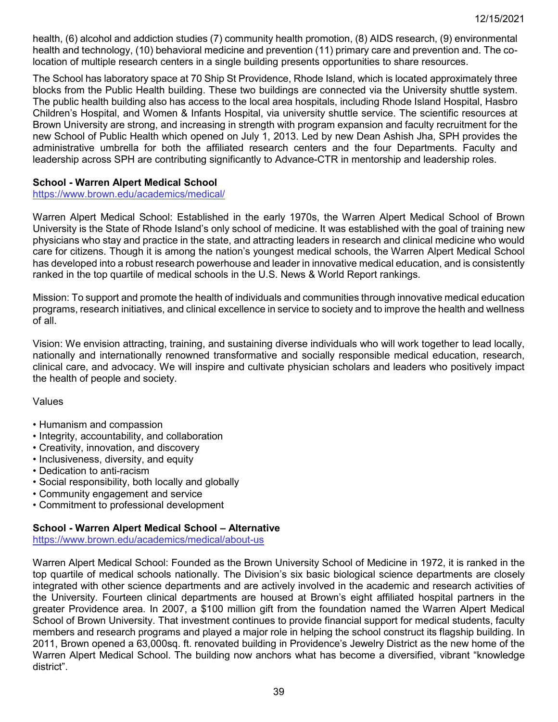health, (6) alcohol and addiction studies (7) community health promotion, (8) AIDS research, (9) environmental health and technology, (10) behavioral medicine and prevention (11) primary care and prevention and. The colocation of multiple research centers in a single building presents opportunities to share resources.

The School has laboratory space at 70 Ship St Providence, Rhode Island, which is located approximately three blocks from the Public Health building. These two buildings are connected via the University shuttle system. The public health building also has access to the local area hospitals, including Rhode Island Hospital, Hasbro Children's Hospital, and Women & Infants Hospital, via university shuttle service. The scientific resources at Brown University are strong, and increasing in strength with program expansion and faculty recruitment for the new School of Public Health which opened on July 1, 2013. Led by new Dean Ashish Jha, SPH provides the administrative umbrella for both the affiliated research centers and the four Departments. Faculty and leadership across SPH are contributing significantly to Advance-CTR in mentorship and leadership roles.

#### **School - Warren Alpert Medical School**

<https://www.brown.edu/academics/medical/>

Warren Alpert Medical School: Established in the early 1970s, the Warren Alpert Medical School of Brown University is the State of Rhode Island's only school of medicine. It was established with the goal of training new physicians who stay and practice in the state, and attracting leaders in research and clinical medicine who would care for citizens. Though it is among the nation's youngest medical schools, the Warren Alpert Medical School has developed into a robust research powerhouse and leader in innovative medical education, and is consistently ranked in the top quartile of medical schools in the U.S. News & World Report rankings.

Mission: To support and promote the health of individuals and communities through innovative medical education programs, research initiatives, and clinical excellence in service to society and to improve the health and wellness of all.

Vision: We envision attracting, training, and sustaining diverse individuals who will work together to lead locally, nationally and internationally renowned transformative and socially responsible medical education, research, clinical care, and advocacy. We will inspire and cultivate physician scholars and leaders who positively impact the health of people and society.

#### Values

- Humanism and compassion
- Integrity, accountability, and collaboration
- Creativity, innovation, and discovery
- Inclusiveness, diversity, and equity
- Dedication to anti-racism
- Social responsibility, both locally and globally
- Community engagement and service
- Commitment to professional development

#### **School - Warren Alpert Medical School – Alternative**

<https://www.brown.edu/academics/medical/about-us>

Warren Alpert Medical School: Founded as the Brown University School of Medicine in 1972, it is ranked in the top quartile of medical schools nationally. The Division's six basic biological science departments are closely integrated with other science departments and are actively involved in the academic and research activities of the University. Fourteen clinical departments are housed at Brown's eight affiliated hospital partners in the greater Providence area. In 2007, a \$100 million gift from the foundation named the Warren Alpert Medical School of Brown University. That investment continues to provide financial support for medical students, faculty members and research programs and played a major role in helping the school construct its flagship building. In 2011, Brown opened a 63,000sq. ft. renovated building in Providence's Jewelry District as the new home of the Warren Alpert Medical School. The building now anchors what has become a diversified, vibrant "knowledge district".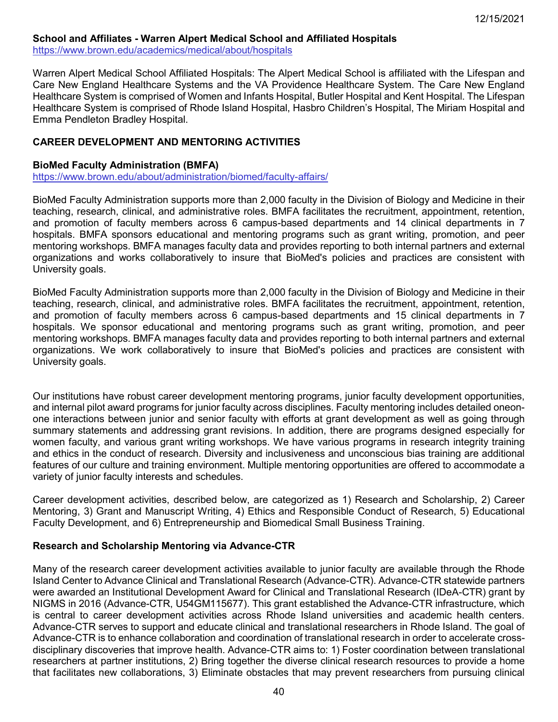### **School and Affiliates - Warren Alpert Medical School and Affiliated Hospitals**

<https://www.brown.edu/academics/medical/about/hospitals>

Warren Alpert Medical School Affiliated Hospitals: The Alpert Medical School is affiliated with the Lifespan and Care New England Healthcare Systems and the VA Providence Healthcare System. The Care New England Healthcare System is comprised of Women and Infants Hospital, Butler Hospital and Kent Hospital. The Lifespan Healthcare System is comprised of Rhode Island Hospital, Hasbro Children's Hospital, The Miriam Hospital and Emma Pendleton Bradley Hospital.

### **CAREER DEVELOPMENT AND MENTORING ACTIVITIES**

#### **BioMed Faculty Administration (BMFA)**

<https://www.brown.edu/about/administration/biomed/faculty-affairs/>

BioMed Faculty Administration supports more than 2,000 faculty in the Division of Biology and Medicine in their teaching, research, clinical, and administrative roles. BMFA facilitates the recruitment, appointment, retention, and promotion of faculty members across 6 campus-based departments and 14 clinical departments in 7 hospitals. BMFA sponsors educational and mentoring programs such as grant writing, promotion, and peer mentoring workshops. BMFA manages faculty data and provides reporting to both internal partners and external organizations and works collaboratively to insure that BioMed's policies and practices are consistent with University goals.

BioMed Faculty Administration supports more than 2,000 faculty in the Division of Biology and Medicine in their teaching, research, clinical, and administrative roles. BMFA facilitates the recruitment, appointment, retention, and promotion of faculty members across 6 campus-based departments and 15 clinical departments in 7 hospitals. We sponsor educational and mentoring programs such as grant writing, promotion, and peer mentoring workshops. BMFA manages faculty data and provides reporting to both internal partners and external organizations. We work collaboratively to insure that BioMed's policies and practices are consistent with University goals.

Our institutions have robust career development mentoring programs, junior faculty development opportunities, and internal pilot award programs for junior faculty across disciplines. Faculty mentoring includes detailed oneonone interactions between junior and senior faculty with efforts at grant development as well as going through summary statements and addressing grant revisions. In addition, there are programs designed especially for women faculty, and various grant writing workshops. We have various programs in research integrity training and ethics in the conduct of research. Diversity and inclusiveness and unconscious bias training are additional features of our culture and training environment. Multiple mentoring opportunities are offered to accommodate a variety of junior faculty interests and schedules.

Career development activities, described below, are categorized as 1) Research and Scholarship, 2) Career Mentoring, 3) Grant and Manuscript Writing, 4) Ethics and Responsible Conduct of Research, 5) Educational Faculty Development, and 6) Entrepreneurship and Biomedical Small Business Training.

#### **Research and Scholarship Mentoring via Advance-CTR**

Many of the research career development activities available to junior faculty are available through the Rhode Island Center to Advance Clinical and Translational Research (Advance-CTR). Advance-CTR statewide partners were awarded an Institutional Development Award for Clinical and Translational Research (IDeA-CTR) grant by NIGMS in 2016 (Advance-CTR, U54GM115677). This grant established the Advance-CTR infrastructure, which is central to career development activities across Rhode Island universities and academic health centers. Advance-CTR serves to support and educate clinical and translational researchers in Rhode Island. The goal of Advance-CTR is to enhance collaboration and coordination of translational research in order to accelerate crossdisciplinary discoveries that improve health. Advance-CTR aims to: 1) Foster coordination between translational researchers at partner institutions, 2) Bring together the diverse clinical research resources to provide a home that facilitates new collaborations, 3) Eliminate obstacles that may prevent researchers from pursuing clinical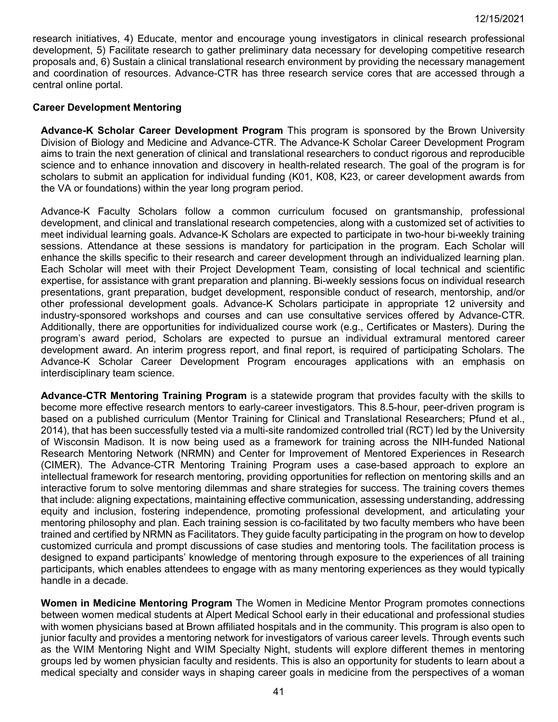research initiatives, 4) Educate, mentor and encourage young investigators in clinical research professional development, 5) Facilitate research to gather preliminary data necessary for developing competitive research proposals and, 6) Sustain a clinical translational research environment by providing the necessary management and coordination of resources. Advance-CTR has three research service cores that are accessed through a central online portal.

### **Career Development Mentoring**

**Advance-K Scholar Career Development Program** This program is sponsored by the Brown University Division of Biology and Medicine and Advance-CTR. The Advance-K Scholar Career Development Program aims to train the next generation of clinical and translational researchers to conduct rigorous and reproducible science and to enhance innovation and discovery in health-related research. The goal of the program is for scholars to submit an application for individual funding (K01, K08, K23, or career development awards from the VA or foundations) within the year long program period.

Advance-K Faculty Scholars follow a common curriculum focused on grantsmanship, professional development, and clinical and translational research competencies, along with a customized set of activities to meet individual learning goals. Advance-K Scholars are expected to participate in two-hour bi-weekly training sessions. Attendance at these sessions is mandatory for participation in the program. Each Scholar will enhance the skills specific to their research and career development through an individualized learning plan. Each Scholar will meet with their Project Development Team, consisting of local technical and scientific expertise, for assistance with grant preparation and planning. Bi-weekly sessions focus on individual research presentations, grant preparation, budget development, responsible conduct of research, mentorship, and/or other professional development goals. Advance-K Scholars participate in appropriate 12 university and industry-sponsored workshops and courses and can use consultative services offered by Advance-CTR. Additionally, there are opportunities for individualized course work (e.g., Certificates or Masters). During the program's award period, Scholars are expected to pursue an individual extramural mentored career development award. An interim progress report, and final report, is required of participating Scholars. The Advance-K Scholar Career Development Program encourages applications with an emphasis on interdisciplinary team science.

**Advance-CTR Mentoring Training Program** is a statewide program that provides faculty with the skills to become more effective research mentors to early-career investigators. This 8.5-hour, peer-driven program is based on a published curriculum (Mentor Training for Clinical and Translational Researchers; Pfund et al., 2014), that has been successfully tested via a multi-site randomized controlled trial (RCT) led by the University of Wisconsin Madison. It is now being used as a framework for training across the NIH-funded National Research Mentoring Network (NRMN) and Center for Improvement of Mentored Experiences in Research (CIMER). The Advance-CTR Mentoring Training Program uses a case-based approach to explore an intellectual framework for research mentoring, providing opportunities for reflection on mentoring skills and an interactive forum to solve mentoring dilemmas and share strategies for success. The training covers themes that include: aligning expectations, maintaining effective communication, assessing understanding, addressing equity and inclusion, fostering independence, promoting professional development, and articulating your mentoring philosophy and plan. Each training session is co-facilitated by two faculty members who have been trained and certified by NRMN as Facilitators. They guide faculty participating in the program on how to develop customized curricula and prompt discussions of case studies and mentoring tools. The facilitation process is designed to expand participants' knowledge of mentoring through exposure to the experiences of all training participants, which enables attendees to engage with as many mentoring experiences as they would typically handle in a decade.

**Women in Medicine Mentoring Program** The Women in Medicine Mentor Program promotes connections between women medical students at Alpert Medical School early in their educational and professional studies with women physicians based at Brown affiliated hospitals and in the community. This program is also open to junior faculty and provides a mentoring network for investigators of various career levels. Through events such as the WIM Mentoring Night and WIM Specialty Night, students will explore different themes in mentoring groups led by women physician faculty and residents. This is also an opportunity for students to learn about a medical specialty and consider ways in shaping career goals in medicine from the perspectives of a woman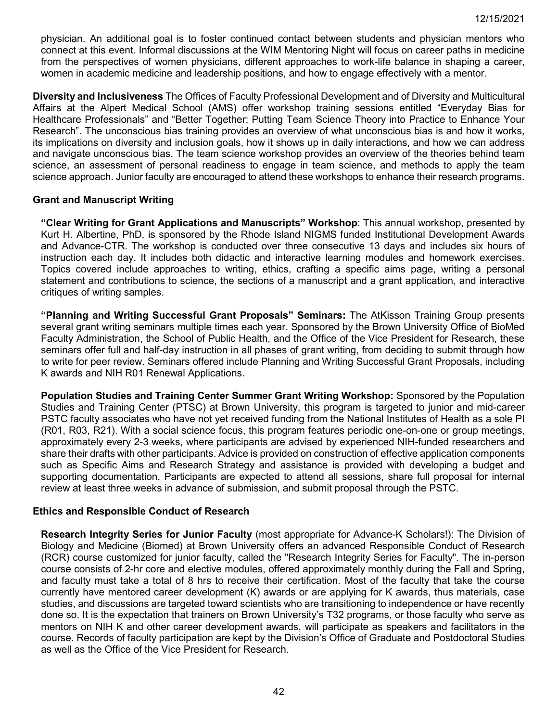physician. An additional goal is to foster continued contact between students and physician mentors who connect at this event. Informal discussions at the WIM Mentoring Night will focus on career paths in medicine from the perspectives of women physicians, different approaches to work-life balance in shaping a career, women in academic medicine and leadership positions, and how to engage effectively with a mentor.

**Diversity and Inclusiveness** The Offices of Faculty Professional Development and of Diversity and Multicultural Affairs at the Alpert Medical School (AMS) offer workshop training sessions entitled "Everyday Bias for Healthcare Professionals" and "Better Together: Putting Team Science Theory into Practice to Enhance Your Research". The unconscious bias training provides an overview of what unconscious bias is and how it works, its implications on diversity and inclusion goals, how it shows up in daily interactions, and how we can address and navigate unconscious bias. The team science workshop provides an overview of the theories behind team science, an assessment of personal readiness to engage in team science, and methods to apply the team science approach. Junior faculty are encouraged to attend these workshops to enhance their research programs.

### **Grant and Manuscript Writing**

**"Clear Writing for Grant Applications and Manuscripts" Workshop**: This annual workshop, presented by Kurt H. Albertine, PhD, is sponsored by the Rhode Island NIGMS funded Institutional Development Awards and Advance-CTR. The workshop is conducted over three consecutive 13 days and includes six hours of instruction each day. It includes both didactic and interactive learning modules and homework exercises. Topics covered include approaches to writing, ethics, crafting a specific aims page, writing a personal statement and contributions to science, the sections of a manuscript and a grant application, and interactive critiques of writing samples.

**"Planning and Writing Successful Grant Proposals" Seminars:** The AtKisson Training Group presents several grant writing seminars multiple times each year. Sponsored by the Brown University Office of BioMed Faculty Administration, the School of Public Health, and the Office of the Vice President for Research, these seminars offer full and half-day instruction in all phases of grant writing, from deciding to submit through how to write for peer review. Seminars offered include Planning and Writing Successful Grant Proposals, including K awards and NIH R01 Renewal Applications.

**Population Studies and Training Center Summer Grant Writing Workshop:** Sponsored by the Population Studies and Training Center (PTSC) at Brown University, this program is targeted to junior and mid-career PSTC faculty associates who have not yet received funding from the National Institutes of Health as a sole PI (R01, R03, R21). With a social science focus, this program features periodic one-on-one or group meetings, approximately every 2-3 weeks, where participants are advised by experienced NIH-funded researchers and share their drafts with other participants. Advice is provided on construction of effective application components such as Specific Aims and Research Strategy and assistance is provided with developing a budget and supporting documentation. Participants are expected to attend all sessions, share full proposal for internal review at least three weeks in advance of submission, and submit proposal through the PSTC.

### **Ethics and Responsible Conduct of Research**

**Research Integrity Series for Junior Faculty** (most appropriate for Advance-K Scholars!): The Division of Biology and Medicine (Biomed) at Brown University offers an advanced Responsible Conduct of Research (RCR) course customized for junior faculty, called the "Research Integrity Series for Faculty". The in-person course consists of 2-hr core and elective modules, offered approximately monthly during the Fall and Spring, and faculty must take a total of 8 hrs to receive their certification. Most of the faculty that take the course currently have mentored career development (K) awards or are applying for K awards, thus materials, case studies, and discussions are targeted toward scientists who are transitioning to independence or have recently done so. It is the expectation that trainers on Brown University's T32 programs, or those faculty who serve as mentors on NIH K and other career development awards, will participate as speakers and facilitators in the course. Records of faculty participation are kept by the Division's Office of Graduate and Postdoctoral Studies as well as the Office of the Vice President for Research.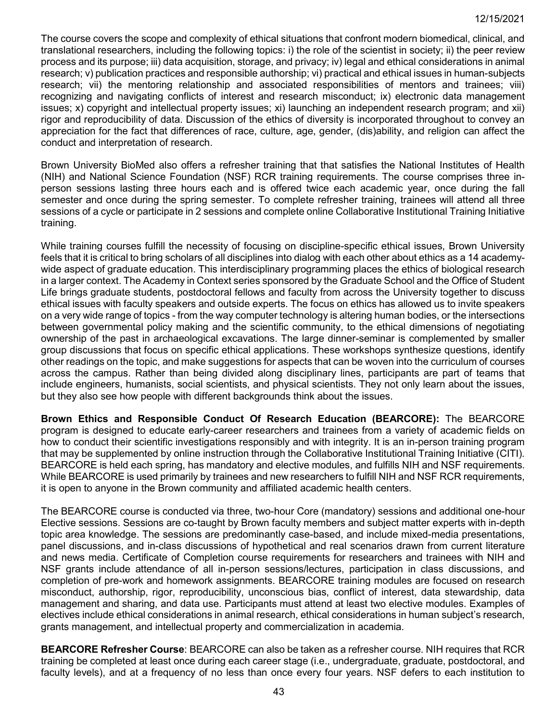The course covers the scope and complexity of ethical situations that confront modern biomedical, clinical, and translational researchers, including the following topics: i) the role of the scientist in society; ii) the peer review process and its purpose; iii) data acquisition, storage, and privacy; iv) legal and ethical considerations in animal research; v) publication practices and responsible authorship; vi) practical and ethical issues in human-subjects research; vii) the mentoring relationship and associated responsibilities of mentors and trainees; viii) recognizing and navigating conflicts of interest and research misconduct; ix) electronic data management issues; x) copyright and intellectual property issues; xi) launching an independent research program; and xii) rigor and reproducibility of data. Discussion of the ethics of diversity is incorporated throughout to convey an appreciation for the fact that differences of race, culture, age, gender, (dis)ability, and religion can affect the conduct and interpretation of research.

Brown University BioMed also offers a refresher training that that satisfies the National Institutes of Health (NIH) and National Science Foundation (NSF) RCR training requirements. The course comprises three inperson sessions lasting three hours each and is offered twice each academic year, once during the fall semester and once during the spring semester. To complete refresher training, trainees will attend all three sessions of a cycle or participate in 2 sessions and complete online Collaborative Institutional Training Initiative training.

While training courses fulfill the necessity of focusing on discipline-specific ethical issues, Brown University feels that it is critical to bring scholars of all disciplines into dialog with each other about ethics as a 14 academywide aspect of graduate education. This interdisciplinary programming places the ethics of biological research in a larger context. The Academy in Context series sponsored by the Graduate School and the Office of Student Life brings graduate students, postdoctoral fellows and faculty from across the University together to discuss ethical issues with faculty speakers and outside experts. The focus on ethics has allowed us to invite speakers on a very wide range of topics - from the way computer technology is altering human bodies, or the intersections between governmental policy making and the scientific community, to the ethical dimensions of negotiating ownership of the past in archaeological excavations. The large dinner-seminar is complemented by smaller group discussions that focus on specific ethical applications. These workshops synthesize questions, identify other readings on the topic, and make suggestions for aspects that can be woven into the curriculum of courses across the campus. Rather than being divided along disciplinary lines, participants are part of teams that include engineers, humanists, social scientists, and physical scientists. They not only learn about the issues, but they also see how people with different backgrounds think about the issues.

**Brown Ethics and Responsible Conduct Of Research Education (BEARCORE):** The BEARCORE program is designed to educate early-career researchers and trainees from a variety of academic fields on how to conduct their scientific investigations responsibly and with integrity. It is an in-person training program that may be supplemented by online instruction through the Collaborative Institutional Training Initiative (CITI). BEARCORE is held each spring, has mandatory and elective modules, and fulfills NIH and NSF requirements. While BEARCORE is used primarily by trainees and new researchers to fulfill NIH and NSF RCR requirements, it is open to anyone in the Brown community and affiliated academic health centers.

The BEARCORE course is conducted via three, two-hour Core (mandatory) sessions and additional one-hour Elective sessions. Sessions are co-taught by Brown faculty members and subject matter experts with in-depth topic area knowledge. The sessions are predominantly case-based, and include mixed-media presentations, panel discussions, and in-class discussions of hypothetical and real scenarios drawn from current literature and news media. Certificate of Completion course requirements for researchers and trainees with NIH and NSF grants include attendance of all in-person sessions/lectures, participation in class discussions, and completion of pre-work and homework assignments. BEARCORE training modules are focused on research misconduct, authorship, rigor, reproducibility, unconscious bias, conflict of interest, data stewardship, data management and sharing, and data use. Participants must attend at least two elective modules. Examples of electives include ethical considerations in animal research, ethical considerations in human subject's research, grants management, and intellectual property and commercialization in academia.

**BEARCORE Refresher Course**: BEARCORE can also be taken as a refresher course. NIH requires that RCR training be completed at least once during each career stage (i.e., undergraduate, graduate, postdoctoral, and faculty levels), and at a frequency of no less than once every four years. NSF defers to each institution to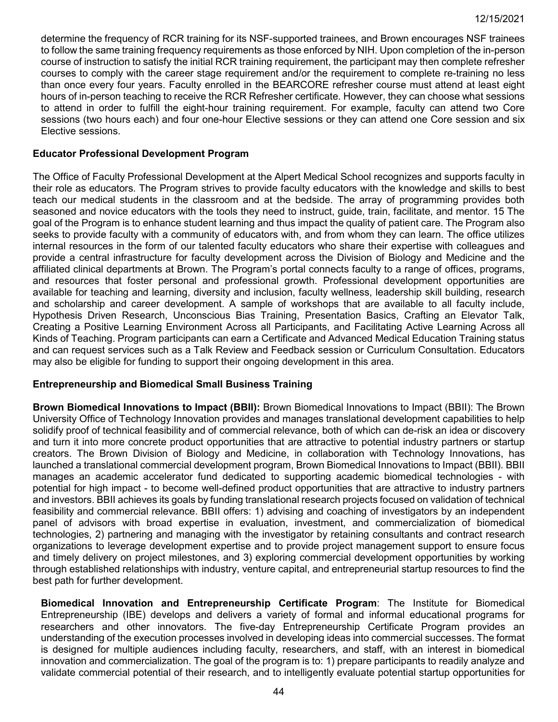determine the frequency of RCR training for its NSF-supported trainees, and Brown encourages NSF trainees to follow the same training frequency requirements as those enforced by NIH. Upon completion of the in-person course of instruction to satisfy the initial RCR training requirement, the participant may then complete refresher courses to comply with the career stage requirement and/or the requirement to complete re-training no less than once every four years. Faculty enrolled in the BEARCORE refresher course must attend at least eight hours of in-person teaching to receive the RCR Refresher certificate. However, they can choose what sessions to attend in order to fulfill the eight-hour training requirement. For example, faculty can attend two Core sessions (two hours each) and four one-hour Elective sessions or they can attend one Core session and six Elective sessions.

### **Educator Professional Development Program**

The Office of Faculty Professional Development at the Alpert Medical School recognizes and supports faculty in their role as educators. The Program strives to provide faculty educators with the knowledge and skills to best teach our medical students in the classroom and at the bedside. The array of programming provides both seasoned and novice educators with the tools they need to instruct, guide, train, facilitate, and mentor. 15 The goal of the Program is to enhance student learning and thus impact the quality of patient care. The Program also seeks to provide faculty with a community of educators with, and from whom they can learn. The office utilizes internal resources in the form of our talented faculty educators who share their expertise with colleagues and provide a central infrastructure for faculty development across the Division of Biology and Medicine and the affiliated clinical departments at Brown. The Program's portal connects faculty to a range of offices, programs, and resources that foster personal and professional growth. Professional development opportunities are available for teaching and learning, diversity and inclusion, faculty wellness, leadership skill building, research and scholarship and career development. A sample of workshops that are available to all faculty include, Hypothesis Driven Research, Unconscious Bias Training, Presentation Basics, Crafting an Elevator Talk, Creating a Positive Learning Environment Across all Participants, and Facilitating Active Learning Across all Kinds of Teaching. Program participants can earn a Certificate and Advanced Medical Education Training status and can request services such as a Talk Review and Feedback session or Curriculum Consultation. Educators may also be eligible for funding to support their ongoing development in this area.

### **Entrepreneurship and Biomedical Small Business Training**

**Brown Biomedical Innovations to Impact (BBII):** Brown Biomedical Innovations to Impact (BBII): The Brown University Office of Technology Innovation provides and manages translational development capabilities to help solidify proof of technical feasibility and of commercial relevance, both of which can de-risk an idea or discovery and turn it into more concrete product opportunities that are attractive to potential industry partners or startup creators. The Brown Division of Biology and Medicine, in collaboration with Technology Innovations, has launched a translational commercial development program, Brown Biomedical Innovations to Impact (BBII). BBII manages an academic accelerator fund dedicated to supporting academic biomedical technologies - with potential for high impact - to become well-defined product opportunities that are attractive to industry partners and investors. BBII achieves its goals by funding translational research projects focused on validation of technical feasibility and commercial relevance. BBII offers: 1) advising and coaching of investigators by an independent panel of advisors with broad expertise in evaluation, investment, and commercialization of biomedical technologies, 2) partnering and managing with the investigator by retaining consultants and contract research organizations to leverage development expertise and to provide project management support to ensure focus and timely delivery on project milestones, and 3) exploring commercial development opportunities by working through established relationships with industry, venture capital, and entrepreneurial startup resources to find the best path for further development.

**Biomedical Innovation and Entrepreneurship Certificate Program**: The Institute for Biomedical Entrepreneurship (IBE) develops and delivers a variety of formal and informal educational programs for researchers and other innovators. The five-day Entrepreneurship Certificate Program provides an understanding of the execution processes involved in developing ideas into commercial successes. The format is designed for multiple audiences including faculty, researchers, and staff, with an interest in biomedical innovation and commercialization. The goal of the program is to: 1) prepare participants to readily analyze and validate commercial potential of their research, and to intelligently evaluate potential startup opportunities for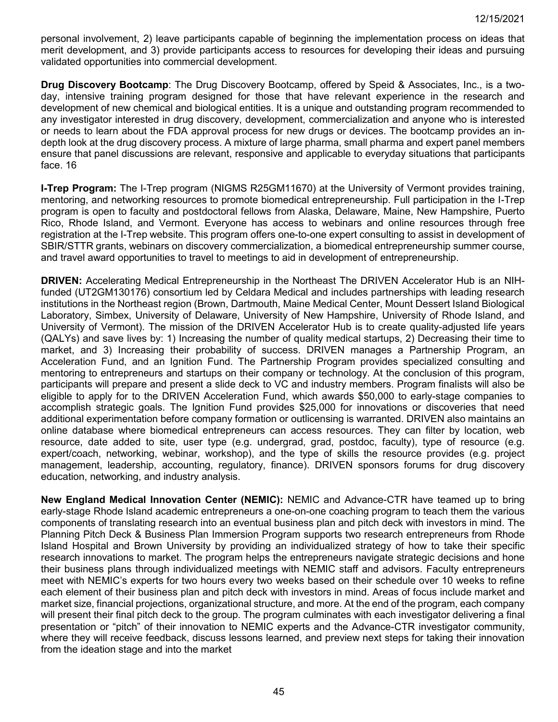personal involvement, 2) leave participants capable of beginning the implementation process on ideas that merit development, and 3) provide participants access to resources for developing their ideas and pursuing validated opportunities into commercial development.

**Drug Discovery Bootcamp**: The Drug Discovery Bootcamp, offered by Speid & Associates, Inc., is a twoday, intensive training program designed for those that have relevant experience in the research and development of new chemical and biological entities. It is a unique and outstanding program recommended to any investigator interested in drug discovery, development, commercialization and anyone who is interested or needs to learn about the FDA approval process for new drugs or devices. The bootcamp provides an indepth look at the drug discovery process. A mixture of large pharma, small pharma and expert panel members ensure that panel discussions are relevant, responsive and applicable to everyday situations that participants face. 16

**I-Trep Program:** The I-Trep program (NIGMS R25GM11670) at the University of Vermont provides training, mentoring, and networking resources to promote biomedical entrepreneurship. Full participation in the I-Trep program is open to faculty and postdoctoral fellows from Alaska, Delaware, Maine, New Hampshire, Puerto Rico, Rhode Island, and Vermont. Everyone has access to webinars and online resources through free registration at the I-Trep website. This program offers one-to-one expert consulting to assist in development of SBIR/STTR grants, webinars on discovery commercialization, a biomedical entrepreneurship summer course, and travel award opportunities to travel to meetings to aid in development of entrepreneurship.

**DRIVEN:** Accelerating Medical Entrepreneurship in the Northeast The DRIVEN Accelerator Hub is an NIHfunded (UT2GM130176) consortium led by Celdara Medical and includes partnerships with leading research institutions in the Northeast region (Brown, Dartmouth, Maine Medical Center, Mount Dessert Island Biological Laboratory, Simbex, University of Delaware, University of New Hampshire, University of Rhode Island, and University of Vermont). The mission of the DRIVEN Accelerator Hub is to create quality-adjusted life years (QALYs) and save lives by: 1) Increasing the number of quality medical startups, 2) Decreasing their time to market, and 3) Increasing their probability of success. DRIVEN manages a Partnership Program, an Acceleration Fund, and an Ignition Fund. The Partnership Program provides specialized consulting and mentoring to entrepreneurs and startups on their company or technology. At the conclusion of this program, participants will prepare and present a slide deck to VC and industry members. Program finalists will also be eligible to apply for to the DRIVEN Acceleration Fund, which awards \$50,000 to early-stage companies to accomplish strategic goals. The Ignition Fund provides \$25,000 for innovations or discoveries that need additional experimentation before company formation or outlicensing is warranted. DRIVEN also maintains an online database where biomedical entrepreneurs can access resources. They can filter by location, web resource, date added to site, user type (e.g. undergrad, grad, postdoc, faculty), type of resource (e.g. expert/coach, networking, webinar, workshop), and the type of skills the resource provides (e.g. project management, leadership, accounting, regulatory, finance). DRIVEN sponsors forums for drug discovery education, networking, and industry analysis.

**New England Medical Innovation Center (NEMIC):** NEMIC and Advance-CTR have teamed up to bring early-stage Rhode Island academic entrepreneurs a one-on-one coaching program to teach them the various components of translating research into an eventual business plan and pitch deck with investors in mind. The Planning Pitch Deck & Business Plan Immersion Program supports two research entrepreneurs from Rhode Island Hospital and Brown University by providing an individualized strategy of how to take their specific research innovations to market. The program helps the entrepreneurs navigate strategic decisions and hone their business plans through individualized meetings with NEMIC staff and advisors. Faculty entrepreneurs meet with NEMIC's experts for two hours every two weeks based on their schedule over 10 weeks to refine each element of their business plan and pitch deck with investors in mind. Areas of focus include market and market size, financial projections, organizational structure, and more. At the end of the program, each company will present their final pitch deck to the group. The program culminates with each investigator delivering a final presentation or "pitch" of their innovation to NEMIC experts and the Advance-CTR investigator community, where they will receive feedback, discuss lessons learned, and preview next steps for taking their innovation from the ideation stage and into the market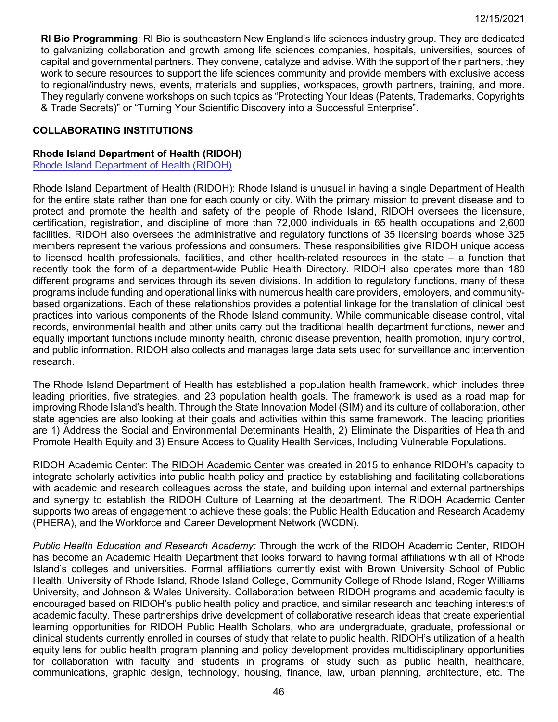**RI Bio Programming**: RI Bio is southeastern New England's life sciences industry group. They are dedicated to galvanizing collaboration and growth among life sciences companies, hospitals, universities, sources of capital and governmental partners. They convene, catalyze and advise. With the support of their partners, they work to secure resources to support the life sciences community and provide members with exclusive access to regional/industry news, events, materials and supplies, workspaces, growth partners, training, and more. They regularly convene workshops on such topics as "Protecting Your Ideas (Patents, Trademarks, Copyrights & Trade Secrets)" or "Turning Your Scientific Discovery into a Successful Enterprise".

### **COLLABORATING INSTITUTIONS**

### **Rhode Island Department of Health (RIDOH)**

[Rhode Island Department of Health \(RIDOH\)](http://www.health.ri.gov/about/)

Rhode Island Department of Health (RIDOH): Rhode Island is unusual in having a single Department of Health for the entire state rather than one for each county or city. With the primary mission to prevent disease and to protect and promote the health and safety of the people of Rhode Island, RIDOH oversees the licensure, certification, registration, and discipline of more than 72,000 individuals in 65 health occupations and 2,600 facilities. RIDOH also oversees the administrative and regulatory functions of 35 licensing boards whose 325 members represent the various professions and consumers. These responsibilities give RIDOH unique access to licensed health professionals, facilities, and other health-related resources in the state – a function that recently took the form of a department-wide Public Health Directory. RIDOH also operates more than 180 different programs and services through its seven divisions. In addition to regulatory functions, many of these programs include funding and operational links with numerous health care providers, employers, and communitybased organizations. Each of these relationships provides a potential linkage for the translation of clinical best practices into various components of the Rhode Island community. While communicable disease control, vital records, environmental health and other units carry out the traditional health department functions, newer and equally important functions include minority health, chronic disease prevention, health promotion, injury control, and public information. RIDOH also collects and manages large data sets used for surveillance and intervention research.

The Rhode Island Department of Health has established a population health framework, which includes three leading priorities, five strategies, and 23 population health goals. The framework is used as a road map for improving Rhode Island's health. Through the State Innovation Model (SIM) and its culture of collaboration, other state agencies are also looking at their goals and activities within this same framework. The leading priorities are 1) Address the Social and Environmental Determinants Health, 2) Eliminate the Disparities of Health and Promote Health Equity and 3) Ensure Access to Quality Health Services, Including Vulnerable Populations.

RIDOH Academic Center: The RIDOH Academic Center was created in 2015 to enhance RIDOH's capacity to integrate scholarly activities into public health policy and practice by establishing and facilitating collaborations with academic and research colleagues across the state, and building upon internal and external partnerships and synergy to establish the RIDOH Culture of Learning at the department. The RIDOH Academic Center supports two areas of engagement to achieve these goals: the Public Health Education and Research Academy (PHERA), and the Workforce and Career Development Network (WCDN).

*Public Health Education and Research Academy:* Through the work of the RIDOH Academic Center, RIDOH has become an Academic Health Department that looks forward to having formal affiliations with all of Rhode Island's colleges and universities. Formal affiliations currently exist with Brown University School of Public Health, University of Rhode Island, Rhode Island College, Community College of Rhode Island, Roger Williams University, and Johnson & Wales University. Collaboration between RIDOH programs and academic faculty is encouraged based on RIDOH's public health policy and practice, and similar research and teaching interests of academic faculty. These partnerships drive development of collaborative research ideas that create experiential learning opportunities for RIDOH Public Health Scholars, who are undergraduate, graduate, professional or clinical students currently enrolled in courses of study that relate to public health. RIDOH's utilization of a health equity lens for public health program planning and policy development provides multidisciplinary opportunities for collaboration with faculty and students in programs of study such as public health, healthcare, communications, graphic design, technology, housing, finance, law, urban planning, architecture, etc. The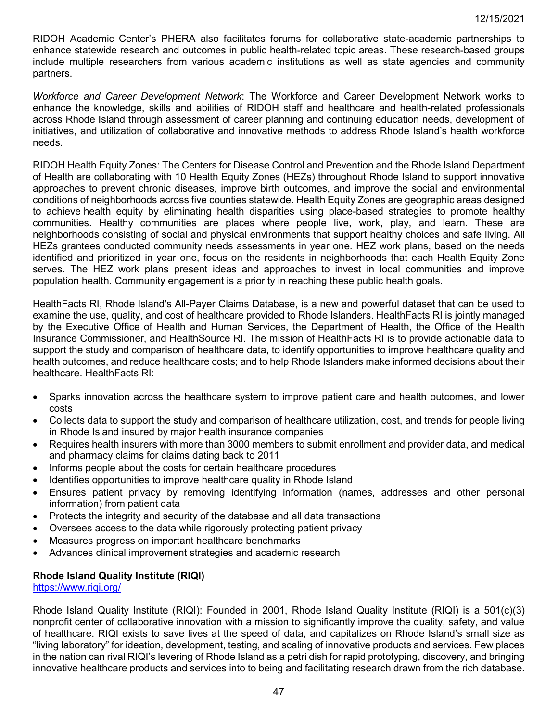RIDOH Academic Center's PHERA also facilitates forums for collaborative state-academic partnerships to enhance statewide research and outcomes in public health-related topic areas. These research-based groups include multiple researchers from various academic institutions as well as state agencies and community partners.

*Workforce and Career Development Network*: The Workforce and Career Development Network works to enhance the knowledge, skills and abilities of RIDOH staff and healthcare and health-related professionals across Rhode Island through assessment of career planning and continuing education needs, development of initiatives, and utilization of collaborative and innovative methods to address Rhode Island's health workforce needs.

RIDOH Health Equity Zones: The Centers for Disease Control and Prevention and the Rhode Island Department of Health are collaborating with 10 Health Equity Zones (HEZs) throughout Rhode Island to support innovative approaches to prevent chronic diseases, improve birth outcomes, and improve the social and environmental conditions of neighborhoods across five counties statewide. Health Equity Zones are geographic areas designed to achieve health equity by eliminating health disparities using place-based strategies to promote healthy communities. Healthy communities are places where people live, work, play, and learn. These are neighborhoods consisting of social and physical environments that support healthy choices and safe living. All HEZs grantees conducted community needs assessments in year one. HEZ work plans, based on the needs identified and prioritized in year one, focus on the residents in neighborhoods that each Health Equity Zone serves. The HEZ work plans present ideas and approaches to invest in local communities and improve population health. Community engagement is a priority in reaching these public health goals.

HealthFacts RI, Rhode Island's All-Payer Claims Database, is a new and powerful dataset that can be used to examine the use, quality, and cost of healthcare provided to Rhode Islanders. HealthFacts RI is jointly managed by the Executive Office of Health and Human Services, the Department of Health, the Office of the Health Insurance Commissioner, and HealthSource RI. The mission of HealthFacts RI is to provide actionable data to support the study and comparison of healthcare data, to identify opportunities to improve healthcare quality and health outcomes, and reduce healthcare costs; and to help Rhode Islanders make informed decisions about their healthcare. HealthFacts RI:

- Sparks innovation across the healthcare system to improve patient care and health outcomes, and lower costs
- Collects data to support the study and comparison of healthcare utilization, cost, and trends for people living in Rhode Island insured by major health insurance companies
- Requires health insurers with more than 3000 members to submit enrollment and provider data, and medical and pharmacy claims for claims dating back to 2011
- Informs people about the costs for certain healthcare procedures
- Identifies opportunities to improve healthcare quality in Rhode Island
- Ensures patient privacy by removing identifying information (names, addresses and other personal information) from patient data
- Protects the integrity and security of the database and all data transactions
- Oversees access to the data while rigorously protecting patient privacy
- Measures progress on important healthcare benchmarks
- Advances clinical improvement strategies and academic research

### **Rhode Island Quality Institute (RIQI)**

<https://www.riqi.org/>

Rhode Island Quality Institute (RIQI): Founded in 2001, Rhode Island Quality Institute (RIQI) is a 501(c)(3) nonprofit center of collaborative innovation with a mission to significantly improve the quality, safety, and value of healthcare. RIQI exists to save lives at the speed of data, and capitalizes on Rhode Island's small size as "living laboratory" for ideation, development, testing, and scaling of innovative products and services. Few places in the nation can rival RIQI's levering of Rhode Island as a petri dish for rapid prototyping, discovery, and bringing innovative healthcare products and services into to being and facilitating research drawn from the rich database.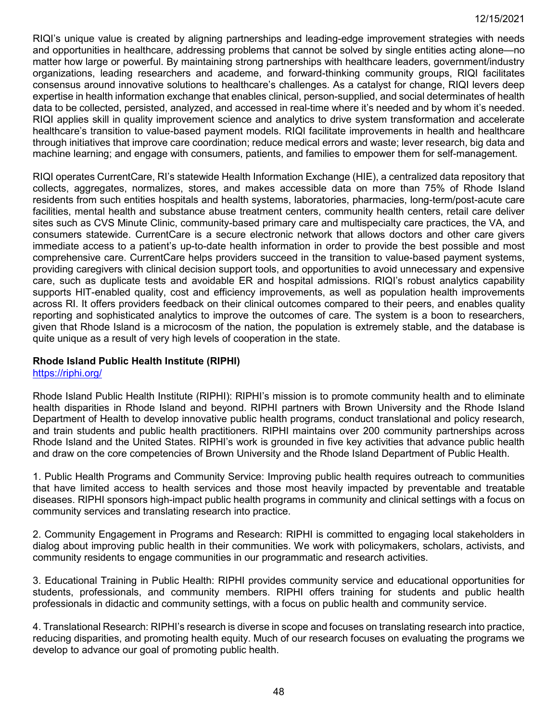RIQI's unique value is created by aligning partnerships and leading-edge improvement strategies with needs and opportunities in healthcare, addressing problems that cannot be solved by single entities acting alone—no matter how large or powerful. By maintaining strong partnerships with healthcare leaders, government/industry organizations, leading researchers and academe, and forward-thinking community groups, RIQI facilitates consensus around innovative solutions to healthcare's challenges. As a catalyst for change, RIQI levers deep expertise in health information exchange that enables clinical, person-supplied, and social determinates of health data to be collected, persisted, analyzed, and accessed in real-time where it's needed and by whom it's needed. RIQI applies skill in quality improvement science and analytics to drive system transformation and accelerate healthcare's transition to value-based payment models. RIQI facilitate improvements in health and healthcare through initiatives that improve care coordination; reduce medical errors and waste; lever research, big data and machine learning; and engage with consumers, patients, and families to empower them for self-management.

RIQI operates CurrentCare, RI's statewide Health Information Exchange (HIE), a centralized data repository that collects, aggregates, normalizes, stores, and makes accessible data on more than 75% of Rhode Island residents from such entities hospitals and health systems, laboratories, pharmacies, long-term/post-acute care facilities, mental health and substance abuse treatment centers, community health centers, retail care deliver sites such as CVS Minute Clinic, community-based primary care and multispecialty care practices, the VA, and consumers statewide. CurrentCare is a secure electronic network that allows doctors and other care givers immediate access to a patient's up-to-date health information in order to provide the best possible and most comprehensive care. CurrentCare helps providers succeed in the transition to value-based payment systems, providing caregivers with clinical decision support tools, and opportunities to avoid unnecessary and expensive care, such as duplicate tests and avoidable ER and hospital admissions. RIQI's robust analytics capability supports HIT-enabled quality, cost and efficiency improvements, as well as population health improvements across RI. It offers providers feedback on their clinical outcomes compared to their peers, and enables quality reporting and sophisticated analytics to improve the outcomes of care. The system is a boon to researchers, given that Rhode Island is a microcosm of the nation, the population is extremely stable, and the database is quite unique as a result of very high levels of cooperation in the state.

# **Rhode Island Public Health Institute (RIPHI)**

# <https://riphi.org/>

Rhode Island Public Health Institute (RIPHI): RIPHI's mission is to promote community health and to eliminate health disparities in Rhode Island and beyond. RIPHI partners with Brown University and the Rhode Island Department of Health to develop innovative public health programs, conduct translational and policy research, and train students and public health practitioners. RIPHI maintains over 200 community partnerships across Rhode Island and the United States. RIPHI's work is grounded in five key activities that advance public health and draw on the core competencies of Brown University and the Rhode Island Department of Public Health.

1. Public Health Programs and Community Service: Improving public health requires outreach to communities that have limited access to health services and those most heavily impacted by preventable and treatable diseases. RIPHI sponsors high-impact public health programs in community and clinical settings with a focus on community services and translating research into practice.

2. Community Engagement in Programs and Research: RIPHI is committed to engaging local stakeholders in dialog about improving public health in their communities. We work with policymakers, scholars, activists, and community residents to engage communities in our programmatic and research activities.

3. Educational Training in Public Health: RIPHI provides community service and educational opportunities for students, professionals, and community members. RIPHI offers training for students and public health professionals in didactic and community settings, with a focus on public health and community service.

4. Translational Research: RIPHI's research is diverse in scope and focuses on translating research into practice, reducing disparities, and promoting health equity. Much of our research focuses on evaluating the programs we develop to advance our goal of promoting public health.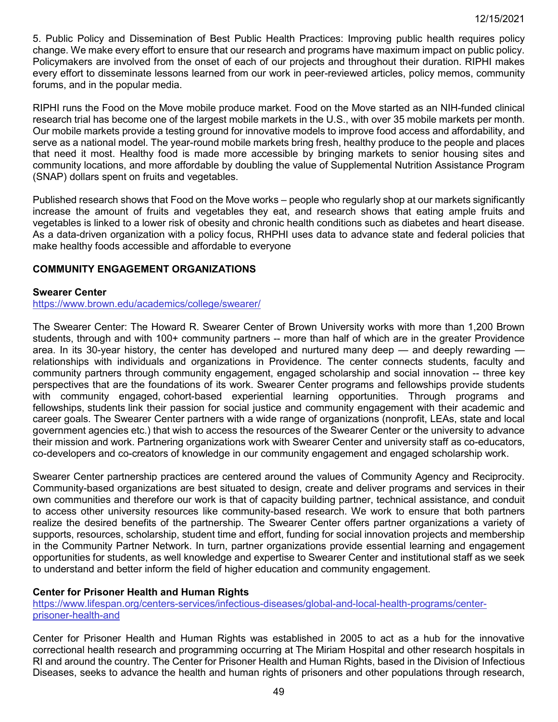5. Public Policy and Dissemination of Best Public Health Practices: Improving public health requires policy change. We make every effort to ensure that our research and programs have maximum impact on public policy. Policymakers are involved from the onset of each of our projects and throughout their duration. RIPHI makes every effort to disseminate lessons learned from our work in peer-reviewed articles, policy memos, community forums, and in the popular media.

RIPHI runs the Food on the Move mobile produce market. Food on the Move started as an NIH-funded clinical research trial has become one of the largest mobile markets in the U.S., with over 35 mobile markets per month. Our mobile markets provide a testing ground for innovative models to improve food access and affordability, and serve as a national model. The year-round mobile markets bring fresh, healthy produce to the people and places that need it most. Healthy food is made more accessible by bringing markets to senior housing sites and community locations, and more affordable by doubling the value of Supplemental Nutrition Assistance Program (SNAP) dollars spent on fruits and vegetables.

Published research shows that Food on the Move works – people who regularly shop at our markets significantly increase the amount of fruits and vegetables they eat, and research shows that eating ample fruits and vegetables is linked to a lower risk of obesity and chronic health conditions such as diabetes and heart disease. As a data-driven organization with a policy focus, RHPHI uses data to advance state and federal policies that make healthy foods accessible and affordable to everyone

### **COMMUNITY ENGAGEMENT ORGANIZATIONS**

#### **Swearer Center**

#### <https://www.brown.edu/academics/college/swearer/>

The Swearer Center: The Howard R. Swearer Center of Brown University works with more than 1,200 Brown students, through and with 100+ community partners -- more than half of which are in the greater Providence area. In its 30-year history, the center has developed and nurtured many deep — and deeply rewarding relationships with individuals and organizations in Providence. The center connects students, faculty and community partners through community engagement, engaged scholarship and social innovation -- three key perspectives that are the foundations of its work. Swearer Center programs and fellowships provide students with community engaged, cohort-based experiential learning opportunities. Through programs and fellowships, students link their passion for social justice and community engagement with their academic and career goals. The Swearer Center partners with a wide range of organizations (nonprofit, LEAs, state and local government agencies etc.) that wish to access the resources of the Swearer Center or the university to advance their mission and work. Partnering organizations work with Swearer Center and university staff as co-educators, co-developers and co-creators of knowledge in our community engagement and engaged scholarship work.

Swearer Center partnership practices are centered around the values of Community Agency and Reciprocity. Community-based organizations are best situated to design, create and deliver programs and services in their own communities and therefore our work is that of capacity building partner, technical assistance, and conduit to access other university resources like community-based research. We work to ensure that both partners realize the desired benefits of the partnership. The Swearer Center offers partner organizations a variety of supports, resources, scholarship, student time and effort, funding for social innovation projects and membership in the Community Partner Network. In turn, partner organizations provide essential learning and engagement opportunities for students, as well knowledge and expertise to Swearer Center and institutional staff as we seek to understand and better inform the field of higher education and community engagement.

### **Center for Prisoner Health and Human Rights**

[https://www.lifespan.org/centers-services/infectious-diseases/global-and-local-health-programs/center](https://www.lifespan.org/centers-services/infectious-diseases/global-and-local-health-programs/center-prisoner-health-and)[prisoner-health-and](https://www.lifespan.org/centers-services/infectious-diseases/global-and-local-health-programs/center-prisoner-health-and)

Center for Prisoner Health and Human Rights was established in 2005 to act as a hub for the innovative correctional health research and programming occurring at The Miriam Hospital and other research hospitals in RI and around the country. The Center for Prisoner Health and Human Rights, based in the Division of Infectious Diseases, seeks to advance the health and human rights of prisoners and other populations through research,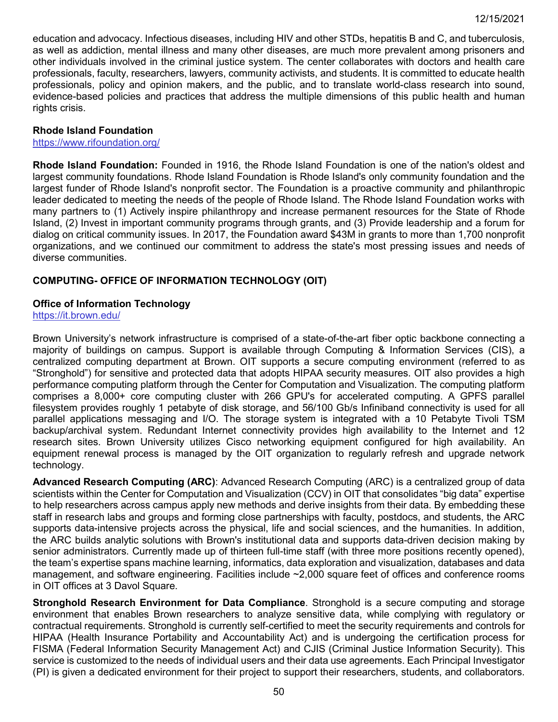education and advocacy. Infectious diseases, including HIV and other STDs, hepatitis B and C, and tuberculosis, as well as addiction, mental illness and many other diseases, are much more prevalent among prisoners and other individuals involved in the criminal justice system. The center collaborates with doctors and health care professionals, faculty, researchers, lawyers, community activists, and students. It is committed to educate health professionals, policy and opinion makers, and the public, and to translate world-class research into sound, evidence-based policies and practices that address the multiple dimensions of this public health and human rights crisis.

### **Rhode Island Foundation**

<https://www.rifoundation.org/>

**Rhode Island Foundation:** Founded in 1916, the Rhode Island Foundation is one of the nation's oldest and largest community foundations. Rhode Island Foundation is Rhode Island's only community foundation and the largest funder of Rhode Island's nonprofit sector. The Foundation is a proactive community and philanthropic leader dedicated to meeting the needs of the people of Rhode Island. The Rhode Island Foundation works with many partners to (1) Actively inspire philanthropy and increase permanent resources for the State of Rhode Island, (2) Invest in important community programs through grants, and (3) Provide leadership and a forum for dialog on critical community issues. In 2017, the Foundation award \$43M in grants to more than 1,700 nonprofit organizations, and we continued our commitment to address the state's most pressing issues and needs of diverse communities.

# **COMPUTING- OFFICE OF INFORMATION TECHNOLOGY (OIT)**

### **Office of Information Technology**

<https://it.brown.edu/>

Brown University's network infrastructure is comprised of a state-of-the-art fiber optic backbone connecting a majority of buildings on campus. Support is available through Computing & Information Services (CIS), a centralized computing department at Brown. OIT supports a secure computing environment (referred to as "Stronghold") for sensitive and protected data that adopts HIPAA security measures. OIT also provides a high performance computing platform through the Center for Computation and Visualization. The computing platform comprises a 8,000+ core computing cluster with 266 GPU's for accelerated computing. A GPFS parallel filesystem provides roughly 1 petabyte of disk storage, and 56/100 Gb/s Infiniband connectivity is used for all parallel applications messaging and I/O. The storage system is integrated with a 10 Petabyte Tivoli TSM backup/archival system. Redundant Internet connectivity provides high availability to the Internet and 12 research sites. Brown University utilizes Cisco networking equipment configured for high availability. An equipment renewal process is managed by the OIT organization to regularly refresh and upgrade network technology.

**Advanced Research Computing (ARC)**: Advanced Research Computing (ARC) is a centralized group of data scientists within the Center for Computation and Visualization (CCV) in OIT that consolidates "big data" expertise to help researchers across campus apply new methods and derive insights from their data. By embedding these staff in research labs and groups and forming close partnerships with faculty, postdocs, and students, the ARC supports data-intensive projects across the physical, life and social sciences, and the humanities. In addition, the ARC builds analytic solutions with Brown's institutional data and supports data-driven decision making by senior administrators. Currently made up of thirteen full-time staff (with three more positions recently opened), the team's expertise spans machine learning, informatics, data exploration and visualization, databases and data management, and software engineering. Facilities include ~2,000 square feet of offices and conference rooms in OIT offices at 3 Davol Square.

**Stronghold Research Environment for Data Compliance**. Stronghold is a secure computing and storage environment that enables Brown researchers to analyze sensitive data, while complying with regulatory or contractual requirements. Stronghold is currently self-certified to meet the security requirements and controls for HIPAA (Health Insurance Portability and Accountability Act) and is undergoing the certification process for FISMA (Federal Information Security Management Act) and CJIS (Criminal Justice Information Security). This service is customized to the needs of individual users and their data use agreements. Each Principal Investigator (PI) is given a dedicated environment for their project to support their researchers, students, and collaborators.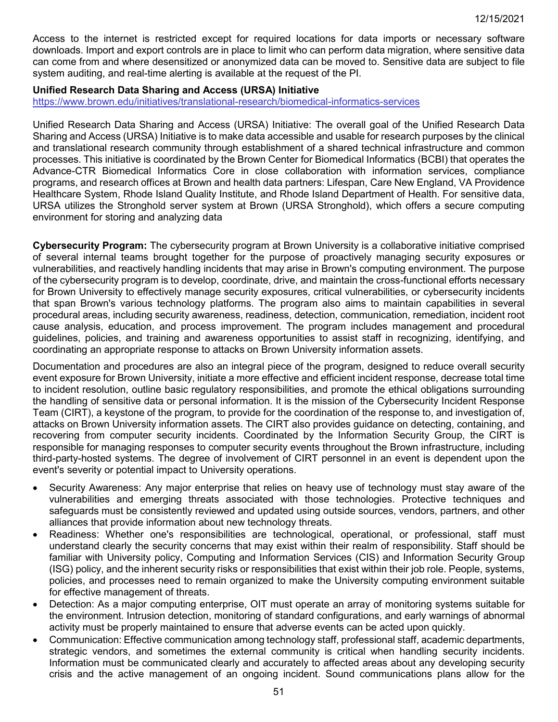Access to the internet is restricted except for required locations for data imports or necessary software downloads. Import and export controls are in place to limit who can perform data migration, where sensitive data can come from and where desensitized or anonymized data can be moved to. Sensitive data are subject to file system auditing, and real-time alerting is available at the request of the PI.

#### **Unified Research Data Sharing and Access (URSA) Initiative**

<https://www.brown.edu/initiatives/translational-research/biomedical-informatics-services>

Unified Research Data Sharing and Access (URSA) Initiative: The overall goal of the Unified Research Data Sharing and Access (URSA) Initiative is to make data accessible and usable for research purposes by the clinical and translational research community through establishment of a shared technical infrastructure and common processes. This initiative is coordinated by the Brown Center for Biomedical Informatics (BCBI) that operates the Advance-CTR Biomedical Informatics Core in close collaboration with information services, compliance programs, and research offices at Brown and health data partners: Lifespan, Care New England, VA Providence Healthcare System, Rhode Island Quality Institute, and Rhode Island Department of Health. For sensitive data, URSA utilizes the Stronghold server system at Brown (URSA Stronghold), which offers a secure computing environment for storing and analyzing data

**Cybersecurity Program:** The cybersecurity program at Brown University is a collaborative initiative comprised of several internal teams brought together for the purpose of proactively managing security exposures or vulnerabilities, and reactively handling incidents that may arise in Brown's computing environment. The purpose of the cybersecurity program is to develop, coordinate, drive, and maintain the cross-functional efforts necessary for Brown University to effectively manage security exposures, critical vulnerabilities, or cybersecurity incidents that span Brown's various technology platforms. The program also aims to maintain capabilities in several procedural areas, including security awareness, readiness, detection, communication, remediation, incident root cause analysis, education, and process improvement. The program includes management and procedural guidelines, policies, and training and awareness opportunities to assist staff in recognizing, identifying, and coordinating an appropriate response to attacks on Brown University information assets.

Documentation and procedures are also an integral piece of the program, designed to reduce overall security event exposure for Brown University, initiate a more effective and efficient incident response, decrease total time to incident resolution, outline basic regulatory responsibilities, and promote the ethical obligations surrounding the handling of sensitive data or personal information. It is the mission of the Cybersecurity Incident Response Team (CIRT), a keystone of the program, to provide for the coordination of the response to, and investigation of, attacks on Brown University information assets. The CIRT also provides guidance on detecting, containing, and recovering from computer security incidents. Coordinated by the Information Security Group, the CIRT is responsible for managing responses to computer security events throughout the Brown infrastructure, including third-party-hosted systems. The degree of involvement of CIRT personnel in an event is dependent upon the event's severity or potential impact to University operations.

- Security Awareness: Any major enterprise that relies on heavy use of technology must stay aware of the vulnerabilities and emerging threats associated with those technologies. Protective techniques and safeguards must be consistently reviewed and updated using outside sources, vendors, partners, and other alliances that provide information about new technology threats.
- Readiness: Whether one's responsibilities are technological, operational, or professional, staff must understand clearly the security concerns that may exist within their realm of responsibility. Staff should be familiar with University policy, Computing and Information Services (CIS) and Information Security Group (ISG) policy, and the inherent security risks or responsibilities that exist within their job role. People, systems, policies, and processes need to remain organized to make the University computing environment suitable for effective management of threats.
- Detection: As a major computing enterprise, OIT must operate an array of monitoring systems suitable for the environment. Intrusion detection, monitoring of standard configurations, and early warnings of abnormal activity must be properly maintained to ensure that adverse events can be acted upon quickly.
- Communication: Effective communication among technology staff, professional staff, academic departments, strategic vendors, and sometimes the external community is critical when handling security incidents. Information must be communicated clearly and accurately to affected areas about any developing security crisis and the active management of an ongoing incident. Sound communications plans allow for the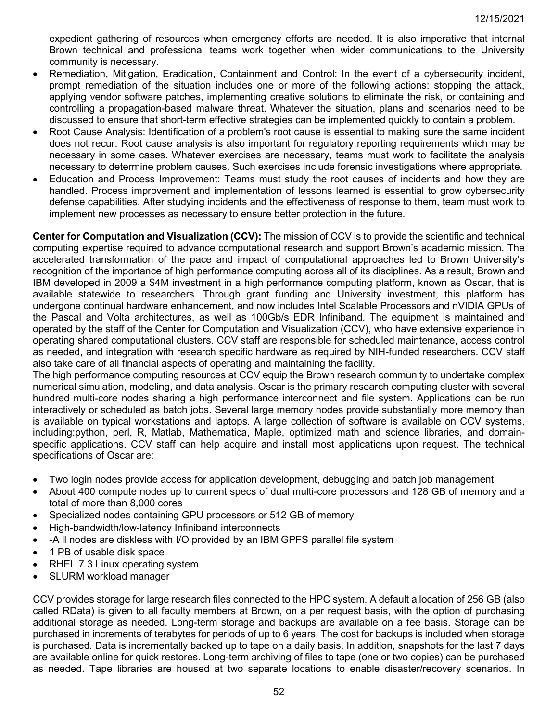expedient gathering of resources when emergency efforts are needed. It is also imperative that internal Brown technical and professional teams work together when wider communications to the University community is necessary.

- Remediation, Mitigation, Eradication, Containment and Control: In the event of a cybersecurity incident, prompt remediation of the situation includes one or more of the following actions: stopping the attack, applying vendor software patches, implementing creative solutions to eliminate the risk, or containing and controlling a propagation-based malware threat. Whatever the situation, plans and scenarios need to be discussed to ensure that short-term effective strategies can be implemented quickly to contain a problem.
- Root Cause Analysis: Identification of a problem's root cause is essential to making sure the same incident does not recur. Root cause analysis is also important for regulatory reporting requirements which may be necessary in some cases. Whatever exercises are necessary, teams must work to facilitate the analysis necessary to determine problem causes. Such exercises include forensic investigations where appropriate.
- Education and Process Improvement: Teams must study the root causes of incidents and how they are handled. Process improvement and implementation of lessons learned is essential to grow cybersecurity defense capabilities. After studying incidents and the effectiveness of response to them, team must work to implement new processes as necessary to ensure better protection in the future.

**Center for Computation and Visualization (CCV):** The mission of CCV is to provide the scientific and technical computing expertise required to advance computational research and support Brown's academic mission. The accelerated transformation of the pace and impact of computational approaches led to Brown University's recognition of the importance of high performance computing across all of its disciplines. As a result, Brown and IBM developed in 2009 a \$4M investment in a high performance computing platform, known as Oscar, that is available statewide to researchers. Through grant funding and University investment, this platform has undergone continual hardware enhancement, and now includes Intel Scalable Processors and nVIDIA GPUs of the Pascal and Volta architectures, as well as 100Gb/s EDR Infiniband. The equipment is maintained and operated by the staff of the Center for Computation and Visualization (CCV), who have extensive experience in operating shared computational clusters. CCV staff are responsible for scheduled maintenance, access control as needed, and integration with research specific hardware as required by NIH-funded researchers. CCV staff also take care of all financial aspects of operating and maintaining the facility.

The high performance computing resources at CCV equip the Brown research community to undertake complex numerical simulation, modeling, and data analysis. Oscar is the primary research computing cluster with several hundred multi-core nodes sharing a high performance interconnect and file system. Applications can be run interactively or scheduled as batch jobs. Several large memory nodes provide substantially more memory than is available on typical workstations and laptops. A large collection of software is available on CCV systems, including:python, perl, R, Matlab, Mathematica, Maple, optimized math and science libraries, and domainspecific applications. CCV staff can help acquire and install most applications upon request. The technical specifications of Oscar are:

- Two login nodes provide access for application development, debugging and batch job management
- About 400 compute nodes up to current specs of dual multi-core processors and 128 GB of memory and a total of more than 8,000 cores
- Specialized nodes containing GPU processors or 512 GB of memory
- High-bandwidth/low-latency Infiniband interconnects
- -A ll nodes are diskless with I/O provided by an IBM GPFS parallel file system
- 1 PB of usable disk space
- RHEL 7.3 Linux operating system
- SLURM workload manager

CCV provides storage for large research files connected to the HPC system. A default allocation of 256 GB (also called RData) is given to all faculty members at Brown, on a per request basis, with the option of purchasing additional storage as needed. Long-term storage and backups are available on a fee basis. Storage can be purchased in increments of terabytes for periods of up to 6 years. The cost for backups is included when storage is purchased. Data is incrementally backed up to tape on a daily basis. In addition, snapshots for the last 7 days are available online for quick restores. Long-term archiving of files to tape (one or two copies) can be purchased as needed. Tape libraries are housed at two separate locations to enable disaster/recovery scenarios. In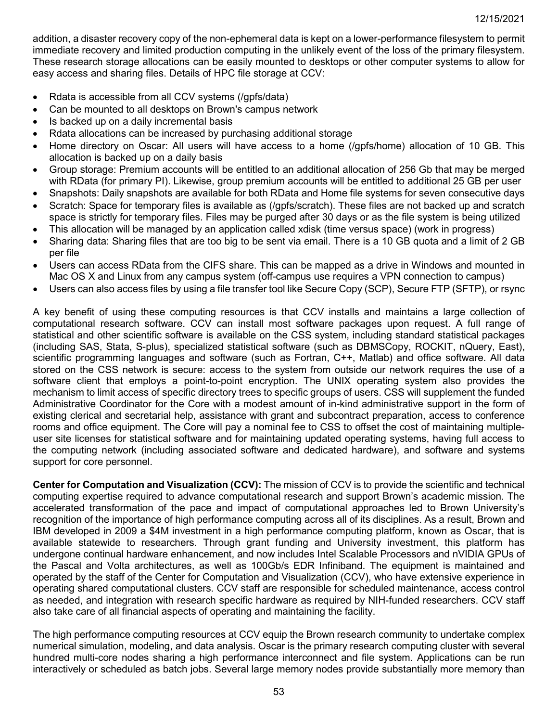addition, a disaster recovery copy of the non-ephemeral data is kept on a lower-performance filesystem to permit immediate recovery and limited production computing in the unlikely event of the loss of the primary filesystem. These research storage allocations can be easily mounted to desktops or other computer systems to allow for easy access and sharing files. Details of HPC file storage at CCV:

- Rdata is accessible from all CCV systems (/gpfs/data)
- Can be mounted to all desktops on Brown's campus network
- Is backed up on a daily incremental basis
- Rdata allocations can be increased by purchasing additional storage
- Home directory on Oscar: All users will have access to a home (/gpfs/home) allocation of 10 GB. This allocation is backed up on a daily basis
- Group storage: Premium accounts will be entitled to an additional allocation of 256 Gb that may be merged with RData (for primary PI). Likewise, group premium accounts will be entitled to additional 25 GB per user
- Snapshots: Daily snapshots are available for both RData and Home file systems for seven consecutive days
- Scratch: Space for temporary files is available as (/gpfs/scratch). These files are not backed up and scratch space is strictly for temporary files. Files may be purged after 30 days or as the file system is being utilized
- This allocation will be managed by an application called xdisk (time versus space) (work in progress)
- Sharing data: Sharing files that are too big to be sent via email. There is a 10 GB quota and a limit of 2 GB per file
- Users can access RData from the CIFS share. This can be mapped as a drive in Windows and mounted in Mac OS X and Linux from any campus system (off-campus use requires a VPN connection to campus)
- Users can also access files by using a file transfer tool like Secure Copy (SCP), Secure FTP (SFTP), or rsync

A key benefit of using these computing resources is that CCV installs and maintains a large collection of computational research software. CCV can install most software packages upon request. A full range of statistical and other scientific software is available on the CSS system, including standard statistical packages (including SAS, Stata, S-plus), specialized statistical software (such as DBMSCopy, ROCKIT, nQuery, East), scientific programming languages and software (such as Fortran, C++, Matlab) and office software. All data stored on the CSS network is secure: access to the system from outside our network requires the use of a software client that employs a point-to-point encryption. The UNIX operating system also provides the mechanism to limit access of specific directory trees to specific groups of users. CSS will supplement the funded Administrative Coordinator for the Core with a modest amount of in-kind administrative support in the form of existing clerical and secretarial help, assistance with grant and subcontract preparation, access to conference rooms and office equipment. The Core will pay a nominal fee to CSS to offset the cost of maintaining multipleuser site licenses for statistical software and for maintaining updated operating systems, having full access to the computing network (including associated software and dedicated hardware), and software and systems support for core personnel.

**Center for Computation and Visualization (CCV):** The mission of CCV is to provide the scientific and technical computing expertise required to advance computational research and support Brown's academic mission. The accelerated transformation of the pace and impact of computational approaches led to Brown University's recognition of the importance of high performance computing across all of its disciplines. As a result, Brown and IBM developed in 2009 a \$4M investment in a high performance computing platform, known as Oscar, that is available statewide to researchers. Through grant funding and University investment, this platform has undergone continual hardware enhancement, and now includes Intel Scalable Processors and nVIDIA GPUs of the Pascal and Volta architectures, as well as 100Gb/s EDR Infiniband. The equipment is maintained and operated by the staff of the Center for Computation and Visualization (CCV), who have extensive experience in operating shared computational clusters. CCV staff are responsible for scheduled maintenance, access control as needed, and integration with research specific hardware as required by NIH-funded researchers. CCV staff also take care of all financial aspects of operating and maintaining the facility.

The high performance computing resources at CCV equip the Brown research community to undertake complex numerical simulation, modeling, and data analysis. Oscar is the primary research computing cluster with several hundred multi-core nodes sharing a high performance interconnect and file system. Applications can be run interactively or scheduled as batch jobs. Several large memory nodes provide substantially more memory than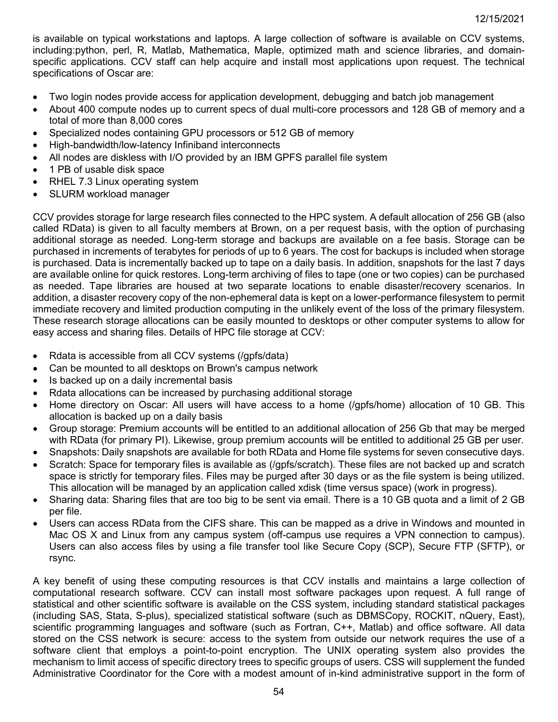is available on typical workstations and laptops. A large collection of software is available on CCV systems, including:python, perl, R, Matlab, Mathematica, Maple, optimized math and science libraries, and domainspecific applications. CCV staff can help acquire and install most applications upon request. The technical specifications of Oscar are:

- Two login nodes provide access for application development, debugging and batch job management
- About 400 compute nodes up to current specs of dual multi-core processors and 128 GB of memory and a total of more than 8,000 cores
- Specialized nodes containing GPU processors or 512 GB of memory
- High-bandwidth/low-latency Infiniband interconnects
- All nodes are diskless with I/O provided by an IBM GPFS parallel file system
- 1 PB of usable disk space
- RHEL 7.3 Linux operating system
- SLURM workload manager

CCV provides storage for large research files connected to the HPC system. A default allocation of 256 GB (also called RData) is given to all faculty members at Brown, on a per request basis, with the option of purchasing additional storage as needed. Long-term storage and backups are available on a fee basis. Storage can be purchased in increments of terabytes for periods of up to 6 years. The cost for backups is included when storage is purchased. Data is incrementally backed up to tape on a daily basis. In addition, snapshots for the last 7 days are available online for quick restores. Long-term archiving of files to tape (one or two copies) can be purchased as needed. Tape libraries are housed at two separate locations to enable disaster/recovery scenarios. In addition, a disaster recovery copy of the non-ephemeral data is kept on a lower-performance filesystem to permit immediate recovery and limited production computing in the unlikely event of the loss of the primary filesystem. These research storage allocations can be easily mounted to desktops or other computer systems to allow for easy access and sharing files. Details of HPC file storage at CCV:

- Rdata is accessible from all CCV systems (/gpfs/data)
- Can be mounted to all desktops on Brown's campus network
- Is backed up on a daily incremental basis
- Rdata allocations can be increased by purchasing additional storage
- Home directory on Oscar: All users will have access to a home (/gpfs/home) allocation of 10 GB. This allocation is backed up on a daily basis
- Group storage: Premium accounts will be entitled to an additional allocation of 256 Gb that may be merged with RData (for primary PI). Likewise, group premium accounts will be entitled to additional 25 GB per user.
- Snapshots: Daily snapshots are available for both RData and Home file systems for seven consecutive days.
- Scratch: Space for temporary files is available as (/qpfs/scratch). These files are not backed up and scratch space is strictly for temporary files. Files may be purged after 30 days or as the file system is being utilized. This allocation will be managed by an application called xdisk (time versus space) (work in progress).
- Sharing data: Sharing files that are too big to be sent via email. There is a 10 GB quota and a limit of 2 GB per file.
- Users can access RData from the CIFS share. This can be mapped as a drive in Windows and mounted in Mac OS X and Linux from any campus system (off-campus use requires a VPN connection to campus). Users can also access files by using a file transfer tool like Secure Copy (SCP), Secure FTP (SFTP), or rsync.

A key benefit of using these computing resources is that CCV installs and maintains a large collection of computational research software. CCV can install most software packages upon request. A full range of statistical and other scientific software is available on the CSS system, including standard statistical packages (including SAS, Stata, S-plus), specialized statistical software (such as DBMSCopy, ROCKIT, nQuery, East), scientific programming languages and software (such as Fortran, C++, Matlab) and office software. All data stored on the CSS network is secure: access to the system from outside our network requires the use of a software client that employs a point-to-point encryption. The UNIX operating system also provides the mechanism to limit access of specific directory trees to specific groups of users. CSS will supplement the funded Administrative Coordinator for the Core with a modest amount of in-kind administrative support in the form of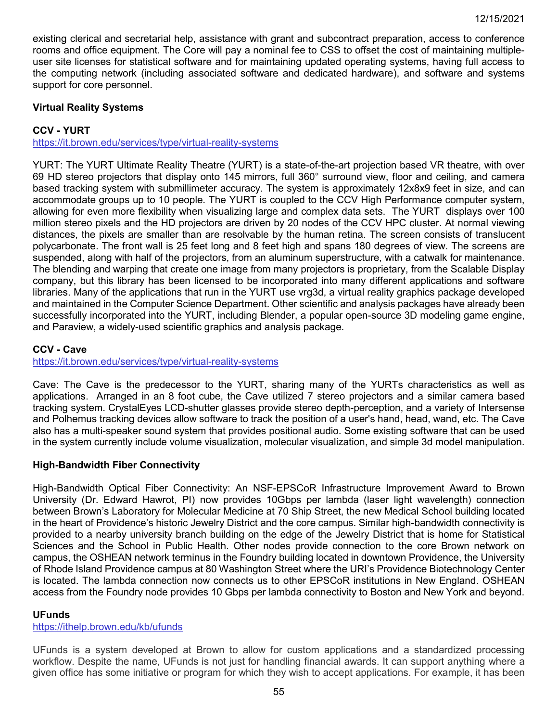existing clerical and secretarial help, assistance with grant and subcontract preparation, access to conference rooms and office equipment. The Core will pay a nominal fee to CSS to offset the cost of maintaining multipleuser site licenses for statistical software and for maintaining updated operating systems, having full access to the computing network (including associated software and dedicated hardware), and software and systems support for core personnel.

### **Virtual Reality Systems**

# **CCV - YURT**

<https://it.brown.edu/services/type/virtual-reality-systems>

YURT: The YURT Ultimate Reality Theatre (YURT) is a state-of-the-art projection based VR theatre, with over 69 HD stereo projectors that display onto 145 mirrors, full 360° surround view, floor and ceiling, and camera based tracking system with submillimeter accuracy. The system is approximately 12x8x9 feet in size, and can accommodate groups up to 10 people. The YURT is coupled to the CCV High Performance computer system, allowing for even more flexibility when visualizing large and complex data sets. The YURT displays over 100 million stereo pixels and the HD projectors are driven by 20 nodes of the CCV HPC cluster. At normal viewing distances, the pixels are smaller than are resolvable by the human retina. The screen consists of translucent polycarbonate. The front wall is 25 feet long and 8 feet high and spans 180 degrees of view. The screens are suspended, along with half of the projectors, from an aluminum superstructure, with a catwalk for maintenance. The blending and warping that create one image from many projectors is proprietary, from the Scalable Display company, but this library has been licensed to be incorporated into many different applications and software libraries. Many of the applications that run in the YURT use vrg3d, a virtual reality graphics package developed and maintained in the Computer Science Department. Other scientific and analysis packages have already been successfully incorporated into the YURT, including Blender, a popular open-source 3D modeling game engine, and Paraview, a widely-used scientific graphics and analysis package.

### **CCV - Cave**

<https://it.brown.edu/services/type/virtual-reality-systems>

Cave: The Cave is the predecessor to the YURT, sharing many of the YURTs characteristics as well as applications. Arranged in an 8 foot cube, the Cave utilized 7 stereo projectors and a similar camera based tracking system. CrystalEyes LCD-shutter glasses provide stereo depth-perception, and a variety of Intersense and Polhemus tracking devices allow software to track the position of a user's hand, head, wand, etc. The Cave also has a multi-speaker sound system that provides positional audio. Some existing software that can be used in the system currently include volume visualization, molecular visualization, and simple 3d model manipulation.

### **High-Bandwidth Fiber Connectivity**

High-Bandwidth Optical Fiber Connectivity: An NSF-EPSCoR Infrastructure Improvement Award to Brown University (Dr. Edward Hawrot, PI) now provides 10Gbps per lambda (laser light wavelength) connection between Brown's Laboratory for Molecular Medicine at 70 Ship Street, the new Medical School building located in the heart of Providence's historic Jewelry District and the core campus. Similar high-bandwidth connectivity is provided to a nearby university branch building on the edge of the Jewelry District that is home for Statistical Sciences and the School in Public Health. Other nodes provide connection to the core Brown network on campus, the OSHEAN network terminus in the Foundry building located in downtown Providence, the University of Rhode Island Providence campus at 80 Washington Street where the URI's Providence Biotechnology Center is located. The lambda connection now connects us to other EPSCoR institutions in New England. OSHEAN access from the Foundry node provides 10 Gbps per lambda connectivity to Boston and New York and beyond.

### **UFunds**

<https://ithelp.brown.edu/kb/ufunds>

UFunds is a system developed at Brown to allow for custom applications and a standardized processing workflow. Despite the name, UFunds is not just for handling financial awards. It can support anything where a given office has some initiative or program for which they wish to accept applications. For example, it has been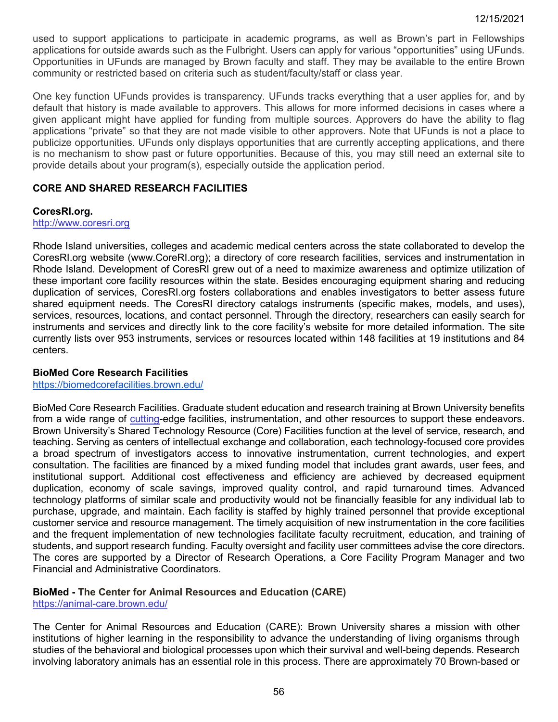used to support applications to participate in academic programs, as well as Brown's part in Fellowships applications for outside awards such as the Fulbright. Users can apply for various "opportunities" using UFunds. Opportunities in UFunds are managed by Brown faculty and staff. They may be available to the entire Brown community or restricted based on criteria such as student/faculty/staff or class year.

One key function UFunds provides is transparency. UFunds tracks everything that a user applies for, and by default that history is made available to approvers. This allows for more informed decisions in cases where a given applicant might have applied for funding from multiple sources. Approvers do have the ability to flag applications "private" so that they are not made visible to other approvers. Note that UFunds is not a place to publicize opportunities. UFunds only displays opportunities that are currently accepting applications, and there is no mechanism to show past or future opportunities. Because of this, you may still need an external site to provide details about your program(s), especially outside the application period.

### **CORE AND SHARED RESEARCH FACILITIES**

#### **CoresRI.org.**

### [http://www.coresri.org](http://www.coresri.org/)

Rhode Island universities, colleges and academic medical centers across the state collaborated to develop the CoresRI.org website (www.CoreRI.org); a directory of core research facilities, services and instrumentation in Rhode Island. Development of CoresRI grew out of a need to maximize awareness and optimize utilization of these important core facility resources within the state. Besides encouraging equipment sharing and reducing duplication of services, CoresRI.org fosters collaborations and enables investigators to better assess future shared equipment needs. The CoresRI directory catalogs instruments (specific makes, models, and uses), services, resources, locations, and contact personnel. Through the directory, researchers can easily search for instruments and services and directly link to the core facility's website for more detailed information. The site currently lists over 953 instruments, services or resources located within 148 facilities at 19 institutions and 84 centers.

### **BioMed Core Research Facilities**

### <https://biomedcorefacilities.brown.edu/>

BioMed Core Research Facilities. Graduate student education and research training at Brown University benefits from a wide range of cutting-edge facilities, instrumentation, and other resources to support these endeavors. Brown University's Shared Technology Resource (Core) Facilities function at the level of service, research, and teaching. Serving as centers of intellectual exchange and collaboration, each technology-focused core provides a broad spectrum of investigators access to innovative instrumentation, current technologies, and expert consultation. The facilities are financed by a mixed funding model that includes grant awards, user fees, and institutional support. Additional cost effectiveness and efficiency are achieved by decreased equipment duplication, economy of scale savings, improved quality control, and rapid turnaround times. Advanced technology platforms of similar scale and productivity would not be financially feasible for any individual lab to purchase, upgrade, and maintain. Each facility is staffed by highly trained personnel that provide exceptional customer service and resource management. The timely acquisition of new instrumentation in the core facilities and the frequent implementation of new technologies facilitate faculty recruitment, education, and training of students, and support research funding. Faculty oversight and facility user committees advise the core directors. The cores are supported by a Director of Research Operations, a Core Facility Program Manager and two Financial and Administrative Coordinators.

#### **BioMed - The Center for Animal Resources and Education (CARE)**  <https://animal-care.brown.edu/>

The Center for Animal Resources and Education (CARE): Brown University shares a mission with other institutions of higher learning in the responsibility to advance the understanding of living organisms through studies of the behavioral and biological processes upon which their survival and well-being depends. Research involving laboratory animals has an essential role in this process. There are approximately 70 Brown-based or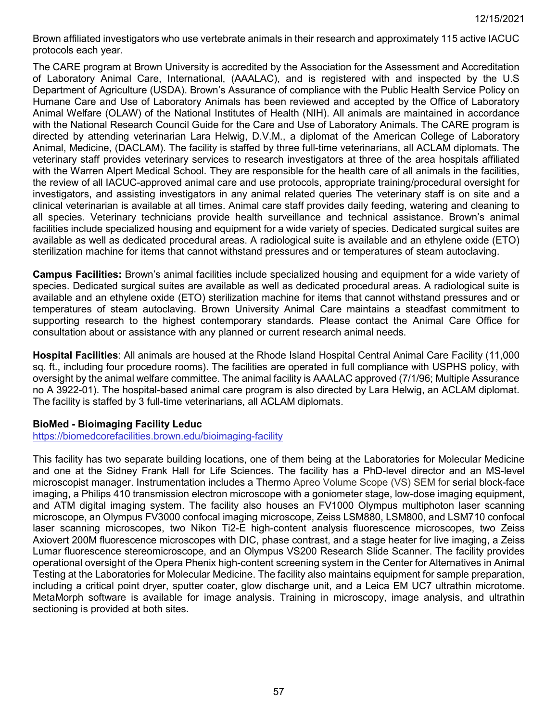Brown affiliated investigators who use vertebrate animals in their research and approximately 115 active IACUC protocols each year.

The CARE program at Brown University is accredited by the Association for the Assessment and Accreditation of Laboratory Animal Care, International, (AAALAC), and is registered with and inspected by the U.S Department of Agriculture (USDA). Brown's Assurance of compliance with the Public Health Service Policy on Humane Care and Use of Laboratory Animals has been reviewed and accepted by the Office of Laboratory Animal Welfare (OLAW) of the National Institutes of Health (NIH). All animals are maintained in accordance with the National Research Council Guide for the Care and Use of Laboratory Animals. The CARE program is directed by attending veterinarian Lara Helwig, D.V.M., a diplomat of the American College of Laboratory Animal, Medicine, (DACLAM). The facility is staffed by three full-time veterinarians, all ACLAM diplomats. The veterinary staff provides veterinary services to research investigators at three of the area hospitals affiliated with the Warren Alpert Medical School. They are responsible for the health care of all animals in the facilities, the review of all IACUC-approved animal care and use protocols, appropriate training/procedural oversight for investigators, and assisting investigators in any animal related queries The veterinary staff is on site and a clinical veterinarian is available at all times. Animal care staff provides daily feeding, watering and cleaning to all species. Veterinary technicians provide health surveillance and technical assistance. Brown's animal facilities include specialized housing and equipment for a wide variety of species. Dedicated surgical suites are available as well as dedicated procedural areas. A radiological suite is available and an ethylene oxide (ETO) sterilization machine for items that cannot withstand pressures and or temperatures of steam autoclaving.

**Campus Facilities:** Brown's animal facilities include specialized housing and equipment for a wide variety of species. Dedicated surgical suites are available as well as dedicated procedural areas. A radiological suite is available and an ethylene oxide (ETO) sterilization machine for items that cannot withstand pressures and or temperatures of steam autoclaving. Brown University Animal Care maintains a steadfast commitment to supporting research to the highest contemporary standards. Please contact the Animal Care Office for consultation about or assistance with any planned or current research animal needs.

**Hospital Facilities**: All animals are housed at the Rhode Island Hospital Central Animal Care Facility (11,000 sq. ft., including four procedure rooms). The facilities are operated in full compliance with USPHS policy, with oversight by the animal welfare committee. The animal facility is AAALAC approved (7/1/96; Multiple Assurance no A 3922-01). The hospital-based animal care program is also directed by Lara Helwig, an ACLAM diplomat. The facility is staffed by 3 full-time veterinarians, all ACLAM diplomats.

#### **BioMed - Bioimaging Facility Leduc**

<https://biomedcorefacilities.brown.edu/bioimaging-facility>

This facility has two separate building locations, one of them being at the Laboratories for Molecular Medicine and one at the Sidney Frank Hall for Life Sciences. The facility has a PhD-level director and an MS-level microscopist manager. Instrumentation includes a Thermo Apreo Volume Scope (VS) SEM for serial block-face imaging, a Philips 410 transmission electron microscope with a goniometer stage, low-dose imaging equipment, and ATM digital imaging system. The facility also houses an FV1000 Olympus multiphoton laser scanning microscope, an Olympus FV3000 confocal imaging microscope, Zeiss LSM880, LSM800, and LSM710 confocal laser scanning microscopes, two Nikon Ti2-E high-content analysis fluorescence microscopes, two Zeiss Axiovert 200M fluorescence microscopes with DIC, phase contrast, and a stage heater for live imaging, a Zeiss Lumar fluorescence stereomicroscope, and an Olympus VS200 Research Slide Scanner. The facility provides operational oversight of the Opera Phenix high-content screening system in the Center for Alternatives in Animal Testing at the Laboratories for Molecular Medicine. The facility also maintains equipment for sample preparation, including a critical point dryer, sputter coater, glow discharge unit, and a Leica EM UC7 ultrathin microtome. MetaMorph software is available for image analysis. Training in microscopy, image analysis, and ultrathin sectioning is provided at both sites.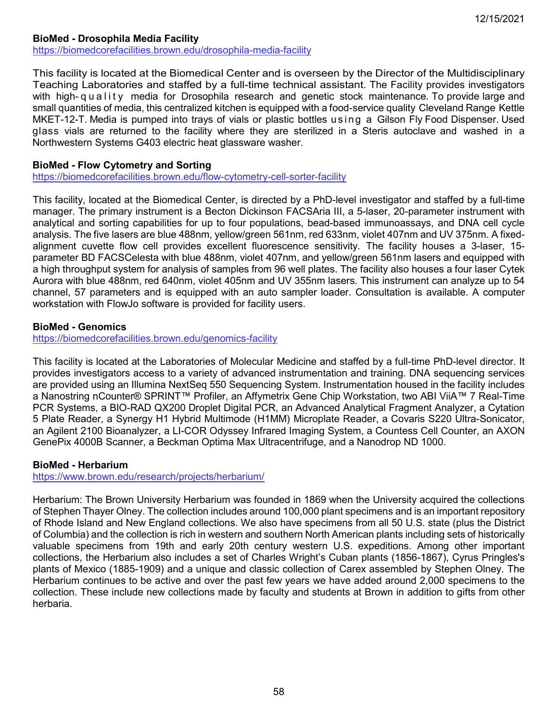# **BioMed - Drosophila Media Facility**

<https://biomedcorefacilities.brown.edu/drosophila-media-facility>

This facility is located at the Biomedical Center and is overseen by the Director of the Multidisciplinary Teaching Laboratories and staffed by a full-time technical assistant. The Facility provides investigators with high- quality media for Drosophila research and genetic stock maintenance. To provide large and small quantities of media, this centralized kitchen is equipped with a food-service quality Cleveland Range Kettle MKET-12-T. Media is pumped into trays of vials or plastic bottles using a Gilson Fly Food Dispenser. Used glass vials are returned to the facility where they are sterilized in a Steris autoclave and washed in a Northwestern Systems G403 electric heat glassware washer.

### **BioMed - Flow Cytometry and Sorting**

<https://biomedcorefacilities.brown.edu/flow-cytometry-cell-sorter-facility>

This facility, located at the Biomedical Center, is directed by a PhD-level investigator and staffed by a full-time manager. The primary instrument is a Becton Dickinson FACSAria III, a 5-laser, 20-parameter instrument with analytical and sorting capabilities for up to four populations, bead-based immunoassays, and DNA cell cycle analysis. The five lasers are blue 488nm, yellow/green 561nm, red 633nm, violet 407nm and UV 375nm. A fixedalignment cuvette flow cell provides excellent fluorescence sensitivity. The facility houses a 3-laser, 15 parameter BD FACSCelesta with blue 488nm, violet 407nm, and yellow/green 561nm lasers and equipped with a high throughput system for analysis of samples from 96 well plates. The facility also houses a four laser Cytek Aurora with blue 488nm, red 640nm, violet 405nm and UV 355nm lasers. This instrument can analyze up to 54 channel, 57 parameters and is equipped with an auto sampler loader. Consultation is available. A computer workstation with FlowJo software is provided for facility users.

### **BioMed - Genomics**

<https://biomedcorefacilities.brown.edu/genomics-facility>

This facility is located at the Laboratories of Molecular Medicine and staffed by a full-time PhD-level director. It provides investigators access to a variety of advanced instrumentation and training. DNA sequencing services are provided using an Illumina NextSeq 550 Sequencing System. Instrumentation housed in the facility includes a Nanostring nCounter® SPRINT™ Profiler, an Affymetrix Gene Chip Workstation, two ABI ViiA™ 7 Real-Time PCR Systems, a BIO-RAD QX200 Droplet Digital PCR, an Advanced Analytical Fragment Analyzer, a Cytation 5 Plate Reader, a Synergy H1 Hybrid Multimode (H1MM) Microplate Reader, a Covaris S220 Ultra-Sonicator, an Agilent 2100 Bioanalyzer, a LI-COR Odyssey Infrared Imaging System, a Countess Cell Counter, an AXON GenePix 4000B Scanner, a Beckman Optima Max Ultracentrifuge, and a Nanodrop ND 1000.

### **BioMed - Herbarium**

<https://www.brown.edu/research/projects/herbarium/>

Herbarium: The Brown University Herbarium was founded in 1869 when the University acquired the collections of Stephen Thayer Olney. The collection includes around 100,000 plant specimens and is an important repository of Rhode Island and New England collections. We also have specimens from all 50 U.S. state (plus the District of Columbia) and the collection is rich in western and southern North American plants including sets of historically valuable specimens from 19th and early 20th century western U.S. expeditions. Among other important collections, the Herbarium also includes a set of Charles Wright's Cuban plants (1856-1867), Cyrus Pringles's plants of Mexico (1885-1909) and a unique and classic collection of Carex assembled by Stephen Olney. The Herbarium continues to be active and over the past few years we have added around 2,000 specimens to the collection. These include new collections made by faculty and students at Brown in addition to gifts from other herbaria.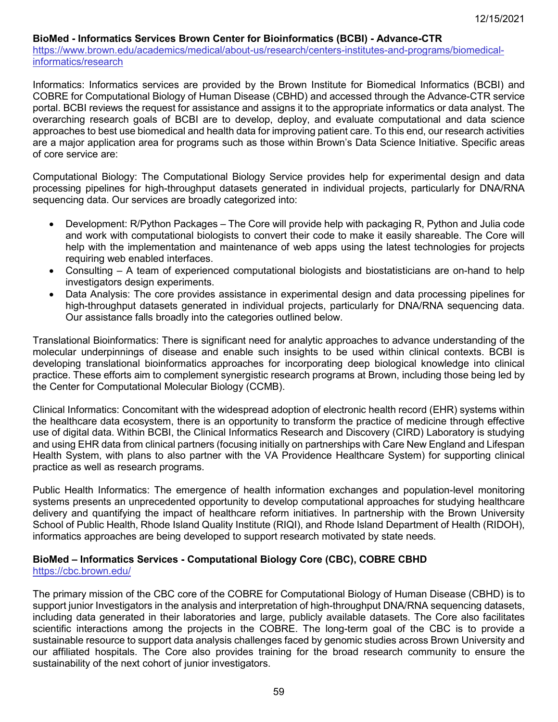### **BioMed - Informatics Services Brown Center for Bioinformatics (BCBI) - Advance-CTR**

[https://www.brown.edu/academics/medical/about-us/research/centers-institutes-and-programs/biomedical](https://www.brown.edu/academics/medical/about-us/research/centers-institutes-and-programs/biomedical-informatics/research)[informatics/research](https://www.brown.edu/academics/medical/about-us/research/centers-institutes-and-programs/biomedical-informatics/research)

Informatics: Informatics services are provided by the Brown Institute for Biomedical Informatics (BCBI) and COBRE for Computational Biology of Human Disease (CBHD) and accessed through the Advance-CTR service portal. BCBI reviews the request for assistance and assigns it to the appropriate informatics or data analyst. The overarching research goals of BCBI are to develop, deploy, and evaluate computational and data science approaches to best use biomedical and health data for improving patient care. To this end, our research activities are a major application area for programs such as those within Brown's Data Science Initiative. Specific areas of core service are:

Computational Biology: The Computational Biology Service provides help for experimental design and data processing pipelines for high-throughput datasets generated in individual projects, particularly for DNA/RNA sequencing data. Our services are broadly categorized into:

- Development: R/Python Packages The Core will provide help with packaging R, Python and Julia code and work with computational biologists to convert their code to make it easily shareable. The Core will help with the implementation and maintenance of web apps using the latest technologies for projects requiring web enabled interfaces.
- Consulting A team of experienced computational biologists and biostatisticians are on-hand to help investigators design experiments.
- Data Analysis: The core provides assistance in experimental design and data processing pipelines for high-throughput datasets generated in individual projects, particularly for DNA/RNA sequencing data. Our assistance falls broadly into the categories outlined below.

Translational Bioinformatics: There is significant need for analytic approaches to advance understanding of the molecular underpinnings of disease and enable such insights to be used within clinical contexts. BCBI is developing translational bioinformatics approaches for incorporating deep biological knowledge into clinical practice. These efforts aim to complement synergistic research programs at Brown, including those being led by the Center for Computational Molecular Biology (CCMB).

Clinical Informatics: Concomitant with the widespread adoption of electronic health record (EHR) systems within the healthcare data ecosystem, there is an opportunity to transform the practice of medicine through effective use of digital data. Within BCBI, the Clinical Informatics Research and Discovery (CIRD) Laboratory is studying and using EHR data from clinical partners (focusing initially on partnerships with Care New England and Lifespan Health System, with plans to also partner with the VA Providence Healthcare System) for supporting clinical practice as well as research programs.

Public Health Informatics: The emergence of health information exchanges and population-level monitoring systems presents an unprecedented opportunity to develop computational approaches for studying healthcare delivery and quantifying the impact of healthcare reform initiatives. In partnership with the Brown University School of Public Health, Rhode Island Quality Institute (RIQI), and Rhode Island Department of Health (RIDOH), informatics approaches are being developed to support research motivated by state needs.

### **BioMed – Informatics Services - Computational Biology Core (CBC), COBRE CBHD**  <https://cbc.brown.edu/>

The primary mission of the CBC core of the COBRE for Computational Biology of Human Disease (CBHD) is to support junior Investigators in the analysis and interpretation of high-throughput DNA/RNA sequencing datasets, including data generated in their laboratories and large, publicly available datasets. The Core also facilitates scientific interactions among the projects in the COBRE. The long-term goal of the CBC is to provide a sustainable resource to support data analysis challenges faced by genomic studies across Brown University and our affiliated hospitals. The Core also provides training for the broad research community to ensure the sustainability of the next cohort of junior investigators.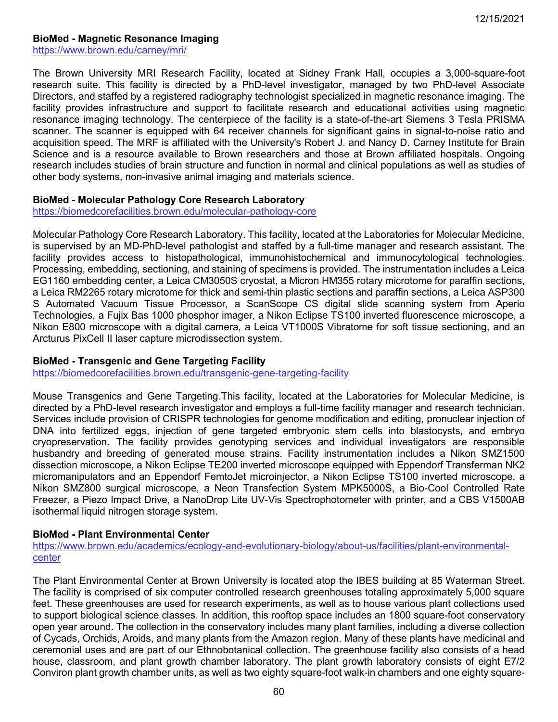#### **BioMed - Magnetic Resonance Imaging**

<https://www.brown.edu/carney/mri/>

The Brown University MRI Research Facility, located at Sidney Frank Hall, occupies a 3,000-square-foot research suite. This facility is directed by a PhD-level investigator, managed by two PhD-level Associate Directors, and staffed by a registered radiography technologist specialized in magnetic resonance imaging. The facility provides infrastructure and support to facilitate research and educational activities using magnetic resonance imaging technology. The centerpiece of the facility is a state-of-the-art Siemens 3 Tesla PRISMA scanner. The scanner is equipped with 64 receiver channels for significant gains in signal-to-noise ratio and acquisition speed. The MRF is affiliated with the University's Robert J. and Nancy D. Carney Institute for Brain Science and is a resource available to Brown researchers and those at Brown affiliated hospitals. Ongoing research includes studies of brain structure and function in normal and clinical populations as well as studies of other body systems, non-invasive animal imaging and materials science.

#### **BioMed - Molecular Pathology Core Research Laboratory**

<https://biomedcorefacilities.brown.edu/molecular-pathology-core>

Molecular Pathology Core Research Laboratory. This facility, located at the Laboratories for Molecular Medicine, is supervised by an MD-PhD-level pathologist and staffed by a full-time manager and research assistant. The facility provides access to histopathological, immunohistochemical and immunocytological technologies. Processing, embedding, sectioning, and staining of specimens is provided. The instrumentation includes a Leica EG1160 embedding center, a Leica CM3050S cryostat, a Micron HM355 rotary microtome for paraffin sections, a Leica RM2265 rotary microtome for thick and semi-thin plastic sections and paraffin sections, a Leica ASP300 S Automated Vacuum Tissue Processor, a ScanScope CS digital slide scanning system from Aperio Technologies, a Fujix Bas 1000 phosphor imager, a Nikon Eclipse TS100 inverted fluorescence microscope, a Nikon E800 microscope with a digital camera, a Leica VT1000S Vibratome for soft tissue sectioning, and an Arcturus PixCell II laser capture microdissection system.

#### **BioMed - Transgenic and Gene Targeting Facility**

<https://biomedcorefacilities.brown.edu/transgenic-gene-targeting-facility>

Mouse Transgenics and Gene Targeting.This facility, located at the Laboratories for Molecular Medicine, is directed by a PhD-level research investigator and employs a full-time facility manager and research technician. Services include provision of CRISPR technologies for genome modification and editing, pronuclear injection of DNA into fertilized eggs, injection of gene targeted embryonic stem cells into blastocysts, and embryo cryopreservation. The facility provides genotyping services and individual investigators are responsible husbandry and breeding of generated mouse strains. Facility instrumentation includes a Nikon SMZ1500 dissection microscope, a Nikon Eclipse TE200 inverted microscope equipped with Eppendorf Transferman NK2 micromanipulators and an Eppendorf FemtoJet microinjector, a Nikon Eclipse TS100 inverted microscope, a Nikon SMZ800 surgical microscope, a Neon Transfection System MPK5000S, a Bio-Cool Controlled Rate Freezer, a Piezo Impact Drive, a NanoDrop Lite UV-Vis Spectrophotometer with printer, and a CBS V1500AB isothermal liquid nitrogen storage system.

### **BioMed - Plant Environmental Center**

[https://www.brown.edu/academics/ecology-and-evolutionary-biology/about-us/facilities/plant-environmental](https://www.brown.edu/academics/ecology-and-evolutionary-biology/about-us/facilities/plant-environmental-center)[center](https://www.brown.edu/academics/ecology-and-evolutionary-biology/about-us/facilities/plant-environmental-center)

The Plant Environmental Center at Brown University is located atop the IBES building at 85 Waterman Street. The facility is comprised of six computer controlled research greenhouses totaling approximately 5,000 square feet. These greenhouses are used for research experiments, as well as to house various plant collections used to support biological science classes. In addition, this rooftop space includes an 1800 square-foot conservatory open year around. The collection in the conservatory includes many plant families, including a diverse collection of Cycads, Orchids, Aroids, and many plants from the Amazon region. Many of these plants have medicinal and ceremonial uses and are part of our Ethnobotanical collection. The greenhouse facility also consists of a head house, classroom, and plant growth chamber laboratory. The plant growth laboratory consists of eight E7/2 Conviron plant growth chamber units, as well as two eighty square-foot walk-in chambers and one eighty square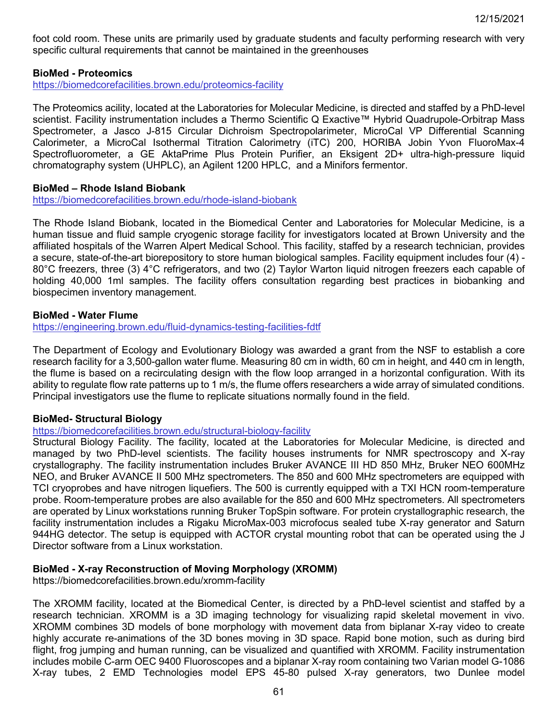foot cold room. These units are primarily used by graduate students and faculty performing research with very specific cultural requirements that cannot be maintained in the greenhouses

#### **BioMed - Proteomics**

<https://biomedcorefacilities.brown.edu/proteomics-facility>

The Proteomics acility, located at the Laboratories for Molecular Medicine, is directed and staffed by a PhD-level scientist. Facility instrumentation includes a Thermo Scientific Q Exactive™ Hybrid Quadrupole-Orbitrap Mass Spectrometer, a Jasco J-815 Circular Dichroism Spectropolarimeter, MicroCal VP Differential Scanning Calorimeter, a MicroCal Isothermal Titration Calorimetry (iTC) 200, HORIBA Jobin Yvon FluoroMax-4 Spectrofluorometer, a GE AktaPrime Plus Protein Purifier, an Eksigent 2D+ ultra-high-pressure liquid chromatography system (UHPLC), an Agilent 1200 HPLC, and a Minifors fermentor.

#### **BioMed – Rhode Island Biobank**

<https://biomedcorefacilities.brown.edu/rhode-island-biobank>

The Rhode Island Biobank, located in the Biomedical Center and Laboratories for Molecular Medicine, is a human tissue and fluid sample cryogenic storage facility for investigators located at Brown University and the affiliated hospitals of the Warren Alpert Medical School. This facility, staffed by a research technician, provides a secure, state-of-the-art biorepository to store human biological samples. Facility equipment includes four (4) - 80°C freezers, three (3) 4°C refrigerators, and two (2) Taylor Warton liquid nitrogen freezers each capable of holding 40,000 1ml samples. The facility offers consultation regarding best practices in biobanking and biospecimen inventory management.

#### **BioMed - Water Flume**

<https://engineering.brown.edu/fluid-dynamics-testing-facilities-fdtf>

The Department of Ecology and Evolutionary Biology was awarded a grant from the NSF to establish a core research facility for a 3,500-gallon water flume. Measuring 80 cm in width, 60 cm in height, and 440 cm in length, the flume is based on a recirculating design with the flow loop arranged in a horizontal configuration. With its ability to regulate flow rate patterns up to 1 m/s, the flume offers researchers a wide array of simulated conditions. Principal investigators use the flume to replicate situations normally found in the field.

#### **BioMed- Structural Biology**

<https://biomedcorefacilities.brown.edu/structural-biology-facility>

Structural Biology Facility. The facility, located at the Laboratories for Molecular Medicine, is directed and managed by two PhD-level scientists. The facility houses instruments for NMR spectroscopy and X-ray crystallography. The facility instrumentation includes Bruker AVANCE III HD 850 MHz, Bruker NEO 600MHz NEO, and Bruker AVANCE II 500 MHz spectrometers. The 850 and 600 MHz spectrometers are equipped with TCI cryoprobes and have nitrogen liquefiers. The 500 is currently equipped with a TXI HCN room-temperature probe. Room-temperature probes are also available for the 850 and 600 MHz spectrometers. All spectrometers are operated by Linux workstations running Bruker TopSpin software. For protein crystallographic research, the facility instrumentation includes a Rigaku MicroMax-003 microfocus sealed tube X-ray generator and Saturn 944HG detector. The setup is equipped with ACTOR crystal mounting robot that can be operated using the J Director software from a Linux workstation.

#### **BioMed - X-ray Reconstruction of Moving Morphology (XROMM)**

https://biomedcorefacilities.brown.edu/xromm-facility

The XROMM facility, located at the Biomedical Center, is directed by a PhD-level scientist and staffed by a research technician. XROMM is a 3D imaging technology for visualizing rapid skeletal movement in vivo. XROMM combines 3D models of bone morphology with movement data from biplanar X-ray video to create highly accurate re-animations of the 3D bones moving in 3D space. Rapid bone motion, such as during bird flight, frog jumping and human running, can be visualized and quantified with XROMM. Facility instrumentation includes mobile C-arm OEC 9400 Fluoroscopes and a biplanar X-ray room containing two Varian model G-1086 X-ray tubes, 2 EMD Technologies model EPS 45-80 pulsed X-ray generators, two Dunlee model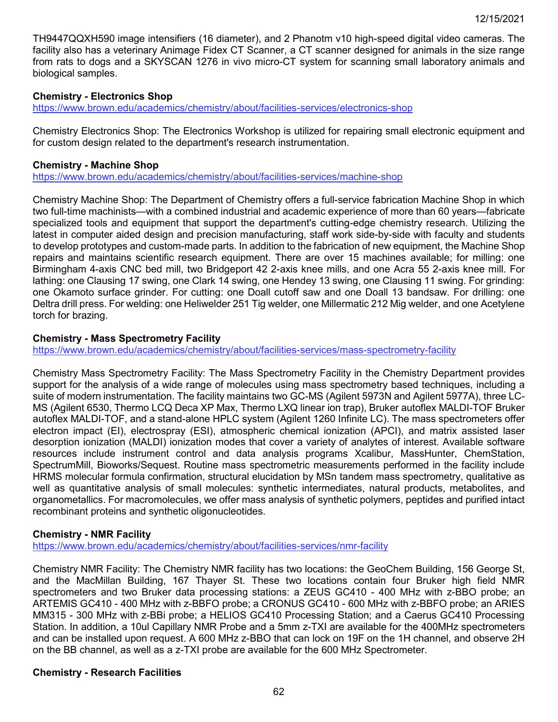TH9447QQXH590 image intensifiers (16 diameter), and 2 Phanotm v10 high-speed digital video cameras. The facility also has a veterinary Animage Fidex CT Scanner, a CT scanner designed for animals in the size range from rats to dogs and a SKYSCAN 1276 in vivo micro-CT system for scanning small laboratory animals and biological samples.

### **Chemistry - Electronics Shop**

<https://www.brown.edu/academics/chemistry/about/facilities-services/electronics-shop>

Chemistry Electronics Shop: The Electronics Workshop is utilized for repairing small electronic equipment and for custom design related to the department's research instrumentation.

#### **Chemistry - Machine Shop**

<https://www.brown.edu/academics/chemistry/about/facilities-services/machine-shop>

Chemistry Machine Shop: The Department of Chemistry offers a full-service fabrication Machine Shop in which two full-time machinists—with a combined industrial and academic experience of more than 60 years—fabricate specialized tools and equipment that support the department's cutting-edge chemistry research. Utilizing the latest in computer aided design and precision manufacturing, staff work side-by-side with faculty and students to develop prototypes and custom-made parts. In addition to the fabrication of new equipment, the Machine Shop repairs and maintains scientific research equipment. There are over 15 machines available; for milling: one Birmingham 4-axis CNC bed mill, two Bridgeport 42 2-axis knee mills, and one Acra 55 2-axis knee mill. For lathing: one Clausing 17 swing, one Clark 14 swing, one Hendey 13 swing, one Clausing 11 swing. For grinding: one Okamoto surface grinder. For cutting: one Doall cutoff saw and one Doall 13 bandsaw. For drilling: one Deltra drill press. For welding: one Heliwelder 251 Tig welder, one Millermatic 212 Mig welder, and one Acetylene torch for brazing.

#### **Chemistry - Mass Spectrometry Facility**

<https://www.brown.edu/academics/chemistry/about/facilities-services/mass-spectrometry-facility>

Chemistry Mass Spectrometry Facility: The Mass Spectrometry Facility in the Chemistry Department provides support for the analysis of a wide range of molecules using mass spectrometry based techniques, including a suite of modern instrumentation. The facility maintains two GC-MS (Agilent 5973N and Agilent 5977A), three LC-MS (Agilent 6530, Thermo LCQ Deca XP Max, Thermo LXQ linear ion trap), Bruker autoflex MALDI-TOF Bruker autoflex MALDI-TOF, and a stand-alone HPLC system (Agilent 1260 Infinite LC). The mass spectrometers offer electron impact (EI), electrospray (ESI), atmospheric chemical ionization (APCI), and matrix assisted laser desorption ionization (MALDI) ionization modes that cover a variety of analytes of interest. Available software resources include instrument control and data analysis programs Xcalibur, MassHunter, ChemStation, SpectrumMill, Bioworks/Sequest. Routine mass spectrometric measurements performed in the facility include HRMS molecular formula confirmation, structural elucidation by MSn tandem mass spectrometry, qualitative as well as quantitative analysis of small molecules: synthetic intermediates, natural products, metabolites, and organometallics. For macromolecules, we offer mass analysis of synthetic polymers, peptides and purified intact recombinant proteins and synthetic oligonucleotides.

### **Chemistry - NMR Facility**

<https://www.brown.edu/academics/chemistry/about/facilities-services/nmr-facility>

Chemistry NMR Facility: The Chemistry NMR facility has two locations: the GeoChem Building, 156 George St, and the MacMillan Building, 167 Thayer St. These two locations contain four Bruker high field NMR spectrometers and two Bruker data processing stations: a ZEUS GC410 - 400 MHz with z-BBO probe; an ARTEMIS GC410 - 400 MHz with z-BBFO probe; a CRONUS GC410 - 600 MHz with z-BBFO probe; an ARIES MM315 - 300 MHz with z-BBi probe; a HELIOS GC410 Processing Station; and a Caerus GC410 Processing Station. In addition, a 10ul Capillary NMR Probe and a 5mm z-TXI are available for the 400MHz spectrometers and can be installed upon request. A 600 MHz z-BBO that can lock on 19F on the 1H channel, and observe 2H on the BB channel, as well as a z-TXI probe are available for the 600 MHz Spectrometer.

#### **Chemistry - Research Facilities**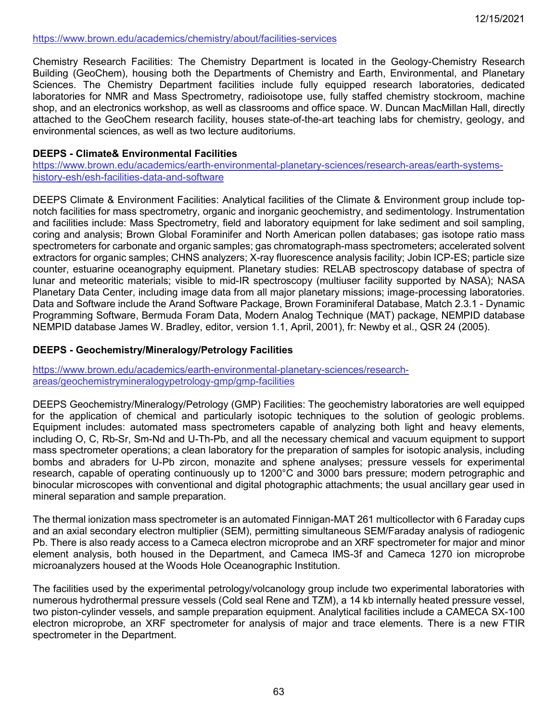### <https://www.brown.edu/academics/chemistry/about/facilities-services>

Chemistry Research Facilities: The Chemistry Department is located in the Geology-Chemistry Research Building (GeoChem), housing both the Departments of Chemistry and Earth, Environmental, and Planetary Sciences. The Chemistry Department facilities include fully equipped research laboratories, dedicated laboratories for NMR and Mass Spectrometry, radioisotope use, fully staffed chemistry stockroom, machine shop, and an electronics workshop, as well as classrooms and office space. W. Duncan MacMillan Hall, directly attached to the GeoChem research facility, houses state-of-the-art teaching labs for chemistry, geology, and environmental sciences, as well as two lecture auditoriums.

### **DEEPS - Climate& Environmental Facilities**

[https://www.brown.edu/academics/earth-environmental-planetary-sciences/research-areas/earth-systems](https://www.brown.edu/academics/earth-environmental-planetary-sciences/research-areas/earth-systems-history-esh/esh-facilities-data-and-software)[history-esh/esh-facilities-data-and-software](https://www.brown.edu/academics/earth-environmental-planetary-sciences/research-areas/earth-systems-history-esh/esh-facilities-data-and-software)

DEEPS Climate & Environment Facilities: Analytical facilities of the Climate & Environment group include topnotch facilities for mass spectrometry, organic and inorganic geochemistry, and sedimentology. Instrumentation and facilities include: Mass Spectrometry, field and laboratory equipment for lake sediment and soil sampling, coring and analysis; Brown Global Foraminifer and North American pollen databases; gas isotope ratio mass spectrometers for carbonate and organic samples; gas chromatograph-mass spectrometers; accelerated solvent extractors for organic samples; CHNS analyzers; X-ray fluorescence analysis facility; Jobin ICP-ES; particle size counter, estuarine oceanography equipment. Planetary studies: RELAB spectroscopy database of spectra of lunar and meteoritic materials; visible to mid-IR spectroscopy (multiuser facility supported by NASA); NASA Planetary Data Center, including image data from all major planetary missions; image-processing laboratories. Data and Software include the Arand Software Package, Brown Foraminiferal Database, Match 2.3.1 - Dynamic Programming Software, Bermuda Foram Data, Modern Analog Technique (MAT) package, NEMPID database NEMPID database James W. Bradley, editor, version 1.1, April, 2001), fr: Newby et al., QSR 24 (2005).

#### **DEEPS - Geochemistry/Mineralogy/Petrology Facilities**

[https://www.brown.edu/academics/earth-environmental-planetary-sciences/research](https://www.brown.edu/academics/earth-environmental-planetary-sciences/research-areas/geochemistrymineralogypetrology-gmp/gmp-facilities)[areas/geochemistrymineralogypetrology-gmp/gmp-facilities](https://www.brown.edu/academics/earth-environmental-planetary-sciences/research-areas/geochemistrymineralogypetrology-gmp/gmp-facilities)

DEEPS Geochemistry/Mineralogy/Petrology (GMP) Facilities: The geochemistry laboratories are well equipped for the application of chemical and particularly isotopic techniques to the solution of geologic problems. Equipment includes: automated mass spectrometers capable of analyzing both light and heavy elements, including O, C, Rb-Sr, Sm-Nd and U-Th-Pb, and all the necessary chemical and vacuum equipment to support mass spectrometer operations; a clean laboratory for the preparation of samples for isotopic analysis, including bombs and abraders for U-Pb zircon, monazite and sphene analyses; pressure vessels for experimental research, capable of operating continuously up to 1200°C and 3000 bars pressure; modern petrographic and binocular microscopes with conventional and digital photographic attachments; the usual ancillary gear used in mineral separation and sample preparation.

The thermal ionization mass spectrometer is an automated Finnigan-MAT 261 multicollector with 6 Faraday cups and an axial secondary electron multiplier (SEM), permitting simultaneous SEM/Faraday analysis of radiogenic Pb. There is also ready access to a Cameca electron microprobe and an XRF spectrometer for major and minor element analysis, both housed in the Department, and Cameca IMS-3f and Cameca 1270 ion microprobe microanalyzers housed at the Woods Hole Oceanographic Institution.

The facilities used by the experimental petrology/volcanology group include two experimental laboratories with numerous hydrothermal pressure vessels (Cold seal Rene and TZM), a 14 kb internally heated pressure vessel, two piston-cylinder vessels, and sample preparation equipment. Analytical facilities include a CAMECA SX-100 electron microprobe, an XRF spectrometer for analysis of major and trace elements. There is a new FTIR spectrometer in the Department.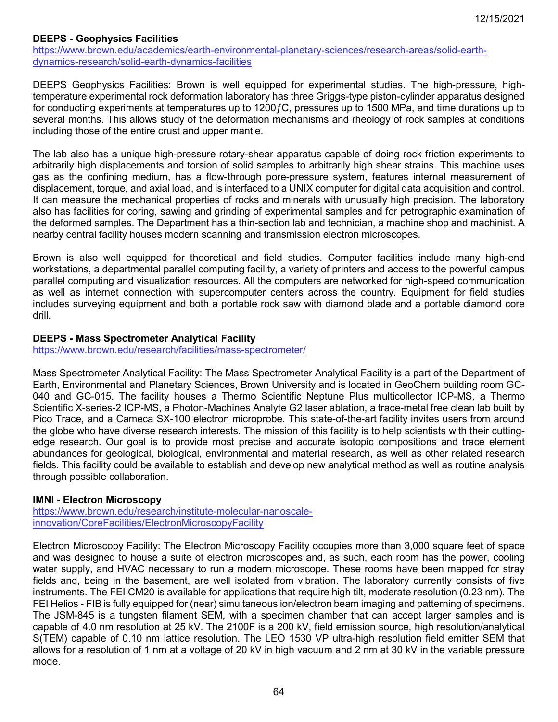### **DEEPS - Geophysics Facilities**

[https://www.brown.edu/academics/earth-environmental-planetary-sciences/research-areas/solid-earth](https://www.brown.edu/academics/earth-environmental-planetary-sciences/research-areas/solid-earth-dynamics-research/solid-earth-dynamics-facilities)[dynamics-research/solid-earth-dynamics-facilities](https://www.brown.edu/academics/earth-environmental-planetary-sciences/research-areas/solid-earth-dynamics-research/solid-earth-dynamics-facilities)

DEEPS Geophysics Facilities: Brown is well equipped for experimental studies. The high-pressure, hightemperature experimental rock deformation laboratory has three Griggs-type piston-cylinder apparatus designed for conducting experiments at temperatures up to 1200ƒC, pressures up to 1500 MPa, and time durations up to several months. This allows study of the deformation mechanisms and rheology of rock samples at conditions including those of the entire crust and upper mantle.

The lab also has a unique high-pressure rotary-shear apparatus capable of doing rock friction experiments to arbitrarily high displacements and torsion of solid samples to arbitrarily high shear strains. This machine uses gas as the confining medium, has a flow-through pore-pressure system, features internal measurement of displacement, torque, and axial load, and is interfaced to a UNIX computer for digital data acquisition and control. It can measure the mechanical properties of rocks and minerals with unusually high precision. The laboratory also has facilities for coring, sawing and grinding of experimental samples and for petrographic examination of the deformed samples. The Department has a thin-section lab and technician, a machine shop and machinist. A nearby central facility houses modern scanning and transmission electron microscopes.

Brown is also well equipped for theoretical and field studies. Computer facilities include many high-end workstations, a departmental parallel computing facility, a variety of printers and access to the powerful campus parallel computing and visualization resources. All the computers are networked for high-speed communication as well as internet connection with supercomputer centers across the country. Equipment for field studies includes surveying equipment and both a portable rock saw with diamond blade and a portable diamond core drill.

### **DEEPS - Mass Spectrometer Analytical Facility**

<https://www.brown.edu/research/facilities/mass-spectrometer/>

Mass Spectrometer Analytical Facility: The Mass Spectrometer Analytical Facility is a part of the Department of Earth, Environmental and Planetary Sciences, Brown University and is located in GeoChem building room GC-040 and GC-015. The facility houses a Thermo Scientific Neptune Plus multicollector ICP-MS, a Thermo Scientific X-series-2 ICP-MS, a Photon-Machines Analyte G2 laser ablation, a trace-metal free clean lab built by Pico Trace, and a Cameca SX-100 electron microprobe. This state-of-the-art facility invites users from around the globe who have diverse research interests. The mission of this facility is to help scientists with their cuttingedge research. Our goal is to provide most precise and accurate isotopic compositions and trace element abundances for geological, biological, environmental and material research, as well as other related research fields. This facility could be available to establish and develop new analytical method as well as routine analysis through possible collaboration.

### **IMNI - Electron Microscopy**

[https://www.brown.edu/research/institute-molecular-nanoscale](https://www.brown.edu/research/institute-molecular-nanoscale-innovation/CoreFacilities/ElectronMicroscopyFacility)[innovation/CoreFacilities/ElectronMicroscopyFacility](https://www.brown.edu/research/institute-molecular-nanoscale-innovation/CoreFacilities/ElectronMicroscopyFacility)

Electron Microscopy Facility: The Electron Microscopy Facility occupies more than 3,000 square feet of space and was designed to house a suite of electron microscopes and, as such, each room has the power, cooling water supply, and HVAC necessary to run a modern microscope. These rooms have been mapped for stray fields and, being in the basement, are well isolated from vibration. The laboratory currently consists of five instruments. The FEI CM20 is available for applications that require high tilt, moderate resolution (0.23 nm). The FEI Helios - FIB is fully equipped for (near) simultaneous ion/electron beam imaging and patterning of specimens. The JSM-845 is a tungsten filament SEM, with a specimen chamber that can accept larger samples and is capable of 4.0 nm resolution at 25 kV. The 2100F is a 200 kV, field emission source, high resolution/analytical S(TEM) capable of 0.10 nm lattice resolution. The LEO 1530 VP ultra-high resolution field emitter SEM that allows for a resolution of 1 nm at a voltage of 20 kV in high vacuum and 2 nm at 30 kV in the variable pressure mode.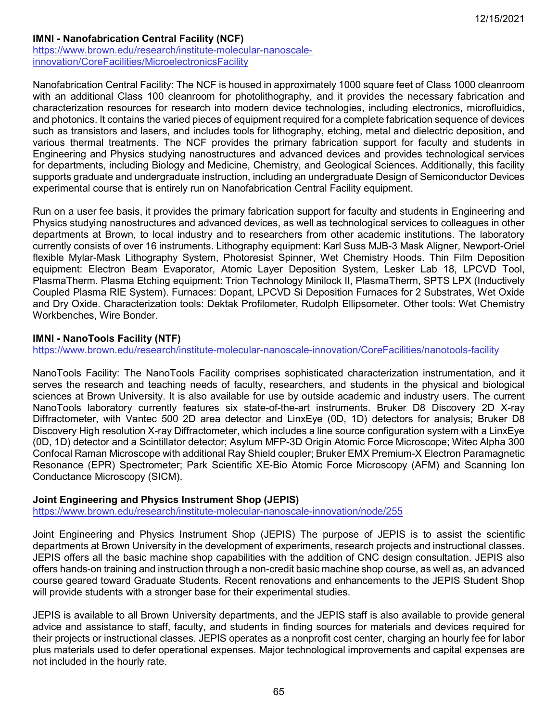# **IMNI - Nanofabrication Central Facility (NCF)**

[https://www.brown.edu/research/institute-molecular-nanoscale](https://www.brown.edu/research/institute-molecular-nanoscale-innovation/CoreFacilities/MicroelectronicsFacility)[innovation/CoreFacilities/MicroelectronicsFacility](https://www.brown.edu/research/institute-molecular-nanoscale-innovation/CoreFacilities/MicroelectronicsFacility)

Nanofabrication Central Facility: The NCF is housed in approximately 1000 square feet of Class 1000 cleanroom with an additional Class 100 cleanroom for photolithography, and it provides the necessary fabrication and characterization resources for research into modern device technologies, including electronics, microfluidics, and photonics. It contains the varied pieces of equipment required for a complete fabrication sequence of devices such as transistors and lasers, and includes tools for lithography, etching, metal and dielectric deposition, and various thermal treatments. The NCF provides the primary fabrication support for faculty and students in Engineering and Physics studying nanostructures and advanced devices and provides technological services for departments, including Biology and Medicine, Chemistry, and Geological Sciences. Additionally, this facility supports graduate and undergraduate instruction, including an undergraduate Design of Semiconductor Devices experimental course that is entirely run on Nanofabrication Central Facility equipment.

Run on a user fee basis, it provides the primary fabrication support for faculty and students in Engineering and Physics studying nanostructures and advanced devices, as well as technological services to colleagues in other departments at Brown, to local industry and to researchers from other academic institutions. The laboratory currently consists of over 16 instruments. Lithography equipment: Karl Suss MJB-3 Mask Aligner, Newport-Oriel flexible Mylar-Mask Lithography System, Photoresist Spinner, Wet Chemistry Hoods. Thin Film Deposition equipment: Electron Beam Evaporator, Atomic Layer Deposition System, Lesker Lab 18, LPCVD Tool, PlasmaTherm. Plasma Etching equipment: Trion Technology Minilock II, PlasmaTherm, SPTS LPX (Inductively Coupled Plasma RIE System). Furnaces: Dopant, LPCVD Si Deposition Furnaces for 2 Substrates, Wet Oxide and Dry Oxide. Characterization tools: Dektak Profilometer, Rudolph Ellipsometer. Other tools: Wet Chemistry Workbenches, Wire Bonder.

### **IMNI - NanoTools Facility (NTF)**

<https://www.brown.edu/research/institute-molecular-nanoscale-innovation/CoreFacilities/nanotools-facility>

NanoTools Facility: The NanoTools Facility comprises sophisticated characterization instrumentation, and it serves the research and teaching needs of faculty, researchers, and students in the physical and biological sciences at Brown University. It is also available for use by outside academic and industry users. The current NanoTools laboratory currently features six state-of-the-art instruments. Bruker D8 Discovery 2D X-ray Diffractometer, with Vantec 500 2D area detector and LinxEye (0D, 1D) detectors for analysis; Bruker D8 Discovery High resolution X-ray Diffractometer, which includes a line source configuration system with a LinxEye (0D, 1D) detector and a Scintillator detector; Asylum MFP-3D Origin Atomic Force Microscope; Witec Alpha 300 Confocal Raman Microscope with additional Ray Shield coupler; Bruker EMX Premium-X Electron Paramagnetic Resonance (EPR) Spectrometer; Park Scientific XE-Bio Atomic Force Microscopy (AFM) and Scanning Ion Conductance Microscopy (SICM).

### **Joint Engineering and Physics Instrument Shop (JEPIS)**

<https://www.brown.edu/research/institute-molecular-nanoscale-innovation/node/255>

Joint Engineering and Physics Instrument Shop (JEPIS) The purpose of JEPIS is to assist the scientific departments at Brown University in the development of experiments, research projects and instructional classes. JEPIS offers all the basic machine shop capabilities with the addition of CNC design consultation. JEPIS also offers hands-on training and instruction through a non-credit basic machine shop course, as well as, an advanced course geared toward Graduate Students. Recent renovations and enhancements to the JEPIS Student Shop will provide students with a stronger base for their experimental studies.

JEPIS is available to all Brown University departments, and the JEPIS staff is also available to provide general advice and assistance to staff, faculty, and students in finding sources for materials and devices required for their projects or instructional classes. JEPIS operates as a nonprofit cost center, charging an hourly fee for labor plus materials used to defer operational expenses. Major technological improvements and capital expenses are not included in the hourly rate.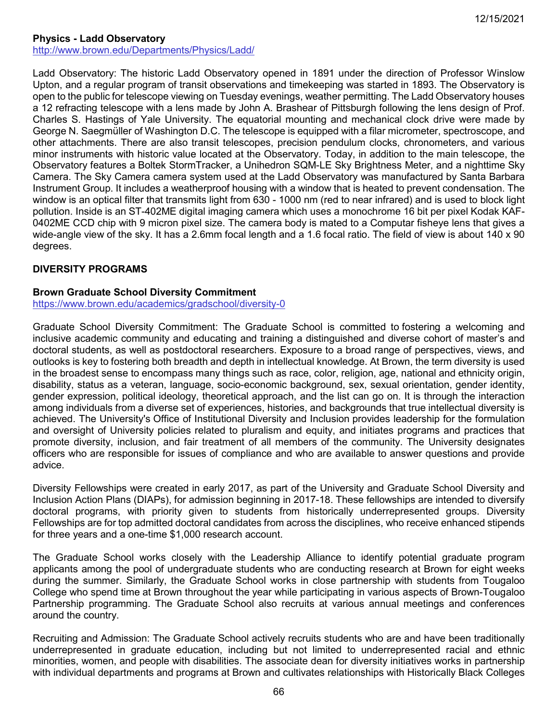# **Physics - Ladd Observatory**

<http://www.brown.edu/Departments/Physics/Ladd/>

Ladd Observatory: The historic Ladd Observatory opened in 1891 under the direction of Professor Winslow Upton, and a regular program of transit observations and timekeeping was started in 1893. The Observatory is open to the public for telescope viewing on Tuesday evenings, weather permitting. The Ladd Observatory houses a 12 refracting telescope with a lens made by John A. Brashear of Pittsburgh following the lens design of Prof. Charles S. Hastings of Yale University. The equatorial mounting and mechanical clock drive were made by George N. Saegmüller of Washington D.C. The telescope is equipped with a filar micrometer, spectroscope, and other attachments. There are also transit telescopes, precision pendulum clocks, chronometers, and various minor instruments with historic value located at the Observatory. Today, in addition to the main telescope, the Observatory features a Boltek StormTracker, a Unihedron SQM-LE Sky Brightness Meter, and a nighttime Sky Camera. The Sky Camera camera system used at the Ladd Observatory was manufactured by Santa Barbara Instrument Group. It includes a weatherproof housing with a window that is heated to prevent condensation. The window is an optical filter that transmits light from 630 - 1000 nm (red to near infrared) and is used to block light pollution. Inside is an ST-402ME digital imaging camera which uses a monochrome 16 bit per pixel Kodak KAF-0402ME CCD chip with 9 micron pixel size. The camera body is mated to a Computar fisheye lens that gives a wide-angle view of the sky. It has a 2.6mm focal length and a 1.6 focal ratio. The field of view is about 140 x 90 degrees.

# **DIVERSITY PROGRAMS**

### **Brown Graduate School Diversity Commitment**

<https://www.brown.edu/academics/gradschool/diversity-0>

Graduate School Diversity Commitment: The Graduate School is committed to fostering a welcoming and inclusive academic community and educating and training a distinguished and diverse cohort of master's and doctoral students, as well as postdoctoral researchers. Exposure to a broad range of perspectives, views, and outlooks is key to fostering both breadth and depth in intellectual knowledge. At Brown, the term diversity is used in the broadest sense to encompass many things such as race, color, religion, age, national and ethnicity origin, disability, status as a veteran, language, socio-economic background, sex, sexual orientation, gender identity, gender expression, political ideology, theoretical approach, and the list can go on. It is through the interaction among individuals from a diverse set of experiences, histories, and backgrounds that true intellectual diversity is achieved. The University's Office of Institutional Diversity and Inclusion provides leadership for the formulation and oversight of University policies related to pluralism and equity, and initiates programs and practices that promote diversity, inclusion, and fair treatment of all members of the community. The University designates officers who are responsible for issues of compliance and who are available to answer questions and provide advice.

Diversity Fellowships were created in early 2017, as part of the University and Graduate School Diversity and Inclusion Action Plans (DIAPs), for admission beginning in 2017-18. These fellowships are intended to diversify doctoral programs, with priority given to students from historically underrepresented groups. Diversity Fellowships are for top admitted doctoral candidates from across the disciplines, who receive enhanced stipends for three years and a one-time \$1,000 research account.

The Graduate School works closely with the Leadership Alliance to identify potential graduate program applicants among the pool of undergraduate students who are conducting research at Brown for eight weeks during the summer. Similarly, the Graduate School works in close partnership with students from Tougaloo College who spend time at Brown throughout the year while participating in various aspects of Brown-Tougaloo Partnership programming. The Graduate School also recruits at various annual meetings and conferences around the country.

Recruiting and Admission: The Graduate School actively recruits students who are and have been traditionally underrepresented in graduate education, including but not limited to underrepresented racial and ethnic minorities, women, and people with disabilities. The associate dean for diversity initiatives works in partnership with individual departments and programs at Brown and cultivates relationships with Historically Black Colleges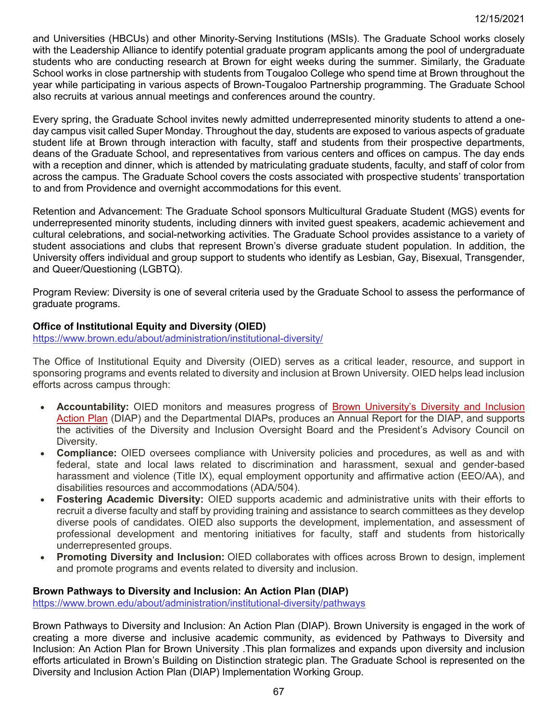and Universities (HBCUs) and other Minority-Serving Institutions (MSIs). The Graduate School works closely with the Leadership Alliance to identify potential graduate program applicants among the pool of undergraduate students who are conducting research at Brown for eight weeks during the summer. Similarly, the Graduate School works in close partnership with students from Tougaloo College who spend time at Brown throughout the year while participating in various aspects of Brown-Tougaloo Partnership programming. The Graduate School also recruits at various annual meetings and conferences around the country.

Every spring, the Graduate School invites newly admitted underrepresented minority students to attend a oneday campus visit called Super Monday. Throughout the day, students are exposed to various aspects of graduate student life at Brown through interaction with faculty, staff and students from their prospective departments, deans of the Graduate School, and representatives from various centers and offices on campus. The day ends with a reception and dinner, which is attended by matriculating graduate students, faculty, and staff of color from across the campus. The Graduate School covers the costs associated with prospective students' transportation to and from Providence and overnight accommodations for this event.

Retention and Advancement: The Graduate School sponsors Multicultural Graduate Student (MGS) events for underrepresented minority students, including dinners with invited guest speakers, academic achievement and cultural celebrations, and social-networking activities. The Graduate School provides assistance to a variety of student associations and clubs that represent Brown's diverse graduate student population. In addition, the University offers individual and group support to students who identify as Lesbian, Gay, Bisexual, Transgender, and Queer/Questioning (LGBTQ).

Program Review: Diversity is one of several criteria used by the Graduate School to assess the performance of graduate programs.

### **Office of Institutional Equity and Diversity (OIED)**

<https://www.brown.edu/about/administration/institutional-diversity/>

The Office of Institutional Equity and Diversity (OIED) serves as a critical leader, resource, and support in sponsoring programs and events related to diversity and inclusion at Brown University. OIED helps lead inclusion efforts across campus through:

- **Accountability:** OIED monitors and measures progress of Brown [University's](https://diap.brown.edu/) Diversity and Inclusion [Action](https://diap.brown.edu/) Plan (DIAP) and the Departmental DIAPs, produces an Annual Report for the DIAP, and supports the activities of the Diversity and Inclusion Oversight Board and the President's Advisory Council on Diversity.
- **Compliance:** OIED oversees compliance with University policies and procedures, as well as and with federal, state and local laws related to discrimination and harassment, sexual and gender-based harassment and violence (Title IX), equal employment opportunity and affirmative action (EEO/AA), and disabilities resources and accommodations (ADA/504).
- **Fostering Academic Diversity:** OIED supports academic and administrative units with their efforts to recruit a diverse faculty and staff by providing training and assistance to search committees as they develop diverse pools of candidates. OIED also supports the development, implementation, and assessment of professional development and mentoring initiatives for faculty, staff and students from historically underrepresented groups.
- **Promoting Diversity and Inclusion:** OIED collaborates with offices across Brown to design, implement and promote programs and events related to diversity and inclusion.

### **Brown Pathways to Diversity and Inclusion: An Action Plan (DIAP)**

<https://www.brown.edu/about/administration/institutional-diversity/pathways>

Brown Pathways to Diversity and Inclusion: An Action Plan (DIAP). Brown University is engaged in the work of creating a more diverse and inclusive academic community, as evidenced by Pathways to Diversity and Inclusion: An Action Plan for Brown University .This plan formalizes and expands upon diversity and inclusion efforts articulated in Brown's Building on Distinction strategic plan. The Graduate School is represented on the Diversity and Inclusion Action Plan (DIAP) Implementation Working Group.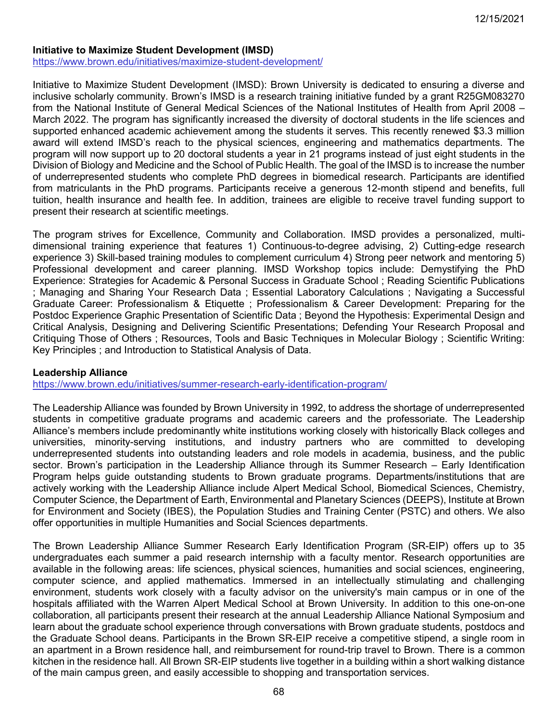#### **Initiative to Maximize Student Development (IMSD)**

<https://www.brown.edu/initiatives/maximize-student-development/>

Initiative to Maximize Student Development (IMSD): Brown University is dedicated to ensuring a diverse and inclusive scholarly community. Brown's IMSD is a research training initiative funded by a grant R25GM083270 from the National Institute of General Medical Sciences of the National Institutes of Health from April 2008 – March 2022. The program has significantly increased the diversity of doctoral students in the life sciences and supported enhanced academic achievement among the students it serves. This recently renewed \$3.3 million award will extend IMSD's reach to the physical sciences, engineering and mathematics departments. The program will now support up to 20 doctoral students a year in 21 programs instead of just eight students in the Division of Biology and Medicine and the School of Public Health. The goal of the IMSD is to increase the number of underrepresented students who complete PhD degrees in biomedical research. Participants are identified from matriculants in the PhD programs. Participants receive a generous 12-month stipend and benefits, full tuition, health insurance and health fee. In addition, trainees are eligible to receive travel funding support to present their research at scientific meetings.

The program strives for Excellence, Community and Collaboration. IMSD provides a personalized, multidimensional training experience that features 1) Continuous-to-degree advising, 2) Cutting-edge research experience 3) Skill-based training modules to complement curriculum 4) Strong peer network and mentoring 5) Professional development and career planning. IMSD Workshop topics include: Demystifying the PhD Experience: Strategies for Academic & Personal Success in Graduate School ; Reading Scientific Publications ; Managing and Sharing Your Research Data ; Essential Laboratory Calculations ; Navigating a Successful Graduate Career: Professionalism & Etiquette ; Professionalism & Career Development: Preparing for the Postdoc Experience Graphic Presentation of Scientific Data ; Beyond the Hypothesis: Experimental Design and Critical Analysis, Designing and Delivering Scientific Presentations; Defending Your Research Proposal and Critiquing Those of Others ; Resources, Tools and Basic Techniques in Molecular Biology ; Scientific Writing: Key Principles ; and Introduction to Statistical Analysis of Data.

### **Leadership Alliance**

<https://www.brown.edu/initiatives/summer-research-early-identification-program/>

The Leadership Alliance was founded by Brown University in 1992, to address the shortage of underrepresented students in competitive graduate programs and academic careers and the professoriate. The Leadership Alliance's members include predominantly white institutions working closely with historically Black colleges and universities, minority-serving institutions, and industry partners who are committed to developing underrepresented students into outstanding leaders and role models in academia, business, and the public sector. Brown's participation in the Leadership Alliance through its Summer Research – Early Identification Program helps guide outstanding students to Brown graduate programs. Departments/institutions that are actively working with the Leadership Alliance include Alpert Medical School, Biomedical Sciences, Chemistry, Computer Science, the Department of Earth, Environmental and Planetary Sciences (DEEPS), Institute at Brown for Environment and Society (IBES), the Population Studies and Training Center (PSTC) and others. We also offer opportunities in multiple Humanities and Social Sciences departments.

The Brown Leadership Alliance Summer Research Early Identification Program (SR-EIP) offers up to 35 undergraduates each summer a paid research internship with a faculty mentor. Research opportunities are available in the following areas: life sciences, physical sciences, humanities and social sciences, engineering, computer science, and applied mathematics. Immersed in an intellectually stimulating and challenging environment, students work closely with a faculty advisor on the university's main campus or in one of the hospitals affiliated with the Warren Alpert Medical School at Brown University. In addition to this one-on-one collaboration, all participants present their research at the annual Leadership Alliance National Symposium and learn about the graduate school experience through conversations with Brown graduate students, postdocs and the Graduate School deans. Participants in the Brown SR-EIP receive a competitive stipend, a single room in an apartment in a Brown residence hall, and reimbursement for round-trip travel to Brown. There is a common kitchen in the residence hall. All Brown SR-EIP students live together in a building within a short walking distance of the main campus green, and easily accessible to shopping and transportation services.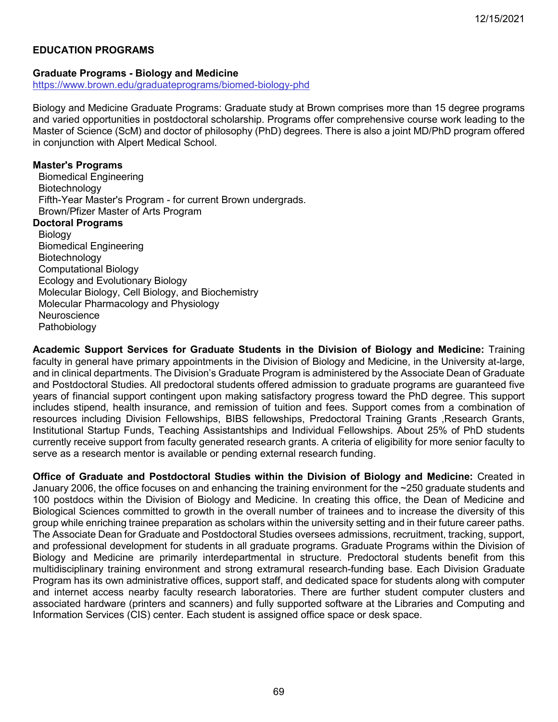# **EDUCATION PROGRAMS**

#### **Graduate Programs - Biology and Medicine**

<https://www.brown.edu/graduateprograms/biomed-biology-phd>

Biology and Medicine Graduate Programs: Graduate study at Brown comprises more than 15 degree programs and varied opportunities in postdoctoral scholarship. Programs offer comprehensive course work leading to the Master of Science (ScM) and doctor of philosophy (PhD) degrees. There is also a joint MD/PhD program offered in conjunction with Alpert Medical School.

#### **Master's Programs**

 Biomedical Engineering Biotechnology Fifth-Year Master's Program - for current Brown undergrads. Brown/Pfizer Master of Arts Program **Doctoral Programs** Biology Biomedical Engineering **Biotechnology**  Computational Biology Ecology and Evolutionary Biology Molecular Biology, Cell Biology, and Biochemistry Molecular Pharmacology and Physiology **Neuroscience** Pathobiology

**Academic Support Services for Graduate Students in the Division of Biology and Medicine:** Training faculty in general have primary appointments in the Division of Biology and Medicine, in the University at-large, and in clinical departments. The Division's Graduate Program is administered by the Associate Dean of Graduate and Postdoctoral Studies. All predoctoral students offered admission to graduate programs are guaranteed five years of financial support contingent upon making satisfactory progress toward the PhD degree. This support includes stipend, health insurance, and remission of tuition and fees. Support comes from a combination of resources including Division Fellowships, BIBS fellowships, Predoctoral Training Grants, Research Grants, Institutional Startup Funds, Teaching Assistantships and Individual Fellowships. About 25% of PhD students currently receive support from faculty generated research grants. A criteria of eligibility for more senior faculty to serve as a research mentor is available or pending external research funding.

**Office of Graduate and Postdoctoral Studies within the Division of Biology and Medicine:** Created in January 2006, the office focuses on and enhancing the training environment for the ~250 graduate students and 100 postdocs within the Division of Biology and Medicine. In creating this office, the Dean of Medicine and Biological Sciences committed to growth in the overall number of trainees and to increase the diversity of this group while enriching trainee preparation as scholars within the university setting and in their future career paths. The Associate Dean for Graduate and Postdoctoral Studies oversees admissions, recruitment, tracking, support, and professional development for students in all graduate programs. Graduate Programs within the Division of Biology and Medicine are primarily interdepartmental in structure. Predoctoral students benefit from this multidisciplinary training environment and strong extramural research-funding base. Each Division Graduate Program has its own administrative offices, support staff, and dedicated space for students along with computer and internet access nearby faculty research laboratories. There are further student computer clusters and associated hardware (printers and scanners) and fully supported software at the Libraries and Computing and Information Services (CIS) center. Each student is assigned office space or desk space.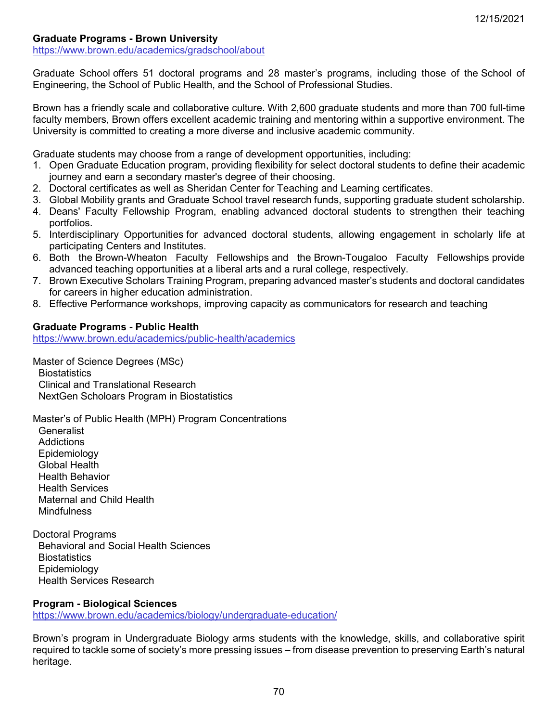### **Graduate Programs - Brown University**

<https://www.brown.edu/academics/gradschool/about>

Graduate School offers 51 doctoral programs and 28 master's programs, including those of the School of Engineering, the School of Public Health, and the School of Professional Studies.

Brown has a friendly scale and collaborative culture. With 2,600 graduate students and more than 700 full-time faculty members, Brown offers excellent academic training and mentoring within a supportive environment. The University is committed to creating a more diverse and inclusive academic community.

Graduate students may choose from a range of development opportunities, including:

- 1. Open Graduate Education program, providing flexibility for select doctoral students to define their academic journey and earn a secondary master's degree of their choosing.
- 2. Doctoral certificates as well as Sheridan Center for Teaching and Learning certificates.
- 3. Global Mobility grants and Graduate School travel research funds, supporting graduate student scholarship.
- 4. Deans' Faculty Fellowship Program, enabling advanced doctoral students to strengthen their teaching portfolios.
- 5. Interdisciplinary Opportunities for advanced doctoral students, allowing engagement in scholarly life at participating Centers and Institutes.
- 6. Both the Brown-Wheaton Faculty Fellowships and the Brown-Tougaloo Faculty Fellowships provide advanced teaching opportunities at a liberal arts and a rural college, respectively.
- 7. Brown Executive Scholars Training Program, preparing advanced master's students and doctoral candidates for careers in higher education administration.
- 8. Effective Performance workshops, improving capacity as communicators for research and teaching

#### **Graduate Programs - Public Health**

<https://www.brown.edu/academics/public-health/academics>

Master of Science Degrees (MSc) **Biostatistics**  Clinical and Translational Research NextGen Scholoars Program in Biostatistics

Master's of Public Health (MPH) Program Concentrations **Generalist**  Addictions Epidemiology Global Health Health Behavior Health Services Maternal and Child Health **Mindfulness** 

Doctoral Programs Behavioral and Social Health Sciences **Biostatistics**  Epidemiology Health Services Research

#### **Program - Biological Sciences**

<https://www.brown.edu/academics/biology/undergraduate-education/>

Brown's program in Undergraduate Biology arms students with the knowledge, skills, and collaborative spirit required to tackle some of society's more pressing issues – from disease prevention to preserving Earth's natural heritage.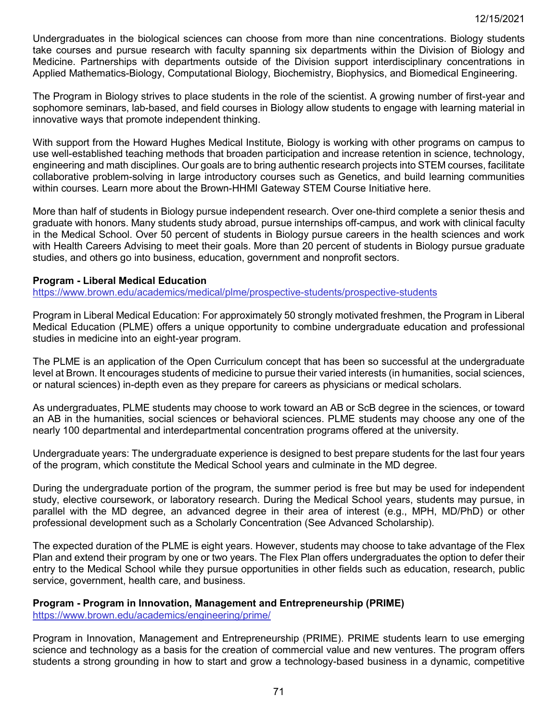Undergraduates in the biological sciences can choose from more than nine concentrations. Biology students take courses and pursue research with faculty spanning six departments within the Division of Biology and Medicine. Partnerships with departments outside of the Division support interdisciplinary concentrations in Applied Mathematics-Biology, Computational Biology, Biochemistry, Biophysics, and Biomedical Engineering.

The Program in Biology strives to place students in the role of the scientist. A growing number of first-year and sophomore seminars, lab-based, and field courses in Biology allow students to engage with learning material in innovative ways that promote independent thinking.

With support from the Howard Hughes Medical Institute, Biology is working with other programs on campus to use well-established teaching methods that broaden participation and increase retention in science, technology, engineering and math disciplines. Our goals are to bring authentic research projects into STEM courses, facilitate collaborative problem-solving in large introductory courses such as Genetics, and build learning communities within courses. Learn more about the Brown-HHMI Gateway STEM Course Initiative here.

More than half of students in Biology pursue independent research. Over one-third complete a senior thesis and graduate with honors. Many students study abroad, pursue internships off-campus, and work with clinical faculty in the Medical School. Over 50 percent of students in Biology pursue careers in the health sciences and work with Health Careers Advising to meet their goals. More than 20 percent of students in Biology pursue graduate studies, and others go into business, education, government and nonprofit sectors.

### **Program - Liberal Medical Education**

<https://www.brown.edu/academics/medical/plme/prospective-students/prospective-students>

Program in Liberal Medical Education: For approximately 50 strongly motivated freshmen, the Program in Liberal Medical Education (PLME) offers a unique opportunity to combine undergraduate education and professional studies in medicine into an eight-year program.

The PLME is an application of the Open Curriculum concept that has been so successful at the undergraduate level at Brown. It encourages students of medicine to pursue their varied interests (in humanities, social sciences, or natural sciences) in-depth even as they prepare for careers as physicians or medical scholars.

As undergraduates, PLME students may choose to work toward an AB or ScB degree in the sciences, or toward an AB in the humanities, social sciences or behavioral sciences. PLME students may choose any one of the nearly 100 departmental and interdepartmental concentration programs offered at the university.

Undergraduate years: The undergraduate experience is designed to best prepare students for the last four years of the program, which constitute the Medical School years and culminate in the MD degree.

During the undergraduate portion of the program, the summer period is free but may be used for independent study, elective coursework, or laboratory research. During the Medical School years, students may pursue, in parallel with the MD degree, an advanced degree in their area of interest (e.g., MPH, MD/PhD) or other professional development such as a Scholarly Concentration (See Advanced Scholarship).

The expected duration of the PLME is eight years. However, students may choose to take advantage of the Flex Plan and extend their program by one or two years. The Flex Plan offers undergraduates the option to defer their entry to the Medical School while they pursue opportunities in other fields such as education, research, public service, government, health care, and business.

# **Program - Program in Innovation, Management and Entrepreneurship (PRIME)**

<https://www.brown.edu/academics/engineering/prime/>

Program in Innovation, Management and Entrepreneurship (PRIME). PRIME students learn to use emerging science and technology as a basis for the creation of commercial value and new ventures. The program offers students a strong grounding in how to start and grow a technology-based business in a dynamic, competitive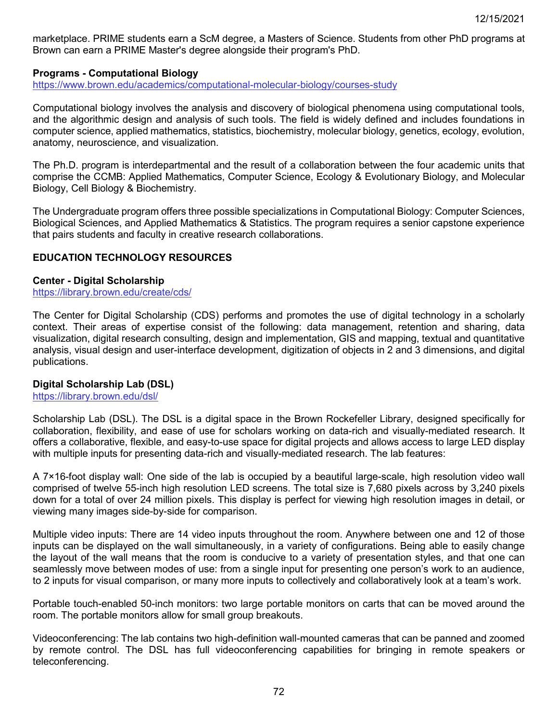marketplace. PRIME students earn a ScM degree, a Masters of Science. Students from other PhD programs at Brown can earn a PRIME Master's degree alongside their program's PhD.

#### **Programs - Computational Biology**

<https://www.brown.edu/academics/computational-molecular-biology/courses-study>

Computational biology involves the analysis and discovery of biological phenomena using computational tools, and the algorithmic design and analysis of such tools. The field is widely defined and includes foundations in computer science, applied mathematics, statistics, biochemistry, molecular biology, genetics, ecology, evolution, anatomy, neuroscience, and visualization.

The Ph.D. program is interdepartmental and the result of a collaboration between the four academic units that comprise the CCMB: Applied Mathematics, Computer Science, Ecology & Evolutionary Biology, and Molecular Biology, Cell Biology & Biochemistry.

The Undergraduate program offers three possible specializations in Computational Biology: Computer Sciences, Biological Sciences, and Applied Mathematics & Statistics. The program requires a senior capstone experience that pairs students and faculty in creative research collaborations.

#### **EDUCATION TECHNOLOGY RESOURCES**

#### **Center - Digital Scholarship**

<https://library.brown.edu/create/cds/>

The Center for Digital Scholarship (CDS) performs and promotes the use of digital technology in a scholarly context. Their areas of expertise consist of the following: data management, retention and sharing, data visualization, digital research consulting, design and implementation, GIS and mapping, textual and quantitative analysis, visual design and user-interface development, digitization of objects in 2 and 3 dimensions, and digital publications.

#### **Digital Scholarship Lab (DSL)**

#### <https://library.brown.edu/dsl/>

Scholarship Lab (DSL). The DSL is a digital space in the Brown Rockefeller Library, designed specifically for collaboration, flexibility, and ease of use for scholars working on data-rich and visually-mediated research. It offers a collaborative, flexible, and easy-to-use space for digital projects and allows access to large LED display with multiple inputs for presenting data-rich and visually-mediated research. The lab features:

A 7×16-foot display wall: One side of the lab is occupied by a beautiful large-scale, high resolution video wall comprised of twelve 55-inch high resolution LED screens. The total size is 7,680 pixels across by 3,240 pixels down for a total of over 24 million pixels. This display is perfect for viewing high resolution images in detail, or viewing many images side-by-side for comparison.

Multiple video inputs: There are 14 video inputs throughout the room. Anywhere between one and 12 of those inputs can be displayed on the wall simultaneously, in a variety of configurations. Being able to easily change the layout of the wall means that the room is conducive to a variety of presentation styles, and that one can seamlessly move between modes of use: from a single input for presenting one person's work to an audience, to 2 inputs for visual comparison, or many more inputs to collectively and collaboratively look at a team's work.

Portable touch-enabled 50-inch monitors: two large portable monitors on carts that can be moved around the room. The portable monitors allow for small group breakouts.

Videoconferencing: The lab contains two high-definition wall-mounted cameras that can be panned and zoomed by remote control. The DSL has full videoconferencing capabilities for bringing in remote speakers or teleconferencing.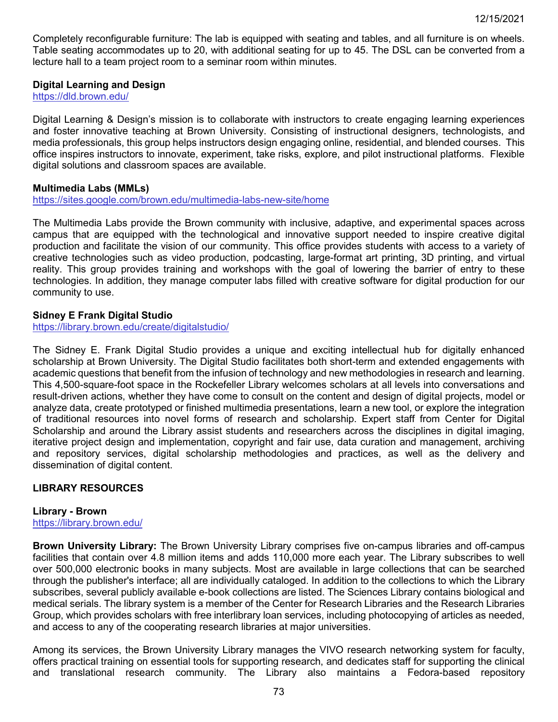Completely reconfigurable furniture: The lab is equipped with seating and tables, and all furniture is on wheels. Table seating accommodates up to 20, with additional seating for up to 45. The DSL can be converted from a lecture hall to a team project room to a seminar room within minutes.

### **Digital Learning and Design**

<https://dld.brown.edu/>

Digital Learning & Design's mission is to collaborate with instructors to create engaging learning experiences and foster innovative teaching at Brown University. Consisting of instructional designers, technologists, and media professionals, this group helps instructors design engaging online, residential, and blended courses. This office inspires instructors to innovate, experiment, take risks, explore, and pilot instructional platforms. Flexible digital solutions and classroom spaces are available.

### **Multimedia Labs (MMLs)**

<https://sites.google.com/brown.edu/multimedia-labs-new-site/home>

The Multimedia Labs provide the Brown community with inclusive, adaptive, and experimental spaces across campus that are equipped with the technological and innovative support needed to inspire creative digital production and facilitate the vision of our community. This office provides students with access to a variety of creative technologies such as video production, podcasting, large-format art printing, 3D printing, and virtual reality. This group provides training and workshops with the goal of lowering the barrier of entry to these technologies. In addition, they manage computer labs filled with creative software for digital production for our community to use.

#### **Sidney E Frank Digital Studio**

<https://library.brown.edu/create/digitalstudio/>

The Sidney E. Frank Digital Studio provides a unique and exciting intellectual hub for digitally enhanced scholarship at Brown University. The Digital Studio facilitates both short-term and extended engagements with academic questions that benefit from the infusion of technology and new methodologies in research and learning. This 4,500-square-foot space in the Rockefeller Library welcomes scholars at all levels into conversations and result-driven actions, whether they have come to consult on the content and design of digital projects, model or analyze data, create prototyped or finished multimedia presentations, learn a new tool, or explore the integration of traditional resources into novel forms of research and scholarship. Expert staff from Center for Digital Scholarship and around the Library assist students and researchers across the disciplines in digital imaging, iterative project design and implementation, copyright and fair use, data curation and management, archiving and repository services, digital scholarship methodologies and practices, as well as the delivery and dissemination of digital content.

## **LIBRARY RESOURCES**

#### **Library - Brown**

<https://library.brown.edu/>

**Brown University Library:** The Brown University Library comprises five on-campus libraries and off-campus facilities that contain over 4.8 million items and adds 110,000 more each year. The Library subscribes to well over 500,000 electronic books in many subjects. Most are available in large collections that can be searched through the publisher's interface; all are individually cataloged. In addition to the collections to which the Library subscribes, several publicly available e-book collections are listed. The Sciences Library contains biological and medical serials. The library system is a member of the Center for Research Libraries and the Research Libraries Group, which provides scholars with free interlibrary loan services, including photocopying of articles as needed, and access to any of the cooperating research libraries at major universities.

Among its services, the Brown University Library manages the VIVO research networking system for faculty, offers practical training on essential tools for supporting research, and dedicates staff for supporting the clinical and translational research community. The Library also maintains a Fedora-based repository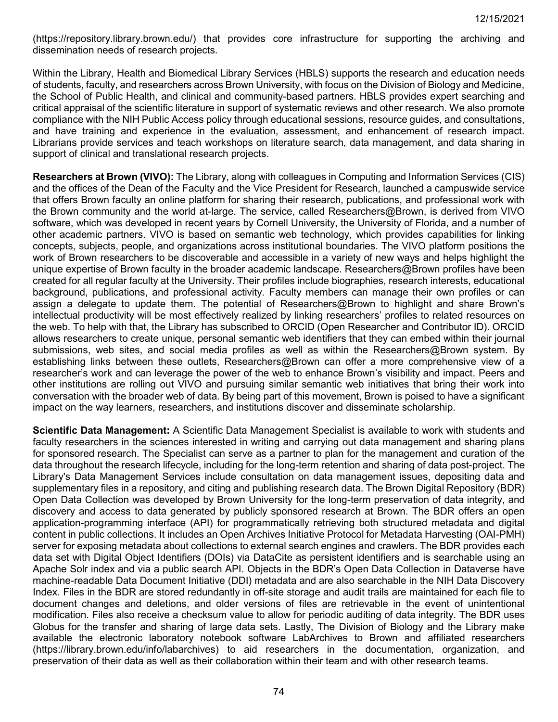(https://repository.library.brown.edu/) that provides core infrastructure for supporting the archiving and dissemination needs of research projects.

Within the Library, Health and Biomedical Library Services (HBLS) supports the research and education needs of students, faculty, and researchers across Brown University, with focus on the Division of Biology and Medicine, the School of Public Health, and clinical and community-based partners. HBLS provides expert searching and critical appraisal of the scientific literature in support of systematic reviews and other research. We also promote compliance with the NIH Public Access policy through educational sessions, resource guides, and consultations, and have training and experience in the evaluation, assessment, and enhancement of research impact. Librarians provide services and teach workshops on literature search, data management, and data sharing in support of clinical and translational research projects.

**Researchers at Brown (VIVO):** The Library, along with colleagues in Computing and Information Services (CIS) and the offices of the Dean of the Faculty and the Vice President for Research, launched a campuswide service that offers Brown faculty an online platform for sharing their research, publications, and professional work with the Brown community and the world at-large. The service, called Researchers@Brown, is derived from VIVO software, which was developed in recent years by Cornell University, the University of Florida, and a number of other academic partners. VIVO is based on semantic web technology, which provides capabilities for linking concepts, subjects, people, and organizations across institutional boundaries. The VIVO platform positions the work of Brown researchers to be discoverable and accessible in a variety of new ways and helps highlight the unique expertise of Brown faculty in the broader academic landscape. Researchers@Brown profiles have been created for all regular faculty at the University. Their profiles include biographies, research interests, educational background, publications, and professional activity. Faculty members can manage their own profiles or can assign a delegate to update them. The potential of Researchers@Brown to highlight and share Brown's intellectual productivity will be most effectively realized by linking researchers' profiles to related resources on the web. To help with that, the Library has subscribed to ORCID (Open Researcher and Contributor ID). ORCID allows researchers to create unique, personal semantic web identifiers that they can embed within their journal submissions, web sites, and social media profiles as well as within the Researchers@Brown system. By establishing links between these outlets, Researchers@Brown can offer a more comprehensive view of a researcher's work and can leverage the power of the web to enhance Brown's visibility and impact. Peers and other institutions are rolling out VIVO and pursuing similar semantic web initiatives that bring their work into conversation with the broader web of data. By being part of this movement, Brown is poised to have a significant impact on the way learners, researchers, and institutions discover and disseminate scholarship.

**Scientific Data Management:** A Scientific Data Management Specialist is available to work with students and faculty researchers in the sciences interested in writing and carrying out data management and sharing plans for sponsored research. The Specialist can serve as a partner to plan for the management and curation of the data throughout the research lifecycle, including for the long-term retention and sharing of data post-project. The Library's Data Management Services include consultation on data management issues, depositing data and supplementary files in a repository, and citing and publishing research data. The Brown Digital Repository (BDR) Open Data Collection was developed by Brown University for the long-term preservation of data integrity, and discovery and access to data generated by publicly sponsored research at Brown. The BDR offers an open application-programming interface (API) for programmatically retrieving both structured metadata and digital content in public collections. It includes an Open Archives Initiative Protocol for Metadata Harvesting (OAI-PMH) server for exposing metadata about collections to external search engines and crawlers. The BDR provides each data set with Digital Object Identifiers (DOIs) via DataCite as persistent identifiers and is searchable using an Apache Solr index and via a public search API. Objects in the BDR's Open Data Collection in Dataverse have machine-readable Data Document Initiative (DDI) metadata and are also searchable in the NIH Data Discovery Index. Files in the BDR are stored redundantly in off-site storage and audit trails are maintained for each file to document changes and deletions, and older versions of files are retrievable in the event of unintentional modification. Files also receive a checksum value to allow for periodic auditing of data integrity. The BDR uses Globus for the transfer and sharing of large data sets. Lastly, The Division of Biology and the Library make available the electronic laboratory notebook software LabArchives to Brown and affiliated researchers (https://library.brown.edu/info/labarchives) to aid researchers in the documentation, organization, and preservation of their data as well as their collaboration within their team and with other research teams.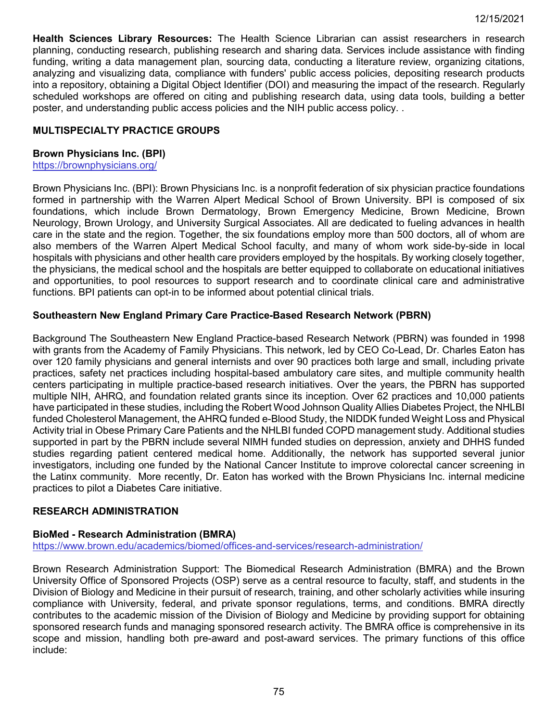**Health Sciences Library Resources:** The Health Science Librarian can assist researchers in research planning, conducting research, publishing research and sharing data. Services include assistance with finding funding, writing a data management plan, sourcing data, conducting a literature review, organizing citations, analyzing and visualizing data, compliance with funders' public access policies, depositing research products into a repository, obtaining a Digital Object Identifier (DOI) and measuring the impact of the research. Regularly scheduled workshops are offered on citing and publishing research data, using data tools, building a better poster, and understanding public access policies and the NIH public access policy. .

## **MULTISPECIALTY PRACTICE GROUPS**

### **Brown Physicians Inc. (BPI)**

<https://brownphysicians.org/>

Brown Physicians Inc. (BPI): Brown Physicians Inc. is a nonprofit federation of six physician practice foundations formed in partnership with the Warren Alpert Medical School of Brown University. BPI is composed of six foundations, which include Brown Dermatology, Brown Emergency Medicine, Brown Medicine, Brown Neurology, Brown Urology, and University Surgical Associates. All are dedicated to fueling advances in health care in the state and the region. Together, the six foundations employ more than 500 doctors, all of whom are also members of the Warren Alpert Medical School faculty, and many of whom work side-by-side in local hospitals with physicians and other health care providers employed by the hospitals. By working closely together, the physicians, the medical school and the hospitals are better equipped to collaborate on educational initiatives and opportunities, to pool resources to support research and to coordinate clinical care and administrative functions. BPI patients can opt-in to be informed about potential clinical trials.

## **Southeastern New England Primary Care Practice-Based Research Network (PBRN)**

Background The Southeastern New England Practice-based Research Network (PBRN) was founded in 1998 with grants from the Academy of Family Physicians. This network, led by CEO Co-Lead, Dr. Charles Eaton has over 120 family physicians and general internists and over 90 practices both large and small, including private practices, safety net practices including hospital-based ambulatory care sites, and multiple community health centers participating in multiple practice-based research initiatives. Over the years, the PBRN has supported multiple NIH, AHRQ, and foundation related grants since its inception. Over 62 practices and 10,000 patients have participated in these studies, including the Robert Wood Johnson Quality Allies Diabetes Project, the NHLBI funded Cholesterol Management, the AHRQ funded e-Blood Study, the NIDDK funded Weight Loss and Physical Activity trial in Obese Primary Care Patients and the NHLBI funded COPD management study. Additional studies supported in part by the PBRN include several NIMH funded studies on depression, anxiety and DHHS funded studies regarding patient centered medical home. Additionally, the network has supported several junior investigators, including one funded by the National Cancer Institute to improve colorectal cancer screening in the Latinx community. More recently, Dr. Eaton has worked with the Brown Physicians Inc. internal medicine practices to pilot a Diabetes Care initiative.

## **RESEARCH ADMINISTRATION**

## **BioMed - Research Administration (BMRA)**

<https://www.brown.edu/academics/biomed/offices-and-services/research-administration/>

Brown Research Administration Support: The Biomedical Research Administration (BMRA) and the Brown University Office of Sponsored Projects (OSP) serve as a central resource to faculty, staff, and students in the Division of Biology and Medicine in their pursuit of research, training, and other scholarly activities while insuring compliance with University, federal, and private sponsor regulations, terms, and conditions. BMRA directly contributes to the academic mission of the Division of Biology and Medicine by providing support for obtaining sponsored research funds and managing sponsored research activity. The BMRA office is comprehensive in its scope and mission, handling both pre-award and post-award services. The primary functions of this office include: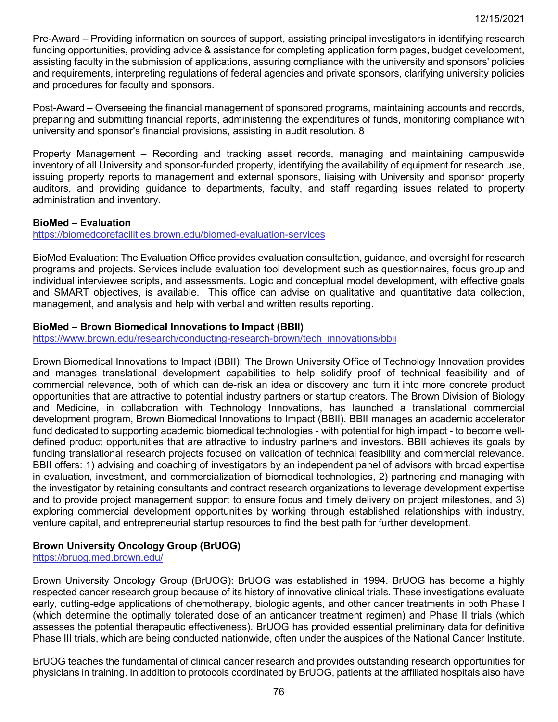Pre-Award – Providing information on sources of support, assisting principal investigators in identifying research funding opportunities, providing advice & assistance for completing application form pages, budget development, assisting faculty in the submission of applications, assuring compliance with the university and sponsors' policies and requirements, interpreting regulations of federal agencies and private sponsors, clarifying university policies and procedures for faculty and sponsors.

Post-Award – Overseeing the financial management of sponsored programs, maintaining accounts and records, preparing and submitting financial reports, administering the expenditures of funds, monitoring compliance with university and sponsor's financial provisions, assisting in audit resolution. 8

Property Management – Recording and tracking asset records, managing and maintaining campuswide inventory of all University and sponsor-funded property, identifying the availability of equipment for research use, issuing property reports to management and external sponsors, liaising with University and sponsor property auditors, and providing guidance to departments, faculty, and staff regarding issues related to property administration and inventory.

## **BioMed – Evaluation**

<https://biomedcorefacilities.brown.edu/biomed-evaluation-services>

BioMed Evaluation: The Evaluation Office provides evaluation consultation, guidance, and oversight for research programs and projects. Services include evaluation tool development such as questionnaires, focus group and individual interviewee scripts, and assessments. Logic and conceptual model development, with effective goals and SMART objectives, is available. This office can advise on qualitative and quantitative data collection, management, and analysis and help with verbal and written results reporting.

## **BioMed – Brown Biomedical Innovations to Impact (BBII)**

[https://www.brown.edu/research/conducting-research-brown/tech\\_innovations/bbii](https://www.brown.edu/research/conducting-research-brown/tech_innovations/bbii)

Brown Biomedical Innovations to Impact (BBII): The Brown University Office of Technology Innovation provides and manages translational development capabilities to help solidify proof of technical feasibility and of commercial relevance, both of which can de-risk an idea or discovery and turn it into more concrete product opportunities that are attractive to potential industry partners or startup creators. The Brown Division of Biology and Medicine, in collaboration with Technology Innovations, has launched a translational commercial development program, Brown Biomedical Innovations to Impact (BBII). BBII manages an academic accelerator fund dedicated to supporting academic biomedical technologies - with potential for high impact - to become welldefined product opportunities that are attractive to industry partners and investors. BBII achieves its goals by funding translational research projects focused on validation of technical feasibility and commercial relevance. BBII offers: 1) advising and coaching of investigators by an independent panel of advisors with broad expertise in evaluation, investment, and commercialization of biomedical technologies, 2) partnering and managing with the investigator by retaining consultants and contract research organizations to leverage development expertise and to provide project management support to ensure focus and timely delivery on project milestones, and 3) exploring commercial development opportunities by working through established relationships with industry, venture capital, and entrepreneurial startup resources to find the best path for further development.

## **Brown University Oncology Group (BrUOG)**

<https://bruog.med.brown.edu/>

Brown University Oncology Group (BrUOG): BrUOG was established in 1994. BrUOG has become a highly respected cancer research group because of its history of innovative clinical trials. These investigations evaluate early, cutting-edge applications of chemotherapy, biologic agents, and other cancer treatments in both Phase I (which determine the optimally tolerated dose of an anticancer treatment regimen) and Phase II trials (which assesses the potential therapeutic effectiveness). BrUOG has provided essential preliminary data for definitive Phase III trials, which are being conducted nationwide, often under the auspices of the National Cancer Institute.

BrUOG teaches the fundamental of clinical cancer research and provides outstanding research opportunities for physicians in training. In addition to protocols coordinated by BrUOG, patients at the affiliated hospitals also have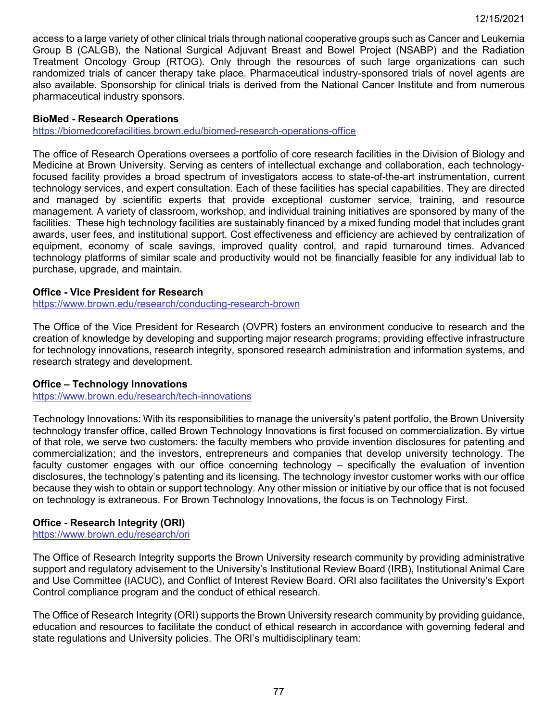access to a large variety of other clinical trials through national cooperative groups such as Cancer and Leukemia Group B (CALGB), the National Surgical Adjuvant Breast and Bowel Project (NSABP) and the Radiation Treatment Oncology Group (RTOG). Only through the resources of such large organizations can such randomized trials of cancer therapy take place. Pharmaceutical industry-sponsored trials of novel agents are also available. Sponsorship for clinical trials is derived from the National Cancer Institute and from numerous pharmaceutical industry sponsors.

### **BioMed - Research Operations**

<https://biomedcorefacilities.brown.edu/biomed-research-operations-office>

The office of Research Operations oversees a portfolio of core research facilities in the Division of Biology and Medicine at Brown University. Serving as centers of intellectual exchange and collaboration, each technologyfocused facility provides a broad spectrum of investigators access to state-of-the-art instrumentation, current technology services, and expert consultation. Each of these facilities has special capabilities. They are directed and managed by scientific experts that provide exceptional customer service, training, and resource management. A variety of classroom, workshop, and individual training initiatives are sponsored by many of the facilities. These high technology facilities are sustainably financed by a mixed funding model that includes grant awards, user fees, and institutional support. Cost effectiveness and efficiency are achieved by centralization of equipment, economy of scale savings, improved quality control, and rapid turnaround times. Advanced technology platforms of similar scale and productivity would not be financially feasible for any individual lab to purchase, upgrade, and maintain.

## **Office - Vice President for Research**

<https://www.brown.edu/research/conducting-research-brown>

The Office of the Vice President for Research (OVPR) fosters an environment conducive to research and the creation of knowledge by developing and supporting major research programs; providing effective infrastructure for technology innovations, research integrity, sponsored research administration and information systems, and research strategy and development.

## **Office – Technology Innovations**

<https://www.brown.edu/research/tech-innovations>

Technology Innovations: With its responsibilities to manage the university's patent portfolio, the Brown University technology transfer office, called Brown Technology Innovations is first focused on commercialization. By virtue of that role, we serve two customers: the faculty members who provide invention disclosures for patenting and commercialization; and the investors, entrepreneurs and companies that develop university technology. The faculty customer engages with our office concerning technology – specifically the evaluation of invention disclosures, the technology's patenting and its licensing. The technology investor customer works with our office because they wish to obtain or support technology. Any other mission or initiative by our office that is not focused on technology is extraneous. For Brown Technology Innovations, the focus is on Technology First.

## **Office - Research Integrity (ORI)**

<https://www.brown.edu/research/ori>

The Office of Research Integrity supports the Brown University research community by providing administrative support and regulatory advisement to the University's Institutional Review Board (IRB), Institutional Animal Care and Use Committee (IACUC), and Conflict of Interest Review Board. ORI also facilitates the University's Export Control compliance program and the conduct of ethical research.

The Office of Research Integrity (ORI) supports the Brown University research community by providing guidance, education and resources to facilitate the conduct of ethical research in accordance with governing federal and state regulations and University policies. The ORI's multidisciplinary team: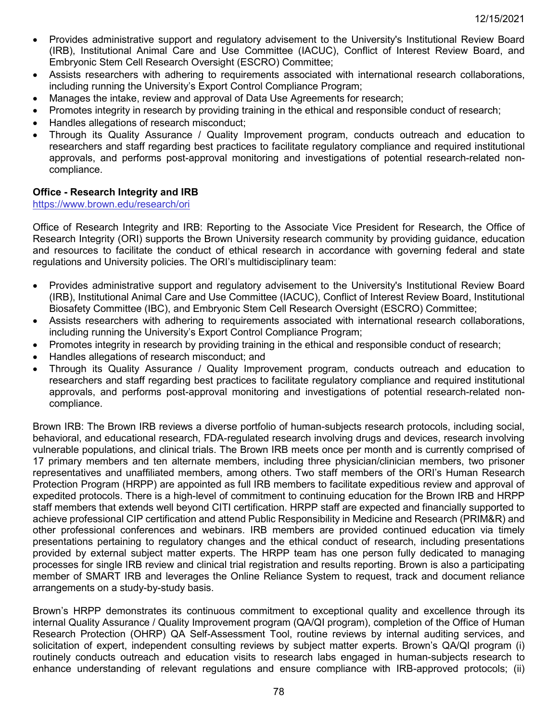- Provides administrative support and regulatory advisement to the University's Institutional Review Board (IRB), Institutional Animal Care and Use Committee (IACUC), Conflict of Interest Review Board, and Embryonic Stem Cell Research Oversight (ESCRO) Committee;
- Assists researchers with adhering to requirements associated with international research collaborations, including running the University's Export Control Compliance Program;
- Manages the intake, review and approval of Data Use Agreements for research;
- Promotes integrity in research by providing training in the ethical and responsible conduct of research;
- Handles allegations of research misconduct;
- Through its Quality Assurance / Quality Improvement program, conducts outreach and education to researchers and staff regarding best practices to facilitate regulatory compliance and required institutional approvals, and performs post-approval monitoring and investigations of potential research-related noncompliance.

## **Office - Research Integrity and IRB**

### <https://www.brown.edu/research/ori>

Office of Research Integrity and IRB: Reporting to the Associate Vice President for Research, the Office of Research Integrity (ORI) supports the Brown University research community by providing guidance, education and resources to facilitate the conduct of ethical research in accordance with governing federal and state regulations and University policies. The ORI's multidisciplinary team:

- Provides administrative support and regulatory advisement to the University's Institutional Review Board (IRB), Institutional Animal Care and Use Committee (IACUC), Conflict of Interest Review Board, Institutional Biosafety Committee (IBC), and Embryonic Stem Cell Research Oversight (ESCRO) Committee;
- Assists researchers with adhering to requirements associated with international research collaborations, including running the University's Export Control Compliance Program;
- Promotes integrity in research by providing training in the ethical and responsible conduct of research;
- Handles allegations of research misconduct; and
- Through its Quality Assurance / Quality Improvement program, conducts outreach and education to researchers and staff regarding best practices to facilitate regulatory compliance and required institutional approvals, and performs post-approval monitoring and investigations of potential research-related noncompliance.

Brown IRB: The Brown IRB reviews a diverse portfolio of human-subjects research protocols, including social, behavioral, and educational research, FDA-regulated research involving drugs and devices, research involving vulnerable populations, and clinical trials. The Brown IRB meets once per month and is currently comprised of 17 primary members and ten alternate members, including three physician/clinician members, two prisoner representatives and unaffiliated members, among others. Two staff members of the ORI's Human Research Protection Program (HRPP) are appointed as full IRB members to facilitate expeditious review and approval of expedited protocols. There is a high-level of commitment to continuing education for the Brown IRB and HRPP staff members that extends well beyond CITI certification. HRPP staff are expected and financially supported to achieve professional CIP certification and attend Public Responsibility in Medicine and Research (PRIM&R) and other professional conferences and webinars. IRB members are provided continued education via timely presentations pertaining to regulatory changes and the ethical conduct of research, including presentations provided by external subject matter experts. The HRPP team has one person fully dedicated to managing processes for single IRB review and clinical trial registration and results reporting. Brown is also a participating member of SMART IRB and leverages the Online Reliance System to request, track and document reliance arrangements on a study-by-study basis.

Brown's HRPP demonstrates its continuous commitment to exceptional quality and excellence through its internal Quality Assurance / Quality Improvement program (QA/QI program), completion of the Office of Human Research Protection (OHRP) QA Self-Assessment Tool, routine reviews by internal auditing services, and solicitation of expert, independent consulting reviews by subject matter experts. Brown's QA/QI program (i) routinely conducts outreach and education visits to research labs engaged in human-subjects research to enhance understanding of relevant regulations and ensure compliance with IRB-approved protocols; (ii)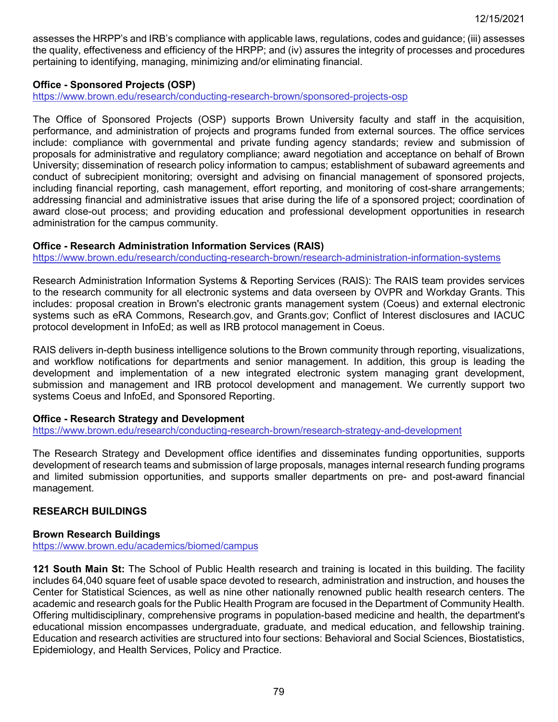assesses the HRPP's and IRB's compliance with applicable laws, regulations, codes and guidance; (iii) assesses the quality, effectiveness and efficiency of the HRPP; and (iv) assures the integrity of processes and procedures pertaining to identifying, managing, minimizing and/or eliminating financial.

## **Office - Sponsored Projects (OSP)**

<https://www.brown.edu/research/conducting-research-brown/sponsored-projects-osp>

The Office of Sponsored Projects (OSP) supports Brown University faculty and staff in the acquisition, performance, and administration of projects and programs funded from external sources. The office services include: compliance with governmental and private funding agency standards; review and submission of proposals for administrative and regulatory compliance; award negotiation and acceptance on behalf of Brown University; dissemination of research policy information to campus; establishment of subaward agreements and conduct of subrecipient monitoring; oversight and advising on financial management of sponsored projects, including financial reporting, cash management, effort reporting, and monitoring of cost-share arrangements; addressing financial and administrative issues that arise during the life of a sponsored project; coordination of award close-out process; and providing education and professional development opportunities in research administration for the campus community.

## **Office - Research Administration Information Services (RAIS)**

<https://www.brown.edu/research/conducting-research-brown/research-administration-information-systems>

Research Administration Information Systems & Reporting Services (RAIS): The RAIS team provides services to the research community for all electronic systems and data overseen by OVPR and Workday Grants. This includes: proposal creation in Brown's electronic grants management system (Coeus) and external electronic systems such as eRA Commons, Research.gov, and Grants.gov; Conflict of Interest disclosures and IACUC protocol development in InfoEd; as well as IRB protocol management in Coeus.

RAIS delivers in-depth business intelligence solutions to the Brown community through reporting, visualizations, and workflow notifications for departments and senior management. In addition, this group is leading the development and implementation of a new integrated electronic system managing grant development, submission and management and IRB protocol development and management. We currently support two systems Coeus and InfoEd, and Sponsored Reporting.

## **Office - Research Strategy and Development**

<https://www.brown.edu/research/conducting-research-brown/research-strategy-and-development>

The Research Strategy and Development office identifies and disseminates funding opportunities, supports development of research teams and submission of large proposals, manages internal research funding programs and limited submission opportunities, and supports smaller departments on pre- and post-award financial management.

# **RESEARCH BUILDINGS**

## **Brown Research Buildings**

<https://www.brown.edu/academics/biomed/campus>

**121 South Main St:** The School of Public Health research and training is located in this building. The facility includes 64,040 square feet of usable space devoted to research, administration and instruction, and houses the Center for Statistical Sciences, as well as nine other nationally renowned public health research centers. The academic and research goals for the Public Health Program are focused in the Department of Community Health. Offering multidisciplinary, comprehensive programs in population-based medicine and health, the department's educational mission encompasses undergraduate, graduate, and medical education, and fellowship training. Education and research activities are structured into four sections: Behavioral and Social Sciences, Biostatistics, Epidemiology, and Health Services, Policy and Practice.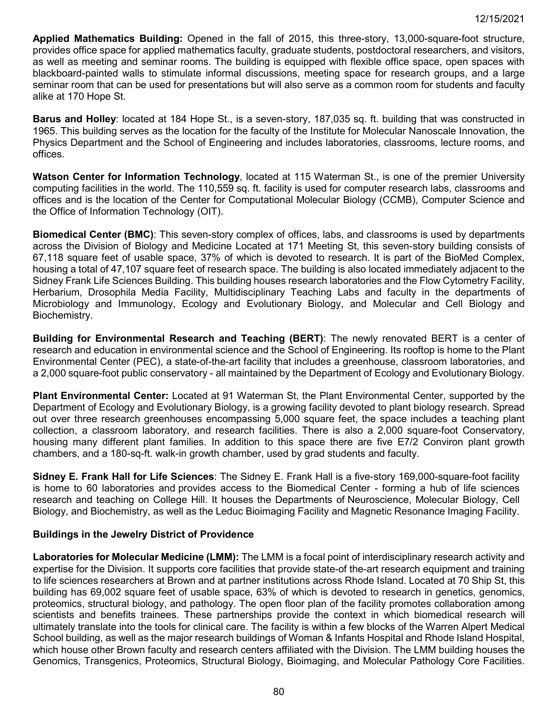**Applied Mathematics Building:** Opened in the fall of 2015, this three-story, 13,000-square-foot structure, provides office space for applied mathematics faculty, graduate students, postdoctoral researchers, and visitors, as well as meeting and seminar rooms. The building is equipped with flexible office space, open spaces with blackboard-painted walls to stimulate informal discussions, meeting space for research groups, and a large seminar room that can be used for presentations but will also serve as a common room for students and faculty alike at 170 Hope St.

**Barus and Holley**: located at 184 Hope St., is a seven-story, 187,035 sq. ft. building that was constructed in 1965. This building serves as the location for the faculty of the Institute for Molecular Nanoscale Innovation, the Physics Department and the School of Engineering and includes laboratories, classrooms, lecture rooms, and offices.

**Watson Center for Information Technology**, located at 115 Waterman St., is one of the premier University computing facilities in the world. The 110,559 sq. ft. facility is used for computer research labs, classrooms and offices and is the location of the Center for Computational Molecular Biology (CCMB), Computer Science and the Office of Information Technology (OIT).

**Biomedical Center (BMC)**: This seven-story complex of offices, labs, and classrooms is used by departments across the Division of Biology and Medicine Located at 171 Meeting St, this seven-story building consists of 67,118 square feet of usable space, 37% of which is devoted to research. It is part of the BioMed Complex, housing a total of 47,107 square feet of research space. The building is also located immediately adjacent to the Sidney Frank Life Sciences Building. This building houses research laboratories and the Flow Cytometry Facility, Herbarium, Drosophila Media Facility, Multidisciplinary Teaching Labs and faculty in the departments of Microbiology and Immunology, Ecology and Evolutionary Biology, and Molecular and Cell Biology and Biochemistry.

**Building for Environmental Research and Teaching (BERT)**: The newly renovated BERT is a center of research and education in environmental science and the School of Engineering. Its rooftop is home to the Plant Environmental Center (PEC), a state-of-the-art facility that includes a greenhouse, classroom laboratories, and a 2,000 square-foot public conservatory - all maintained by the Department of Ecology and Evolutionary Biology.

**Plant Environmental Center:** Located at 91 Waterman St, the Plant Environmental Center, supported by the Department of Ecology and Evolutionary Biology, is a growing facility devoted to plant biology research. Spread out over three research greenhouses encompassing 5,000 square feet, the space includes a teaching plant collection, a classroom laboratory, and research facilities. There is also a 2,000 square-foot Conservatory, housing many different plant families. In addition to this space there are five E7/2 Conviron plant growth chambers, and a 180-sq-ft. walk-in growth chamber, used by grad students and faculty.

**Sidney E. Frank Hall for Life Sciences**: The Sidney E. Frank Hall is a five-story 169,000-square-foot facility is home to 60 laboratories and provides access to the Biomedical Center - forming a hub of life sciences research and teaching on College Hill. It houses the Departments of Neuroscience, Molecular Biology, Cell Biology, and Biochemistry, as well as the Leduc Bioimaging Facility and Magnetic Resonance Imaging Facility.

# **Buildings in the Jewelry District of Providence**

**Laboratories for Molecular Medicine (LMM):** The LMM is a focal point of interdisciplinary research activity and expertise for the Division. It supports core facilities that provide state-of the-art research equipment and training to life sciences researchers at Brown and at partner institutions across Rhode Island. Located at 70 Ship St, this building has 69,002 square feet of usable space, 63% of which is devoted to research in genetics, genomics, proteomics, structural biology, and pathology. The open floor plan of the facility promotes collaboration among scientists and benefits trainees. These partnerships provide the context in which biomedical research will ultimately translate into the tools for clinical care. The facility is within a few blocks of the Warren Alpert Medical School building, as well as the major research buildings of Woman & Infants Hospital and Rhode Island Hospital, which house other Brown faculty and research centers affiliated with the Division. The LMM building houses the Genomics, Transgenics, Proteomics, Structural Biology, Bioimaging, and Molecular Pathology Core Facilities.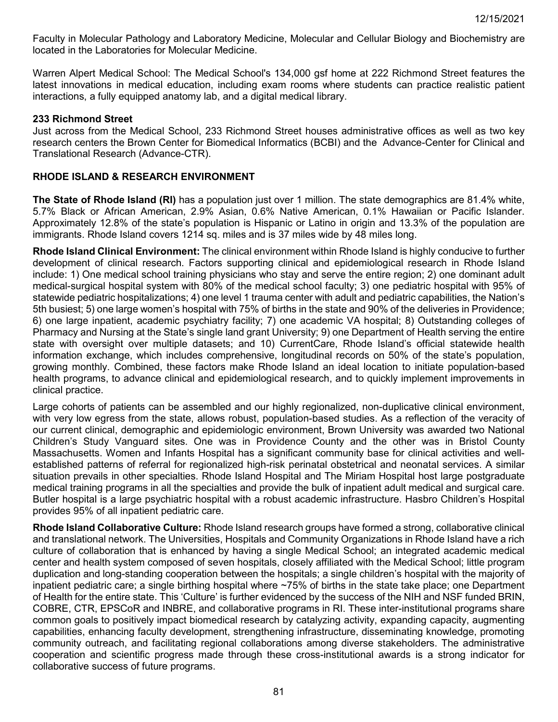Faculty in Molecular Pathology and Laboratory Medicine, Molecular and Cellular Biology and Biochemistry are located in the Laboratories for Molecular Medicine.

Warren Alpert Medical School: The Medical School's 134,000 gsf home at 222 Richmond Street features the latest innovations in medical education, including exam rooms where students can practice realistic patient interactions, a fully equipped anatomy lab, and a digital medical library.

#### **233 Richmond Street**

Just across from the Medical School, 233 Richmond Street houses administrative offices as well as two key research centers the Brown Center for Biomedical Informatics (BCBI) and the Advance-Center for Clinical and Translational Research (Advance-CTR).

### **RHODE ISLAND & RESEARCH ENVIRONMENT**

**The State of Rhode Island (RI)** has a population just over 1 million. The state demographics are 81.4% white, 5.7% Black or African American, 2.9% Asian, 0.6% Native American, 0.1% Hawaiian or Pacific Islander. Approximately 12.8% of the state's population is Hispanic or Latino in origin and 13.3% of the population are immigrants. Rhode Island covers 1214 sq. miles and is 37 miles wide by 48 miles long.

**Rhode Island Clinical Environment:** The clinical environment within Rhode Island is highly conducive to further development of clinical research. Factors supporting clinical and epidemiological research in Rhode Island include: 1) One medical school training physicians who stay and serve the entire region; 2) one dominant adult medical-surgical hospital system with 80% of the medical school faculty; 3) one pediatric hospital with 95% of statewide pediatric hospitalizations; 4) one level 1 trauma center with adult and pediatric capabilities, the Nation's 5th busiest; 5) one large women's hospital with 75% of births in the state and 90% of the deliveries in Providence; 6) one large inpatient, academic psychiatry facility; 7) one academic VA hospital; 8) Outstanding colleges of Pharmacy and Nursing at the State's single land grant University; 9) one Department of Health serving the entire state with oversight over multiple datasets; and 10) CurrentCare, Rhode Island's official statewide health information exchange, which includes comprehensive, longitudinal records on 50% of the state's population, growing monthly. Combined, these factors make Rhode Island an ideal location to initiate population-based health programs, to advance clinical and epidemiological research, and to quickly implement improvements in clinical practice.

Large cohorts of patients can be assembled and our highly regionalized, non-duplicative clinical environment, with very low egress from the state, allows robust, population-based studies. As a reflection of the veracity of our current clinical, demographic and epidemiologic environment, Brown University was awarded two National Children's Study Vanguard sites. One was in Providence County and the other was in Bristol County Massachusetts. Women and Infants Hospital has a significant community base for clinical activities and wellestablished patterns of referral for regionalized high-risk perinatal obstetrical and neonatal services. A similar situation prevails in other specialties. Rhode Island Hospital and The Miriam Hospital host large postgraduate medical training programs in all the specialties and provide the bulk of inpatient adult medical and surgical care. Butler hospital is a large psychiatric hospital with a robust academic infrastructure. Hasbro Children's Hospital provides 95% of all inpatient pediatric care.

**Rhode Island Collaborative Culture:** Rhode Island research groups have formed a strong, collaborative clinical and translational network. The Universities, Hospitals and Community Organizations in Rhode Island have a rich culture of collaboration that is enhanced by having a single Medical School; an integrated academic medical center and health system composed of seven hospitals, closely affiliated with the Medical School; little program duplication and long-standing cooperation between the hospitals; a single children's hospital with the majority of inpatient pediatric care; a single birthing hospital where ~75% of births in the state take place; one Department of Health for the entire state. This 'Culture' is further evidenced by the success of the NIH and NSF funded BRIN, COBRE, CTR, EPSCoR and INBRE, and collaborative programs in RI. These inter-institutional programs share common goals to positively impact biomedical research by catalyzing activity, expanding capacity, augmenting capabilities, enhancing faculty development, strengthening infrastructure, disseminating knowledge, promoting community outreach, and facilitating regional collaborations among diverse stakeholders. The administrative cooperation and scientific progress made through these cross-institutional awards is a strong indicator for collaborative success of future programs.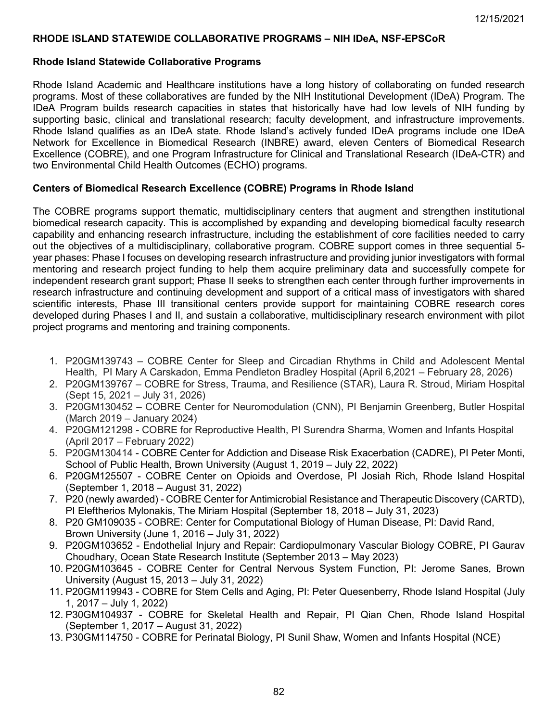### **RHODE ISLAND STATEWIDE COLLABORATIVE PROGRAMS – NIH IDeA, NSF-EPSCoR**

#### **Rhode Island Statewide Collaborative Programs**

Rhode Island Academic and Healthcare institutions have a long history of collaborating on funded research programs. Most of these collaboratives are funded by the NIH Institutional Development (IDeA) Program. The IDeA Program builds research capacities in states that historically have had low levels of NIH funding by supporting basic, clinical and translational research; faculty development, and infrastructure improvements. Rhode Island qualifies as an IDeA state. Rhode Island's actively funded IDeA programs include one IDeA Network for Excellence in Biomedical Research (INBRE) award, eleven Centers of Biomedical Research Excellence (COBRE), and one Program Infrastructure for Clinical and Translational Research (IDeA-CTR) and two Environmental Child Health Outcomes (ECHO) programs.

## **Centers of Biomedical Research Excellence (COBRE) Programs in Rhode Island**

The COBRE programs support thematic, multidisciplinary centers that augment and strengthen institutional biomedical research capacity. This is accomplished by expanding and developing biomedical faculty research capability and enhancing research infrastructure, including the establishment of core facilities needed to carry out the objectives of a multidisciplinary, collaborative program. COBRE support comes in three sequential 5 year phases: Phase I focuses on developing research infrastructure and providing junior investigators with formal mentoring and research project funding to help them acquire preliminary data and successfully compete for independent research grant support; Phase II seeks to strengthen each center through further improvements in research infrastructure and continuing development and support of a critical mass of investigators with shared scientific interests, Phase III transitional centers provide support for maintaining COBRE research cores developed during Phases I and II, and sustain a collaborative, multidisciplinary research environment with pilot project programs and mentoring and training components.

- 1. P20GM139743 COBRE Center for Sleep and Circadian Rhythms in Child and Adolescent Mental Health, PI Mary A Carskadon, Emma Pendleton Bradley Hospital (April 6,2021 – February 28, 2026)
- 2. P20GM139767 COBRE for Stress, Trauma, and Resilience (STAR), Laura R. Stroud, Miriam Hospital (Sept 15, 2021 – July 31, 2026)
- 3. P20GM130452 COBRE Center for Neuromodulation (CNN), PI Benjamin Greenberg, Butler Hospital (March 2019 – January 2024)
- 4. P20GM121298 COBRE for Reproductive Health, PI Surendra Sharma, Women and Infants Hospital (April 2017 – February 2022)
- 5. P20GM130414 COBRE Center for Addiction and Disease Risk Exacerbation (CADRE), PI Peter Monti, School of Public Health, Brown University (August 1, 2019 – July 22, 2022)
- 6. P20GM125507 COBRE Center on Opioids and Overdose, PI Josiah Rich, Rhode Island Hospital (September 1, 2018 – August 31, 2022)
- 7. P20 (newly awarded) COBRE Center for Antimicrobial Resistance and Therapeutic Discovery (CARTD), PI Eleftherios Mylonakis, The Miriam Hospital (September 18, 2018 – July 31, 2023)
- 8. P20 GM109035 COBRE: Center for Computational Biology of Human Disease, PI: David Rand, Brown University (June 1, 2016 – July 31, 2022)
- 9. P20GM103652 Endothelial Injury and Repair: Cardiopulmonary Vascular Biology COBRE, PI Gaurav Choudhary, Ocean State Research Institute (September 2013 – May 2023)
- 10. P20GM103645 COBRE Center for Central Nervous System Function, PI: Jerome Sanes, Brown University (August 15, 2013 – July 31, 2022)
- 11. P20GM119943 COBRE for Stem Cells and Aging, PI: Peter Quesenberry, Rhode Island Hospital (July 1, 2017 – July 1, 2022)
- 12. P30GM104937 COBRE for Skeletal Health and Repair, PI Qian Chen, Rhode Island Hospital (September 1, 2017 – August 31, 2022)
- 13. P30GM114750 COBRE for Perinatal Biology, PI Sunil Shaw, Women and Infants Hospital (NCE)